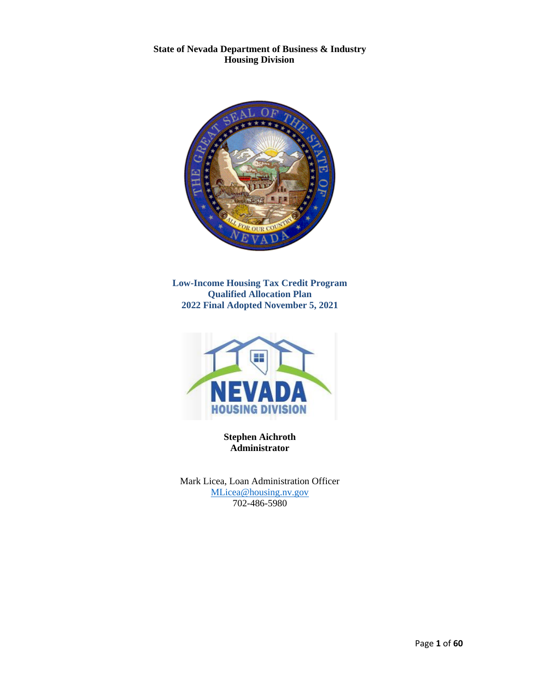**State of Nevada Department of Business & Industry Housing Division**



**Low-Income Housing Tax Credit Program Qualified Allocation Plan 2022 Final Adopted November 5, 2021**



**Stephen Aichroth Administrator**

Mark Licea, Loan Administration Officer [MLicea@housing.nv.gov](mailto:MLicea@housing.nv.gov) 702-486-5980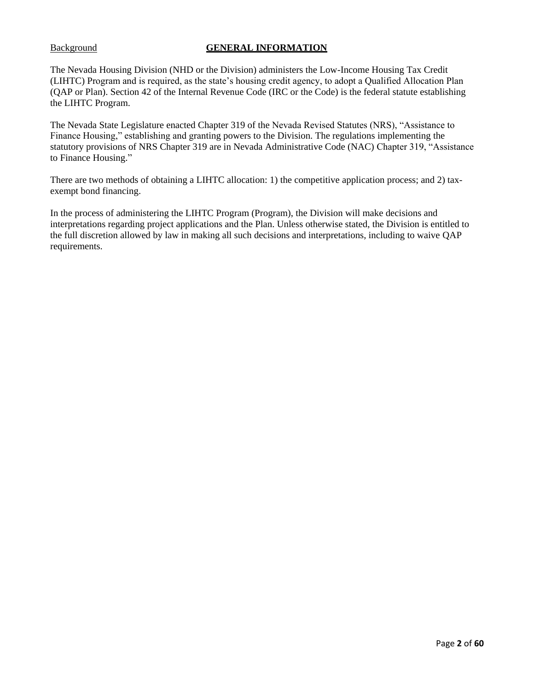## Background **GENERAL INFORMATION**

The Nevada Housing Division (NHD or the Division) administers the Low-Income Housing Tax Credit (LIHTC) Program and is required, as the state's housing credit agency, to adopt a Qualified Allocation Plan (QAP or Plan). Section 42 of the Internal Revenue Code (IRC or the Code) is the federal statute establishing the LIHTC Program.

The Nevada State Legislature enacted Chapter 319 of the Nevada Revised Statutes (NRS), "Assistance to Finance Housing," establishing and granting powers to the Division. The regulations implementing the statutory provisions of NRS Chapter 319 are in Nevada Administrative Code (NAC) Chapter 319, "Assistance to Finance Housing."

There are two methods of obtaining a LIHTC allocation: 1) the competitive application process; and 2) taxexempt bond financing.

In the process of administering the LIHTC Program (Program), the Division will make decisions and interpretations regarding project applications and the Plan. Unless otherwise stated, the Division is entitled to the full discretion allowed by law in making all such decisions and interpretations, including to waive QAP requirements.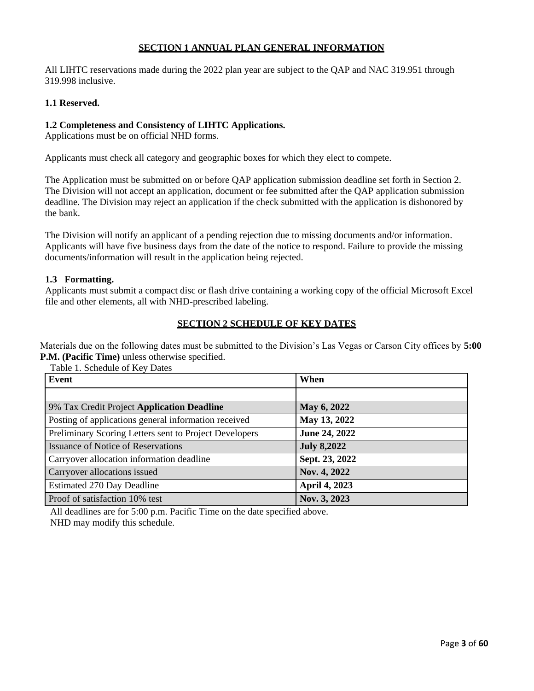## **SECTION 1 ANNUAL PLAN GENERAL INFORMATION**

All LIHTC reservations made during the 2022 plan year are subject to the QAP and NAC 319.951 through 319.998 inclusive.

#### **1.1 Reserved.**

#### **1.2 Completeness and Consistency of LIHTC Applications.**

Applications must be on official NHD forms.

Applicants must check all category and geographic boxes for which they elect to compete.

The Application must be submitted on or before QAP application submission deadline set forth in Section 2. The Division will not accept an application, document or fee submitted after the QAP application submission deadline. The Division may reject an application if the check submitted with the application is dishonored by the bank.

The Division will notify an applicant of a pending rejection due to missing documents and/or information. Applicants will have five business days from the date of the notice to respond. Failure to provide the missing documents/information will result in the application being rejected.

#### **1.3 Formatting.**

Applicants must submit a compact disc or flash drive containing a working copy of the official Microsoft Excel file and other elements, all with NHD-prescribed labeling.

#### **SECTION 2 SCHEDULE OF KEY DATES**

Materials due on the following dates must be submitted to the Division's Las Vegas or Carson City offices by **5:00 P.M. (Pacific Time)** unless otherwise specified.

| Event                                                  | When               |
|--------------------------------------------------------|--------------------|
|                                                        |                    |
| 9% Tax Credit Project Application Deadline             | May 6, 2022        |
| Posting of applications general information received   | May 13, 2022       |
| Preliminary Scoring Letters sent to Project Developers | June 24, 2022      |
| <b>Issuance of Notice of Reservations</b>              | <b>July 8,2022</b> |
| Carryover allocation information deadline              | Sept. 23, 2022     |
| Carryover allocations issued                           | Nov. 4, 2022       |
| <b>Estimated 270 Day Deadline</b>                      | April 4, 2023      |
| Proof of satisfaction 10% test                         | Nov. 3, 2023       |

Table 1. Schedule of Key Dates

All deadlines are for 5:00 p.m. Pacific Time on the date specified above. NHD may modify this schedule.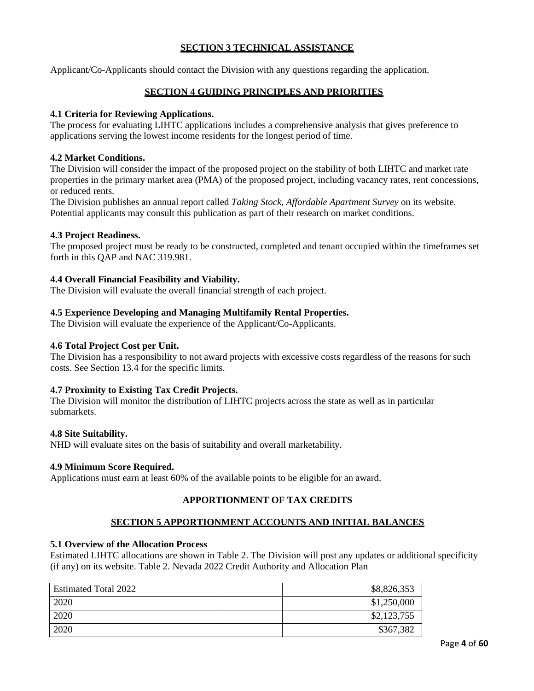# **SECTION 3 TECHNICAL ASSISTANCE**

Applicant/Co-Applicants should contact the Division with any questions regarding the application.

## **SECTION 4 GUIDING PRINCIPLES AND PRIORITIES**

#### **4.1 Criteria for Reviewing Applications.**

The process for evaluating LIHTC applications includes a comprehensive analysis that gives preference to applications serving the lowest income residents for the longest period of time.

#### **4.2 Market Conditions.**

The Division will consider the impact of the proposed project on the stability of both LIHTC and market rate properties in the primary market area (PMA) of the proposed project, including vacancy rates, rent concessions, or reduced rents.

The Division publishes an annual report called *Taking Stock*, *Affordable Apartment Survey* on its website. Potential applicants may consult this publication as part of their research on market conditions.

#### **4.3 Project Readiness.**

The proposed project must be ready to be constructed, completed and tenant occupied within the timeframes set forth in this QAP and NAC 319.981.

#### **4.4 Overall Financial Feasibility and Viability.**

The Division will evaluate the overall financial strength of each project.

#### **4.5 Experience Developing and Managing Multifamily Rental Properties.**

The Division will evaluate the experience of the Applicant/Co-Applicants.

#### **4.6 Total Project Cost per Unit.**

The Division has a responsibility to not award projects with excessive costs regardless of the reasons for such costs. See Section 13.4 for the specific limits.

#### **4.7 Proximity to Existing Tax Credit Projects.**

The Division will monitor the distribution of LIHTC projects across the state as well as in particular submarkets.

#### **4.8 Site Suitability.**

NHD will evaluate sites on the basis of suitability and overall marketability.

#### **4.9 Minimum Score Required.**

Applications must earn at least 60% of the available points to be eligible for an award.

## **APPORTIONMENT OF TAX CREDITS**

## **SECTION 5 APPORTIONMENT ACCOUNTS AND INITIAL BALANCES**

# **5.1 Overview of the Allocation Process**

Estimated LIHTC allocations are shown in Table 2. The Division will post any updates or additional specificity (if any) on its website. Table 2. Nevada 2022 Credit Authority and Allocation Plan

| <b>Estimated Total 2022</b> | \$8,826,353 |
|-----------------------------|-------------|
| 2020                        | \$1,250,000 |
| 2020                        | \$2,123,755 |
| 2020                        | \$367,382   |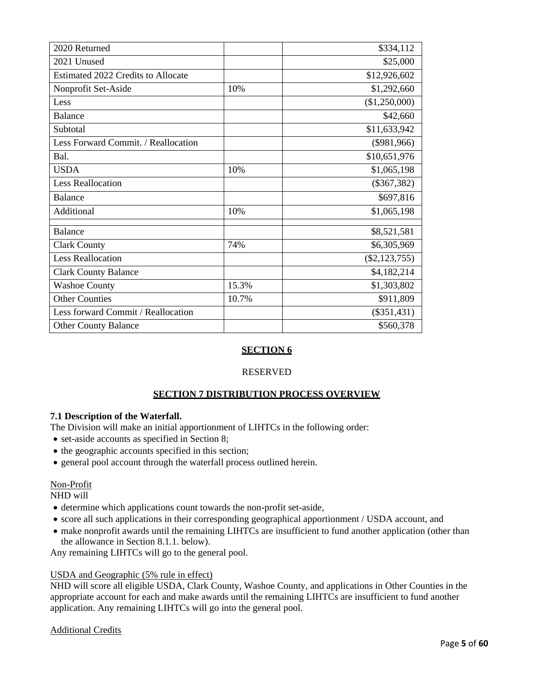| 2020 Returned                       |       | \$334,112       |
|-------------------------------------|-------|-----------------|
| 2021 Unused                         |       | \$25,000        |
| Estimated 2022 Credits to Allocate  |       | \$12,926,602    |
| Nonprofit Set-Aside                 | 10%   | \$1,292,660     |
| Less                                |       | (\$1,250,000)   |
| Balance                             |       | \$42,660        |
| Subtotal                            |       | \$11,633,942    |
| Less Forward Commit. / Reallocation |       | $(\$981,966)$   |
| Bal.                                |       | \$10,651,976    |
| <b>USDA</b>                         | 10%   | \$1,065,198     |
| <b>Less Reallocation</b>            |       | $(\$367,382)$   |
| Balance                             |       | \$697,816       |
| Additional                          | 10%   | \$1,065,198     |
| <b>Balance</b>                      |       | \$8,521,581     |
| <b>Clark County</b>                 | 74%   | \$6,305,969     |
| <b>Less Reallocation</b>            |       | $(\$2,123,755)$ |
| <b>Clark County Balance</b>         |       | \$4,182,214     |
| <b>Washoe County</b>                | 15.3% | \$1,303,802     |
| <b>Other Counties</b>               | 10.7% | \$911,809       |
| Less forward Commit / Reallocation  |       | $(\$351,431)$   |
| <b>Other County Balance</b>         |       | \$560,378       |

# **SECTION 6**

## RESERVED

# **SECTION 7 DISTRIBUTION PROCESS OVERVIEW**

## **7.1 Description of the Waterfall.**

The Division will make an initial apportionment of LIHTCs in the following order:

- set-aside accounts as specified in Section 8;
- the geographic accounts specified in this section;
- general pool account through the waterfall process outlined herein.

## Non-Profit

NHD will

- determine which applications count towards the non-profit set-aside,
- score all such applications in their corresponding geographical apportionment / USDA account, and
- make nonprofit awards until the remaining LIHTCs are insufficient to fund another application (other than the allowance in Section 8.1.1. below).

Any remaining LIHTCs will go to the general pool.

#### USDA and Geographic (5% rule in effect)

NHD will score all eligible USDA, Clark County, Washoe County, and applications in Other Counties in the appropriate account for each and make awards until the remaining LIHTCs are insufficient to fund another application. Any remaining LIHTCs will go into the general pool.

## Additional Credits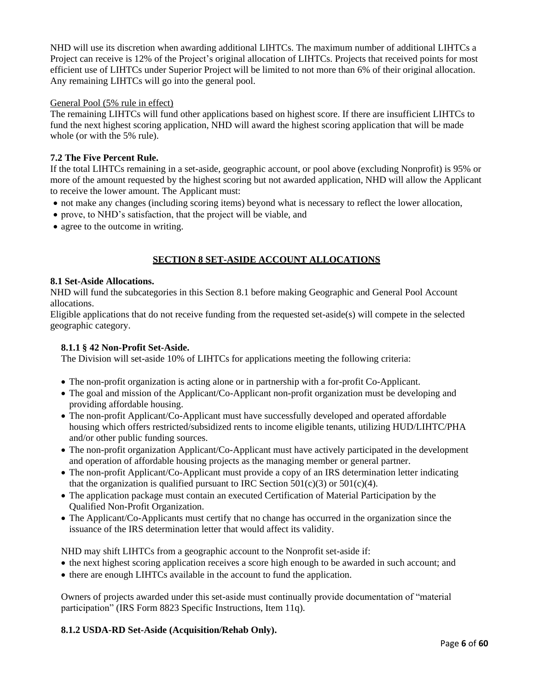NHD will use its discretion when awarding additional LIHTCs. The maximum number of additional LIHTCs a Project can receive is 12% of the Project's original allocation of LIHTCs. Projects that received points for most efficient use of LIHTCs under Superior Project will be limited to not more than 6% of their original allocation. Any remaining LIHTCs will go into the general pool.

## General Pool (5% rule in effect)

The remaining LIHTCs will fund other applications based on highest score. If there are insufficient LIHTCs to fund the next highest scoring application, NHD will award the highest scoring application that will be made whole (or with the 5% rule).

## **7.2 The Five Percent Rule.**

If the total LIHTCs remaining in a set-aside, geographic account, or pool above (excluding Nonprofit) is 95% or more of the amount requested by the highest scoring but not awarded application, NHD will allow the Applicant to receive the lower amount. The Applicant must:

- not make any changes (including scoring items) beyond what is necessary to reflect the lower allocation,
- prove, to NHD's satisfaction, that the project will be viable, and
- agree to the outcome in writing.

# **SECTION 8 SET-ASIDE ACCOUNT ALLOCATIONS**

#### **8.1 Set-Aside Allocations.**

NHD will fund the subcategories in this Section 8.1 before making Geographic and General Pool Account allocations.

Eligible applications that do not receive funding from the requested set-aside(s) will compete in the selected geographic category.

#### **8.1.1 § 42 Non-Profit Set-Aside.**

The Division will set-aside 10% of LIHTCs for applications meeting the following criteria:

- The non-profit organization is acting alone or in partnership with a for-profit Co-Applicant.
- The goal and mission of the Applicant/Co-Applicant non-profit organization must be developing and providing affordable housing.
- The non-profit Applicant/Co-Applicant must have successfully developed and operated affordable housing which offers restricted/subsidized rents to income eligible tenants, utilizing HUD/LIHTC/PHA and/or other public funding sources.
- The non-profit organization Applicant/Co-Applicant must have actively participated in the development and operation of affordable housing projects as the managing member or general partner.
- The non-profit Applicant/Co-Applicant must provide a copy of an IRS determination letter indicating that the organization is qualified pursuant to IRC Section  $501(c)(3)$  or  $501(c)(4)$ .
- The application package must contain an executed Certification of Material Participation by the Qualified Non-Profit Organization.
- The Applicant/Co-Applicants must certify that no change has occurred in the organization since the issuance of the IRS determination letter that would affect its validity.

NHD may shift LIHTCs from a geographic account to the Nonprofit set-aside if:

- the next highest scoring application receives a score high enough to be awarded in such account; and
- there are enough LIHTCs available in the account to fund the application.

Owners of projects awarded under this set-aside must continually provide documentation of "material participation" (IRS Form 8823 Specific Instructions, Item 11q).

## **8.1.2 USDA-RD Set-Aside (Acquisition/Rehab Only).**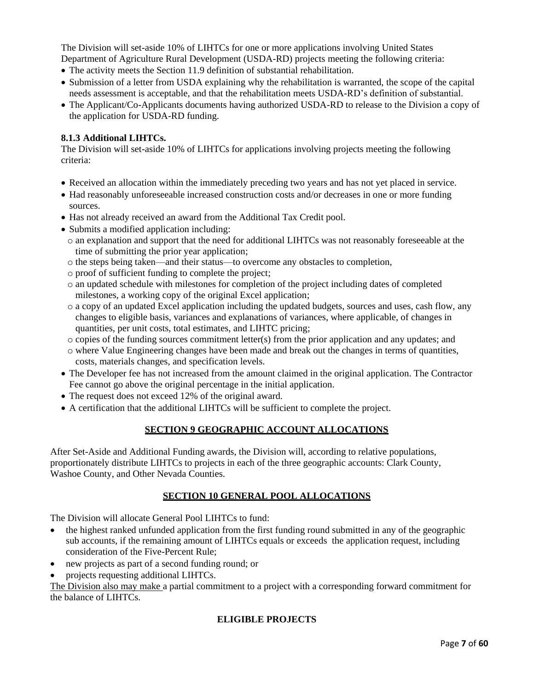The Division will set-aside 10% of LIHTCs for one or more applications involving United States

- Department of Agriculture Rural Development (USDA-RD) projects meeting the following criteria:
- The activity meets the Section 11.9 definition of substantial rehabilitation.
- Submission of a letter from USDA explaining why the rehabilitation is warranted, the scope of the capital needs assessment is acceptable, and that the rehabilitation meets USDA-RD's definition of substantial.
- The Applicant/Co-Applicants documents having authorized USDA-RD to release to the Division a copy of the application for USDA-RD funding.

## **8.1.3 Additional LIHTCs.**

The Division will set-aside 10% of LIHTCs for applications involving projects meeting the following criteria:

- Received an allocation within the immediately preceding two years and has not yet placed in service.
- Had reasonably unforeseeable increased construction costs and/or decreases in one or more funding sources.
- Has not already received an award from the Additional Tax Credit pool.
- Submits a modified application including:
	- o an explanation and support that the need for additional LIHTCs was not reasonably foreseeable at the time of submitting the prior year application;
	- o the steps being taken—and their status—to overcome any obstacles to completion,
	- o proof of sufficient funding to complete the project;
	- o an updated schedule with milestones for completion of the project including dates of completed milestones, a working copy of the original Excel application;
	- o a copy of an updated Excel application including the updated budgets, sources and uses, cash flow, any changes to eligible basis, variances and explanations of variances, where applicable, of changes in quantities, per unit costs, total estimates, and LIHTC pricing;
	- o copies of the funding sources commitment letter(s) from the prior application and any updates; and
	- o where Value Engineering changes have been made and break out the changes in terms of quantities, costs, materials changes, and specification levels.
- The Developer fee has not increased from the amount claimed in the original application. The Contractor Fee cannot go above the original percentage in the initial application.
- The request does not exceed 12% of the original award.
- A certification that the additional LIHTCs will be sufficient to complete the project.

# **SECTION 9 GEOGRAPHIC ACCOUNT ALLOCATIONS**

After Set-Aside and Additional Funding awards, the Division will, according to relative populations, proportionately distribute LIHTCs to projects in each of the three geographic accounts: Clark County, Washoe County, and Other Nevada Counties.

# **SECTION 10 GENERAL POOL ALLOCATIONS**

The Division will allocate General Pool LIHTCs to fund:

- the highest ranked unfunded application from the first funding round submitted in any of the geographic sub accounts, if the remaining amount of LIHTCs equals or exceeds the application request, including consideration of the Five-Percent Rule;
- new projects as part of a second funding round; or
- projects requesting additional LIHTCs.

The Division also may make a partial commitment to a project with a corresponding forward commitment for the balance of LIHTCs.

# **ELIGIBLE PROJECTS**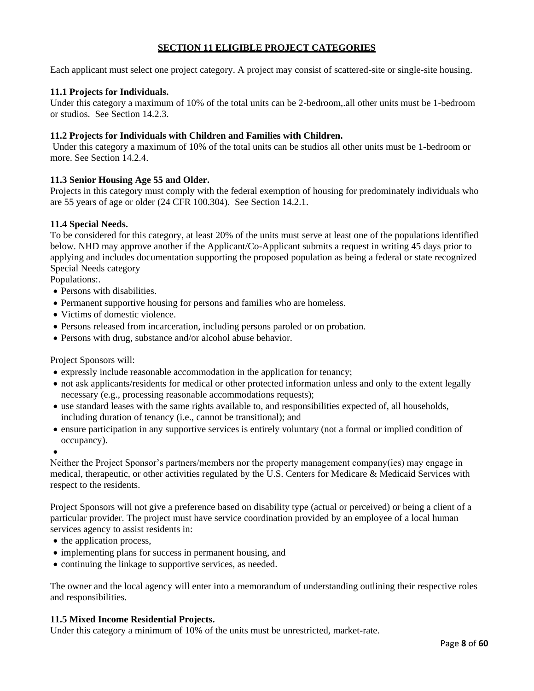# **SECTION 11 ELIGIBLE PROJECT CATEGORIES**

Each applicant must select one project category. A project may consist of scattered-site or single-site housing.

## **11.1 Projects for Individuals.**

Under this category a maximum of 10% of the total units can be 2-bedroom,.all other units must be 1-bedroom or studios. See Section 14.2.3.

## **11.2 Projects for Individuals with Children and Families with Children.**

Under this category a maximum of 10% of the total units can be studios all other units must be 1-bedroom or more. See Section 14.2.4.

## **11.3 Senior Housing Age 55 and Older.**

Projects in this category must comply with the federal exemption of housing for predominately individuals who are 55 years of age or older (24 CFR 100.304). See Section 14.2.1.

## **11.4 Special Needs.**

To be considered for this category, at least 20% of the units must serve at least one of the populations identified below. NHD may approve another if the Applicant/Co-Applicant submits a request in writing 45 days prior to applying and includes documentation supporting the proposed population as being a federal or state recognized Special Needs category

Populations:.

- Persons with disabilities.
- Permanent supportive housing for persons and families who are homeless.
- Victims of domestic violence.
- Persons released from incarceration, including persons paroled or on probation.
- Persons with drug, substance and/or alcohol abuse behavior.

Project Sponsors will:

- expressly include reasonable accommodation in the application for tenancy;
- not ask applicants/residents for medical or other protected information unless and only to the extent legally necessary (e.g., processing reasonable accommodations requests);
- use standard leases with the same rights available to, and responsibilities expected of, all households, including duration of tenancy (i.e., cannot be transitional); and
- ensure participation in any supportive services is entirely voluntary (not a formal or implied condition of occupancy).
- •

Neither the Project Sponsor's partners/members nor the property management company(ies) may engage in medical, therapeutic, or other activities regulated by the U.S. Centers for Medicare & Medicaid Services with respect to the residents.

Project Sponsors will not give a preference based on disability type (actual or perceived) or being a client of a particular provider. The project must have service coordination provided by an employee of a local human services agency to assist residents in:

- the application process,
- implementing plans for success in permanent housing, and
- continuing the linkage to supportive services, as needed.

The owner and the local agency will enter into a memorandum of understanding outlining their respective roles and responsibilities.

## **11.5 Mixed Income Residential Projects.**

Under this category a minimum of 10% of the units must be unrestricted, market-rate.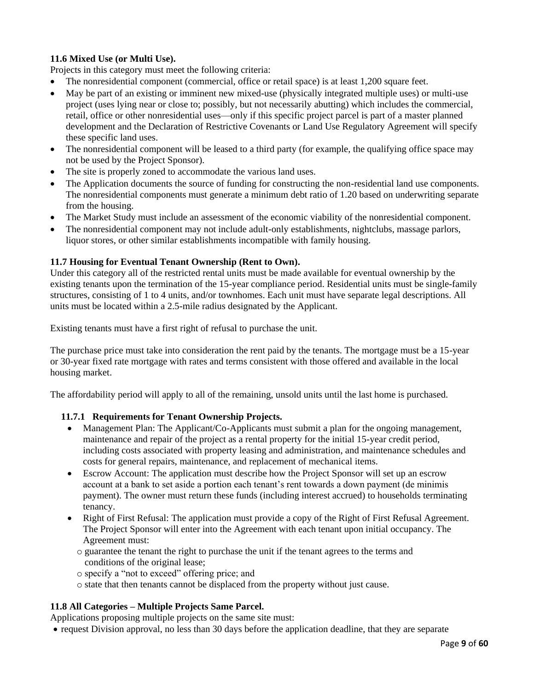# **11.6 Mixed Use (or Multi Use).**

Projects in this category must meet the following criteria:

- The nonresidential component (commercial, office or retail space) is at least 1,200 square feet.
- May be part of an existing or imminent new mixed-use (physically integrated multiple uses) or multi-use project (uses lying near or close to; possibly, but not necessarily abutting) which includes the commercial, retail, office or other nonresidential uses—only if this specific project parcel is part of a master planned development and the Declaration of Restrictive Covenants or Land Use Regulatory Agreement will specify these specific land uses.
- The nonresidential component will be leased to a third party (for example, the qualifying office space may not be used by the Project Sponsor).
- The site is properly zoned to accommodate the various land uses.
- The Application documents the source of funding for constructing the non-residential land use components. The nonresidential components must generate a minimum debt ratio of 1.20 based on underwriting separate from the housing.
- The Market Study must include an assessment of the economic viability of the nonresidential component.
- The nonresidential component may not include adult-only establishments, nightclubs, massage parlors, liquor stores, or other similar establishments incompatible with family housing.

## **11.7 Housing for Eventual Tenant Ownership (Rent to Own).**

Under this category all of the restricted rental units must be made available for eventual ownership by the existing tenants upon the termination of the 15-year compliance period. Residential units must be single-family structures, consisting of 1 to 4 units, and/or townhomes. Each unit must have separate legal descriptions. All units must be located within a 2.5-mile radius designated by the Applicant.

Existing tenants must have a first right of refusal to purchase the unit.

The purchase price must take into consideration the rent paid by the tenants. The mortgage must be a 15-year or 30-year fixed rate mortgage with rates and terms consistent with those offered and available in the local housing market.

The affordability period will apply to all of the remaining, unsold units until the last home is purchased.

## **11.7.1 Requirements for Tenant Ownership Projects.**

- Management Plan: The Applicant/Co-Applicants must submit a plan for the ongoing management, maintenance and repair of the project as a rental property for the initial 15-year credit period, including costs associated with property leasing and administration, and maintenance schedules and costs for general repairs, maintenance, and replacement of mechanical items.
- Escrow Account: The application must describe how the Project Sponsor will set up an escrow account at a bank to set aside a portion each tenant's rent towards a down payment (de minimis payment). The owner must return these funds (including interest accrued) to households terminating tenancy.
- Right of First Refusal: The application must provide a copy of the Right of First Refusal Agreement. The Project Sponsor will enter into the Agreement with each tenant upon initial occupancy. The Agreement must:
	- o guarantee the tenant the right to purchase the unit if the tenant agrees to the terms and conditions of the original lease;
	- o specify a "not to exceed" offering price; and
	- o state that then tenants cannot be displaced from the property without just cause.

# **11.8 All Categories – Multiple Projects Same Parcel.**

Applications proposing multiple projects on the same site must:

• request Division approval, no less than 30 days before the application deadline, that they are separate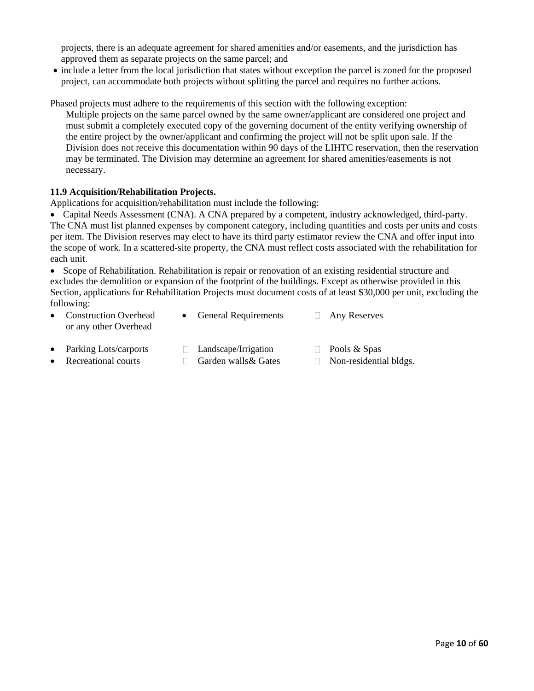projects, there is an adequate agreement for shared amenities and/or easements, and the jurisdiction has approved them as separate projects on the same parcel; and

• include a letter from the local jurisdiction that states without exception the parcel is zoned for the proposed project, can accommodate both projects without splitting the parcel and requires no further actions.

Phased projects must adhere to the requirements of this section with the following exception: Multiple projects on the same parcel owned by the same owner/applicant are considered one project and must submit a completely executed copy of the governing document of the entity verifying ownership of the entire project by the owner/applicant and confirming the project will not be split upon sale. If the Division does not receive this documentation within 90 days of the LIHTC reservation, then the reservation may be terminated. The Division may determine an agreement for shared amenities/easements is not necessary.

## **11.9 Acquisition/Rehabilitation Projects.**

Applications for acquisition/rehabilitation must include the following:

• Capital Needs Assessment (CNA). A CNA prepared by a competent, industry acknowledged, third-party. The CNA must list planned expenses by component category, including quantities and costs per units and costs per item. The Division reserves may elect to have its third party estimator review the CNA and offer input into the scope of work. In a scattered-site property, the CNA must reflect costs associated with the rehabilitation for each unit.

• Scope of Rehabilitation. Rehabilitation is repair or renovation of an existing residential structure and excludes the demolition or expansion of the footprint of the buildings. Except as otherwise provided in this Section, applications for Rehabilitation Projects must document costs of at least \$30,000 per unit, excluding the following:

- Construction Overhead or any other Overhead
- General Requirements  $\Box$  Any Reserves
- Parking Lots/carports  $\Box$  Landscape/Irrigation  $\Box$  Pools & Spas
	-
	-
- 
- 
- **Recreational courts**  $\Box$  Garden walls & Gates  $\Box$  Non-residential bldgs.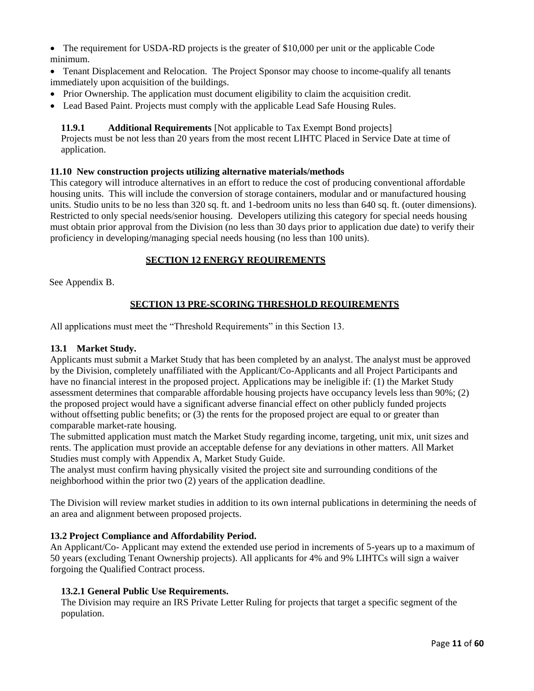• The requirement for USDA-RD projects is the greater of \$10,000 per unit or the applicable Code minimum.

- Tenant Displacement and Relocation. The Project Sponsor may choose to income-qualify all tenants immediately upon acquisition of the buildings.
- Prior Ownership. The application must document eligibility to claim the acquisition credit.
- Lead Based Paint. Projects must comply with the applicable Lead Safe Housing Rules.

## **11.9.1 Additional Requirements** [Not applicable to Tax Exempt Bond projects]

Projects must be not less than 20 years from the most recent LIHTC Placed in Service Date at time of application.

#### **11.10 New construction projects utilizing alternative materials/methods**

This category will introduce alternatives in an effort to reduce the cost of producing conventional affordable housing units. This will include the conversion of storage containers, modular and or manufactured housing units. Studio units to be no less than 320 sq. ft. and 1-bedroom units no less than 640 sq. ft. (outer dimensions). Restricted to only special needs/senior housing. Developers utilizing this category for special needs housing must obtain prior approval from the Division (no less than 30 days prior to application due date) to verify their proficiency in developing/managing special needs housing (no less than 100 units).

## **SECTION 12 ENERGY REQUIREMENTS**

See Appendix B.

# **SECTION 13 PRE-SCORING THRESHOLD REQUIREMENTS**

All applications must meet the "Threshold Requirements" in this Section 13.

## **13.1 Market Study.**

Applicants must submit a Market Study that has been completed by an analyst. The analyst must be approved by the Division, completely unaffiliated with the Applicant/Co-Applicants and all Project Participants and have no financial interest in the proposed project. Applications may be ineligible if: (1) the Market Study assessment determines that comparable affordable housing projects have occupancy levels less than 90%; (2) the proposed project would have a significant adverse financial effect on other publicly funded projects without offsetting public benefits; or (3) the rents for the proposed project are equal to or greater than comparable market-rate housing.

The submitted application must match the Market Study regarding income, targeting, unit mix, unit sizes and rents. The application must provide an acceptable defense for any deviations in other matters. All Market Studies must comply with Appendix A, Market Study Guide.

The analyst must confirm having physically visited the project site and surrounding conditions of the neighborhood within the prior two (2) years of the application deadline.

The Division will review market studies in addition to its own internal publications in determining the needs of an area and alignment between proposed projects.

## **13.2 Project Compliance and Affordability Period.**

An Applicant/Co- Applicant may extend the extended use period in increments of 5-years up to a maximum of 50 years (excluding Tenant Ownership projects). All applicants for 4% and 9% LIHTCs will sign a waiver forgoing the Qualified Contract process.

## **13.2.1 General Public Use Requirements.**

The Division may require an IRS Private Letter Ruling for projects that target a specific segment of the population.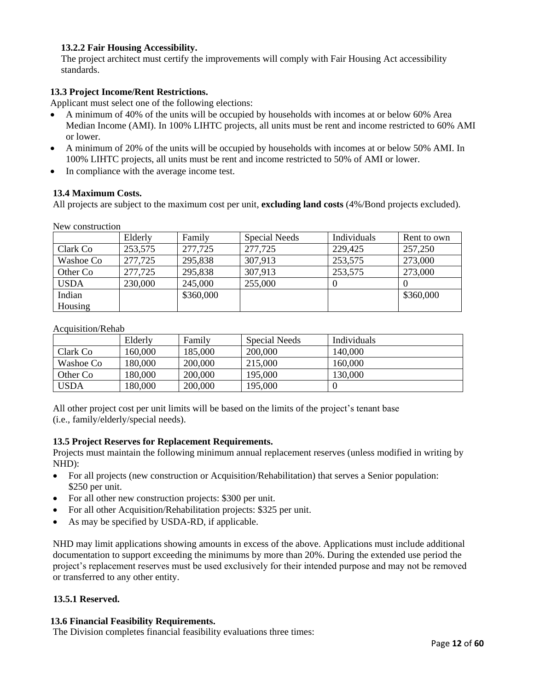# **13.2.2 Fair Housing Accessibility.**

The project architect must certify the improvements will comply with Fair Housing Act accessibility standards.

## **13.3 Project Income/Rent Restrictions.**

Applicant must select one of the following elections:

- A minimum of 40% of the units will be occupied by households with incomes at or below 60% Area Median Income (AMI). In 100% LIHTC projects, all units must be rent and income restricted to 60% AMI or lower.
- A minimum of 20% of the units will be occupied by households with incomes at or below 50% AMI. In 100% LIHTC projects, all units must be rent and income restricted to 50% of AMI or lower.
- In compliance with the average income test.

#### **13.4 Maximum Costs.**

All projects are subject to the maximum cost per unit, **excluding land costs** (4%/Bond projects excluded).

New construction

|             | Elderly | Family    | Special Needs | Individuals | Rent to own |
|-------------|---------|-----------|---------------|-------------|-------------|
| Clark Co    | 253,575 | 277,725   | 277,725       | 229,425     | 257,250     |
| Washoe Co   | 277,725 | 295,838   | 307,913       | 253,575     | 273,000     |
| Other Co    | 277,725 | 295,838   | 307,913       | 253,575     | 273,000     |
| <b>USDA</b> | 230,000 | 245,000   | 255,000       |             |             |
| Indian      |         | \$360,000 |               |             | \$360,000   |
| Housing     |         |           |               |             |             |

Acquisition/Rehab

|             | Elderly | Family  | Special Needs | Individuals |
|-------------|---------|---------|---------------|-------------|
| Clark Co    | 160,000 | 185,000 | 200,000       | 140,000     |
| Washoe Co   | 180,000 | 200,000 | 215,000       | 160,000     |
| Other Co    | 180,000 | 200,000 | 195,000       | 130,000     |
| <b>USDA</b> | 180,000 | 200,000 | 195,000       |             |

All other project cost per unit limits will be based on the limits of the project's tenant base (i.e., family/elderly/special needs).

## **13.5 Project Reserves for Replacement Requirements.**

Projects must maintain the following minimum annual replacement reserves (unless modified in writing by NHD):

- For all projects (new construction or Acquisition/Rehabilitation) that serves a Senior population: \$250 per unit.
- For all other new construction projects: \$300 per unit.
- For all other Acquisition/Rehabilitation projects: \$325 per unit.
- As may be specified by USDA-RD, if applicable.

NHD may limit applications showing amounts in excess of the above. Applications must include additional documentation to support exceeding the minimums by more than 20%. During the extended use period the project's replacement reserves must be used exclusively for their intended purpose and may not be removed or transferred to any other entity.

#### **13.5.1 Reserved.**

#### **13.6 Financial Feasibility Requirements.**

The Division completes financial feasibility evaluations three times: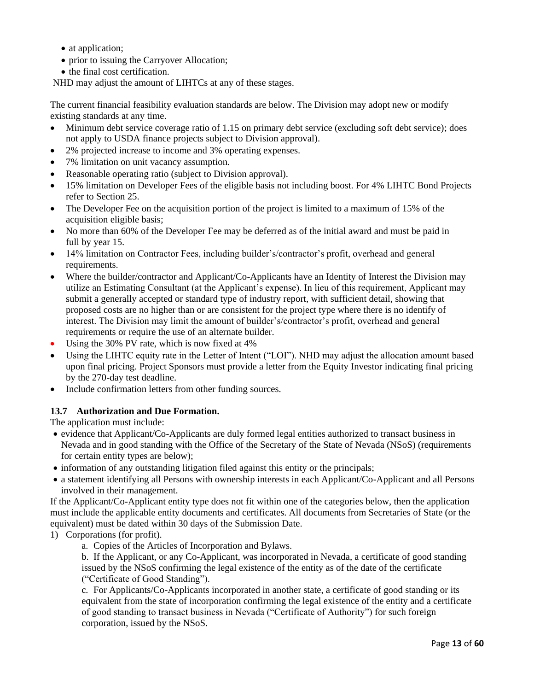- at application;
- prior to issuing the Carryover Allocation;
- the final cost certification.

NHD may adjust the amount of LIHTCs at any of these stages.

The current financial feasibility evaluation standards are below. The Division may adopt new or modify existing standards at any time.

- Minimum debt service coverage ratio of 1.15 on primary debt service (excluding soft debt service); does not apply to USDA finance projects subject to Division approval).
- 2% projected increase to income and 3% operating expenses.
- 7% limitation on unit vacancy assumption.
- Reasonable operating ratio (subject to Division approval).
- 15% limitation on Developer Fees of the eligible basis not including boost. For 4% LIHTC Bond Projects refer to Section 25.
- The Developer Fee on the acquisition portion of the project is limited to a maximum of 15% of the acquisition eligible basis;
- No more than 60% of the Developer Fee may be deferred as of the initial award and must be paid in full by year 15.
- 14% limitation on Contractor Fees, including builder's/contractor's profit, overhead and general requirements.
- Where the builder/contractor and Applicant/Co-Applicants have an Identity of Interest the Division may utilize an Estimating Consultant (at the Applicant's expense). In lieu of this requirement, Applicant may submit a generally accepted or standard type of industry report, with sufficient detail, showing that proposed costs are no higher than or are consistent for the project type where there is no identify of interest. The Division may limit the amount of builder's/contractor's profit, overhead and general requirements or require the use of an alternate builder.
- Using the 30% PV rate, which is now fixed at 4%
- Using the LIHTC equity rate in the Letter of Intent ("LOI"). NHD may adjust the allocation amount based upon final pricing. Project Sponsors must provide a letter from the Equity Investor indicating final pricing by the 270-day test deadline.
- Include confirmation letters from other funding sources.

## **13.7 Authorization and Due Formation.**

The application must include:

- evidence that Applicant/Co-Applicants are duly formed legal entities authorized to transact business in Nevada and in good standing with the Office of the Secretary of the State of Nevada (NSoS) (requirements for certain entity types are below);
- information of any outstanding litigation filed against this entity or the principals;
- a statement identifying all Persons with ownership interests in each Applicant/Co-Applicant and all Persons involved in their management.

If the Applicant/Co-Applicant entity type does not fit within one of the categories below, then the application must include the applicable entity documents and certificates. All documents from Secretaries of State (or the equivalent) must be dated within 30 days of the Submission Date.

1) Corporations (for profit).

a. Copies of the Articles of Incorporation and Bylaws.

b. If the Applicant, or any Co-Applicant, was incorporated in Nevada, a certificate of good standing issued by the NSoS confirming the legal existence of the entity as of the date of the certificate ("Certificate of Good Standing").

c. For Applicants/Co-Applicants incorporated in another state, a certificate of good standing or its equivalent from the state of incorporation confirming the legal existence of the entity and a certificate of good standing to transact business in Nevada ("Certificate of Authority") for such foreign corporation, issued by the NSoS.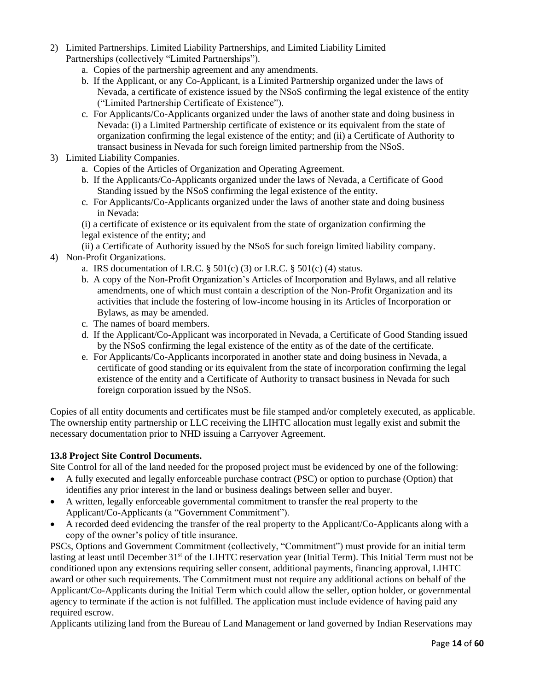- 2) Limited Partnerships. Limited Liability Partnerships, and Limited Liability Limited Partnerships (collectively "Limited Partnerships").
	- a. Copies of the partnership agreement and any amendments.
	- b. If the Applicant, or any Co-Applicant, is a Limited Partnership organized under the laws of Nevada, a certificate of existence issued by the NSoS confirming the legal existence of the entity ("Limited Partnership Certificate of Existence").
	- c. For Applicants/Co-Applicants organized under the laws of another state and doing business in Nevada: (i) a Limited Partnership certificate of existence or its equivalent from the state of organization confirming the legal existence of the entity; and (ii) a Certificate of Authority to transact business in Nevada for such foreign limited partnership from the NSoS.
- 3) Limited Liability Companies.
	- a. Copies of the Articles of Organization and Operating Agreement.
	- b. If the Applicants/Co-Applicants organized under the laws of Nevada, a Certificate of Good Standing issued by the NSoS confirming the legal existence of the entity.
	- c. For Applicants/Co-Applicants organized under the laws of another state and doing business in Nevada:
	- (i) a certificate of existence or its equivalent from the state of organization confirming the legal existence of the entity; and
	- (ii) a Certificate of Authority issued by the NSoS for such foreign limited liability company.
- 4) Non-Profit Organizations.
	- a. IRS documentation of I.R.C.  $\S$  501(c) (3) or I.R.C.  $\S$  501(c) (4) status.
	- b. A copy of the Non-Profit Organization's Articles of Incorporation and Bylaws, and all relative amendments, one of which must contain a description of the Non-Profit Organization and its activities that include the fostering of low-income housing in its Articles of Incorporation or Bylaws, as may be amended.
	- c. The names of board members.
	- d. If the Applicant/Co-Applicant was incorporated in Nevada, a Certificate of Good Standing issued by the NSoS confirming the legal existence of the entity as of the date of the certificate.
	- e. For Applicants/Co-Applicants incorporated in another state and doing business in Nevada, a certificate of good standing or its equivalent from the state of incorporation confirming the legal existence of the entity and a Certificate of Authority to transact business in Nevada for such foreign corporation issued by the NSoS.

Copies of all entity documents and certificates must be file stamped and/or completely executed, as applicable. The ownership entity partnership or LLC receiving the LIHTC allocation must legally exist and submit the necessary documentation prior to NHD issuing a Carryover Agreement.

# **13.8 Project Site Control Documents.**

Site Control for all of the land needed for the proposed project must be evidenced by one of the following:

- A fully executed and legally enforceable purchase contract (PSC) or option to purchase (Option) that identifies any prior interest in the land or business dealings between seller and buyer.
- A written, legally enforceable governmental commitment to transfer the real property to the Applicant/Co-Applicants (a "Government Commitment").
- A recorded deed evidencing the transfer of the real property to the Applicant/Co-Applicants along with a copy of the owner's policy of title insurance.

PSCs, Options and Government Commitment (collectively, "Commitment") must provide for an initial term lasting at least until December 31<sup>st</sup> of the LIHTC reservation year (Initial Term). This Initial Term must not be conditioned upon any extensions requiring seller consent, additional payments, financing approval, LIHTC award or other such requirements. The Commitment must not require any additional actions on behalf of the Applicant/Co-Applicants during the Initial Term which could allow the seller, option holder, or governmental agency to terminate if the action is not fulfilled. The application must include evidence of having paid any required escrow.

Applicants utilizing land from the Bureau of Land Management or land governed by Indian Reservations may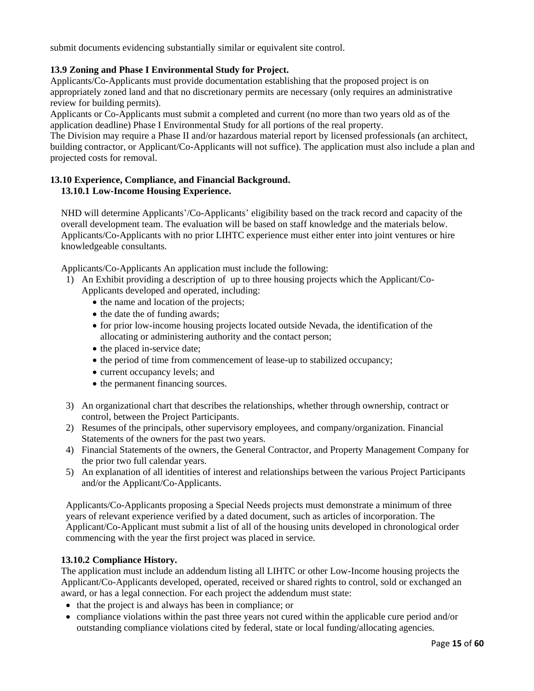submit documents evidencing substantially similar or equivalent site control.

# **13.9 Zoning and Phase I Environmental Study for Project.**

Applicants/Co-Applicants must provide documentation establishing that the proposed project is on appropriately zoned land and that no discretionary permits are necessary (only requires an administrative review for building permits).

Applicants or Co-Applicants must submit a completed and current (no more than two years old as of the application deadline) Phase I Environmental Study for all portions of the real property.

The Division may require a Phase II and/or hazardous material report by licensed professionals (an architect, building contractor, or Applicant/Co-Applicants will not suffice). The application must also include a plan and projected costs for removal.

# **13.10 Experience, Compliance, and Financial Background. 13.10.1 Low-Income Housing Experience.**

NHD will determine Applicants'/Co-Applicants' eligibility based on the track record and capacity of the overall development team. The evaluation will be based on staff knowledge and the materials below. Applicants/Co-Applicants with no prior LIHTC experience must either enter into joint ventures or hire knowledgeable consultants.

Applicants/Co-Applicants An application must include the following:

- 1) An Exhibit providing a description of up to three housing projects which the Applicant/Co-Applicants developed and operated, including:
	- the name and location of the projects;
	- the date the of funding awards;
	- for prior low-income housing projects located outside Nevada, the identification of the allocating or administering authority and the contact person;
	- the placed in-service date;
	- the period of time from commencement of lease-up to stabilized occupancy;
	- current occupancy levels; and
	- the permanent financing sources.
- 3) An organizational chart that describes the relationships, whether through ownership, contract or control, between the Project Participants.
- 2) Resumes of the principals, other supervisory employees, and company/organization. Financial Statements of the owners for the past two years.
- 4) Financial Statements of the owners, the General Contractor, and Property Management Company for the prior two full calendar years.
- 5) An explanation of all identities of interest and relationships between the various Project Participants and/or the Applicant/Co-Applicants.

Applicants/Co-Applicants proposing a Special Needs projects must demonstrate a minimum of three years of relevant experience verified by a dated document, such as articles of incorporation. The Applicant/Co-Applicant must submit a list of all of the housing units developed in chronological order commencing with the year the first project was placed in service.

## **13.10.2 Compliance History.**

The application must include an addendum listing all LIHTC or other Low-Income housing projects the Applicant/Co-Applicants developed, operated, received or shared rights to control, sold or exchanged an award, or has a legal connection. For each project the addendum must state:

- that the project is and always has been in compliance; or
- compliance violations within the past three years not cured within the applicable cure period and/or outstanding compliance violations cited by federal, state or local funding/allocating agencies.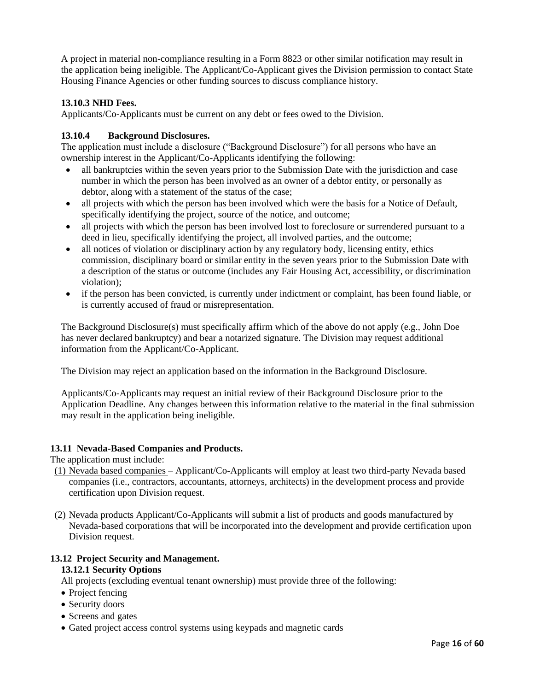A project in material non-compliance resulting in a Form 8823 or other similar notification may result in the application being ineligible. The Applicant/Co-Applicant gives the Division permission to contact State Housing Finance Agencies or other funding sources to discuss compliance history.

## **13.10.3 NHD Fees.**

Applicants/Co-Applicants must be current on any debt or fees owed to the Division.

## **13.10.4 Background Disclosures.**

The application must include a disclosure ("Background Disclosure") for all persons who have an ownership interest in the Applicant/Co-Applicants identifying the following:

- all bankruptcies within the seven years prior to the Submission Date with the jurisdiction and case number in which the person has been involved as an owner of a debtor entity, or personally as debtor, along with a statement of the status of the case;
- all projects with which the person has been involved which were the basis for a Notice of Default, specifically identifying the project, source of the notice, and outcome;
- all projects with which the person has been involved lost to foreclosure or surrendered pursuant to a deed in lieu, specifically identifying the project, all involved parties, and the outcome;
- all notices of violation or disciplinary action by any regulatory body, licensing entity, ethics commission, disciplinary board or similar entity in the seven years prior to the Submission Date with a description of the status or outcome (includes any Fair Housing Act, accessibility, or discrimination violation);
- if the person has been convicted, is currently under indictment or complaint, has been found liable, or is currently accused of fraud or misrepresentation.

The Background Disclosure(s) must specifically affirm which of the above do not apply (e.g., John Doe has never declared bankruptcy) and bear a notarized signature. The Division may request additional information from the Applicant/Co-Applicant.

The Division may reject an application based on the information in the Background Disclosure.

Applicants/Co-Applicants may request an initial review of their Background Disclosure prior to the Application Deadline. Any changes between this information relative to the material in the final submission may result in the application being ineligible.

## **13.11 Nevada-Based Companies and Products.**

The application must include:

- (1) Nevada based companies Applicant/Co-Applicants will employ at least two third-party Nevada based companies (i.e., contractors, accountants, attorneys, architects) in the development process and provide certification upon Division request.
- (2) Nevada products Applicant/Co-Applicants will submit a list of products and goods manufactured by Nevada-based corporations that will be incorporated into the development and provide certification upon Division request.

# **13.12 Project Security and Management.**

#### **13.12.1 Security Options**

All projects (excluding eventual tenant ownership) must provide three of the following:

- Project fencing
- Security doors
- Screens and gates
- Gated project access control systems using keypads and magnetic cards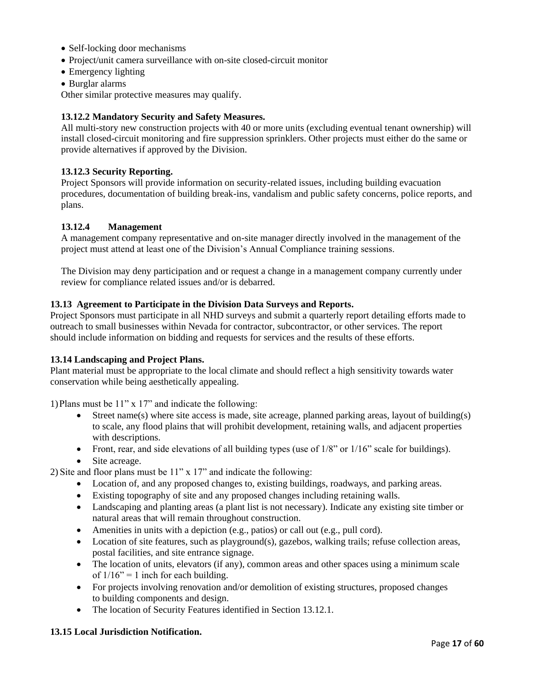- Self-locking door mechanisms
- Project/unit camera surveillance with on-site closed-circuit monitor
- Emergency lighting
- Burglar alarms

Other similar protective measures may qualify.

#### **13.12.2 Mandatory Security and Safety Measures.**

All multi-story new construction projects with 40 or more units (excluding eventual tenant ownership) will install closed-circuit monitoring and fire suppression sprinklers. Other projects must either do the same or provide alternatives if approved by the Division.

#### **13.12.3 Security Reporting.**

Project Sponsors will provide information on security-related issues, including building evacuation procedures, documentation of building break-ins, vandalism and public safety concerns, police reports, and plans.

#### **13.12.4 Management**

A management company representative and on-site manager directly involved in the management of the project must attend at least one of the Division's Annual Compliance training sessions.

The Division may deny participation and or request a change in a management company currently under review for compliance related issues and/or is debarred.

#### **13.13 Agreement to Participate in the Division Data Surveys and Reports.**

Project Sponsors must participate in all NHD surveys and submit a quarterly report detailing efforts made to outreach to small businesses within Nevada for contractor, subcontractor, or other services. The report should include information on bidding and requests for services and the results of these efforts.

#### **13.14 Landscaping and Project Plans.**

Plant material must be appropriate to the local climate and should reflect a high sensitivity towards water conservation while being aesthetically appealing.

1)Plans must be 11" x 17" and indicate the following:

- Street name(s) where site access is made, site acreage, planned parking areas, layout of building(s) to scale, any flood plains that will prohibit development, retaining walls, and adjacent properties with descriptions.
- Front, rear, and side elevations of all building types (use of  $1/8$ " or  $1/16$ " scale for buildings).
- Site acreage.

2) Site and floor plans must be 11" x 17" and indicate the following:

- Location of, and any proposed changes to, existing buildings, roadways, and parking areas.
- Existing topography of site and any proposed changes including retaining walls.
- Landscaping and planting areas (a plant list is not necessary). Indicate any existing site timber or natural areas that will remain throughout construction.
- Amenities in units with a depiction (e.g., patios) or call out (e.g., pull cord).
- Location of site features, such as playground(s), gazebos, walking trails; refuse collection areas, postal facilities, and site entrance signage.
- The location of units, elevators (if any), common areas and other spaces using a minimum scale of  $1/16$ " = 1 inch for each building.
- For projects involving renovation and/or demolition of existing structures, proposed changes to building components and design.
- The location of Security Features identified in Section 13.12.1.

#### **13.15 Local Jurisdiction Notification.**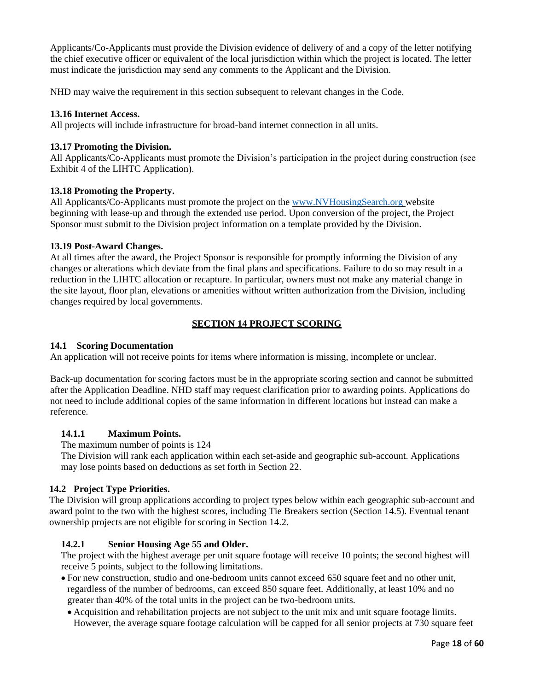Applicants/Co-Applicants must provide the Division evidence of delivery of and a copy of the letter notifying the chief executive officer or equivalent of the local jurisdiction within which the project is located. The letter must indicate the jurisdiction may send any comments to the Applicant and the Division.

NHD may waive the requirement in this section subsequent to relevant changes in the Code.

#### **13.16 Internet Access.**

All projects will include infrastructure for broad-band internet connection in all units.

#### **13.17 Promoting the Division.**

All Applicants/Co-Applicants must promote the Division's participation in the project during construction (see Exhibit 4 of the LIHTC Application).

#### **13.18 Promoting the Property.**

All Applicants/Co-Applicants must promote the project on the www.NVHousingSearch.org website beginning with lease-up and through the extended use period. Upon conversion of the project, the Project Sponsor must submit to the Division project information on a template provided by the Division.

#### **13.19 Post-Award Changes.**

At all times after the award, the Project Sponsor is responsible for promptly informing the Division of any changes or alterations which deviate from the final plans and specifications. Failure to do so may result in a reduction in the LIHTC allocation or recapture. In particular, owners must not make any material change in the site layout, floor plan, elevations or amenities without written authorization from the Division, including changes required by local governments.

## **SECTION 14 PROJECT SCORING**

#### **14.1 Scoring Documentation**

An application will not receive points for items where information is missing, incomplete or unclear.

Back-up documentation for scoring factors must be in the appropriate scoring section and cannot be submitted after the Application Deadline. NHD staff may request clarification prior to awarding points. Applications do not need to include additional copies of the same information in different locations but instead can make a reference.

## **14.1.1 Maximum Points.**

The maximum number of points is 124

The Division will rank each application within each set-aside and geographic sub-account. Applications may lose points based on deductions as set forth in Section 22.

## **14.2 Project Type Priorities.**

The Division will group applications according to project types below within each geographic sub-account and award point to the two with the highest scores, including Tie Breakers section (Section 14.5). Eventual tenant ownership projects are not eligible for scoring in Section 14.2.

## **14.2.1 Senior Housing Age 55 and Older.**

The project with the highest average per unit square footage will receive 10 points; the second highest will receive 5 points, subject to the following limitations.

- For new construction, studio and one-bedroom units cannot exceed 650 square feet and no other unit, regardless of the number of bedrooms, can exceed 850 square feet. Additionally, at least 10% and no greater than 40% of the total units in the project can be two-bedroom units.
	- Acquisition and rehabilitation projects are not subject to the unit mix and unit square footage limits. However, the average square footage calculation will be capped for all senior projects at 730 square feet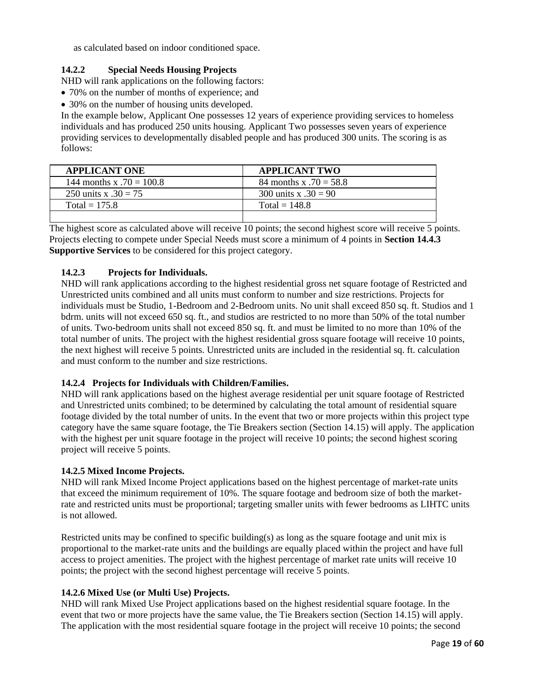as calculated based on indoor conditioned space.

## **14.2.2 Special Needs Housing Projects**

NHD will rank applications on the following factors:

- 70% on the number of months of experience; and
- 30% on the number of housing units developed.

In the example below, Applicant One possesses 12 years of experience providing services to homeless individuals and has produced 250 units housing. Applicant Two possesses seven years of experience providing services to developmentally disabled people and has produced 300 units. The scoring is as follows:

| <b>APPLICANT ONE</b>       | <b>APPLICANT TWO</b>     |
|----------------------------|--------------------------|
| 144 months x $.70 = 100.8$ | 84 months x $.70 = 58.8$ |
| 250 units x $.30 = 75$     | 300 units x .30 = 90     |
| Total = $175.8$            | Total = $148.8$          |
|                            |                          |

The highest score as calculated above will receive 10 points; the second highest score will receive 5 points. Projects electing to compete under Special Needs must score a minimum of 4 points in **Section 14.4.3 Supportive Services** to be considered for this project category.

## **14.2.3 Projects for Individuals.**

NHD will rank applications according to the highest residential gross net square footage of Restricted and Unrestricted units combined and all units must conform to number and size restrictions. Projects for individuals must be Studio, 1-Bedroom and 2-Bedroom units. No unit shall exceed 850 sq. ft. Studios and 1 bdrm. units will not exceed 650 sq. ft., and studios are restricted to no more than 50% of the total number of units. Two-bedroom units shall not exceed 850 sq. ft. and must be limited to no more than 10% of the total number of units. The project with the highest residential gross square footage will receive 10 points, the next highest will receive 5 points. Unrestricted units are included in the residential sq. ft. calculation and must conform to the number and size restrictions.

## **14.2.4 Projects for Individuals with Children/Families.**

NHD will rank applications based on the highest average residential per unit square footage of Restricted and Unrestricted units combined; to be determined by calculating the total amount of residential square footage divided by the total number of units. In the event that two or more projects within this project type category have the same square footage, the Tie Breakers section (Section 14.15) will apply. The application with the highest per unit square footage in the project will receive 10 points; the second highest scoring project will receive 5 points.

## **14.2.5 Mixed Income Projects.**

NHD will rank Mixed Income Project applications based on the highest percentage of market-rate units that exceed the minimum requirement of 10%. The square footage and bedroom size of both the marketrate and restricted units must be proportional; targeting smaller units with fewer bedrooms as LIHTC units is not allowed.

Restricted units may be confined to specific building(s) as long as the square footage and unit mix is proportional to the market-rate units and the buildings are equally placed within the project and have full access to project amenities. The project with the highest percentage of market rate units will receive 10 points; the project with the second highest percentage will receive 5 points.

## **14.2.6 Mixed Use (or Multi Use) Projects.**

NHD will rank Mixed Use Project applications based on the highest residential square footage. In the event that two or more projects have the same value, the Tie Breakers section (Section 14.15) will apply. The application with the most residential square footage in the project will receive 10 points; the second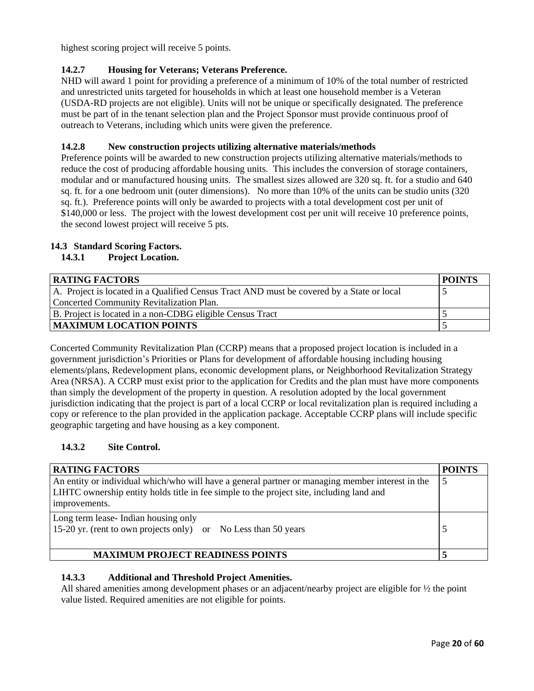highest scoring project will receive 5 points.

# **14.2.7 Housing for Veterans; Veterans Preference.**

NHD will award 1 point for providing a preference of a minimum of 10% of the total number of restricted and unrestricted units targeted for households in which at least one household member is a Veteran (USDA-RD projects are not eligible). Units will not be unique or specifically designated. The preference must be part of in the tenant selection plan and the Project Sponsor must provide continuous proof of outreach to Veterans, including which units were given the preference.

## **14.2.8 New construction projects utilizing alternative materials/methods**

Preference points will be awarded to new construction projects utilizing alternative materials/methods to reduce the cost of producing affordable housing units. This includes the conversion of storage containers, modular and or manufactured housing units. The smallest sizes allowed are 320 sq. ft. for a studio and 640 sq. ft. for a one bedroom unit (outer dimensions). No more than 10% of the units can be studio units (320 sq. ft.). Preference points will only be awarded to projects with a total development cost per unit of \$140,000 or less. The project with the lowest development cost per unit will receive 10 preference points, the second lowest project will receive 5 pts.

## **14.3 Standard Scoring Factors.**

## **14.3.1 Project Location.**

| <b>RATING FACTORS</b>                                                                     | <b>POINTS</b> |
|-------------------------------------------------------------------------------------------|---------------|
| A. Project is located in a Qualified Census Tract AND must be covered by a State or local |               |
| Concerted Community Revitalization Plan.                                                  |               |
| B. Project is located in a non-CDBG eligible Census Tract                                 |               |
| <b>MAXIMUM LOCATION POINTS</b>                                                            |               |

Concerted Community Revitalization Plan (CCRP) means that a proposed project location is included in a government jurisdiction's Priorities or Plans for development of affordable housing including housing elements/plans, Redevelopment plans, economic development plans, or Neighborhood Revitalization Strategy Area (NRSA). A CCRP must exist prior to the application for Credits and the plan must have more components than simply the development of the property in question. A resolution adopted by the local government jurisdiction indicating that the project is part of a local CCRP or local revitalization plan is required including a copy or reference to the plan provided in the application package. Acceptable CCRP plans will include specific geographic targeting and have housing as a key component.

# **14.3.2 Site Control.**

| <b>RATING FACTORS</b>                                                                                                                                                                                              | <b>POINTS</b> |  |  |
|--------------------------------------------------------------------------------------------------------------------------------------------------------------------------------------------------------------------|---------------|--|--|
| An entity or individual which/who will have a general partner or managing member interest in the<br>5<br>LIHTC ownership entity holds title in fee simple to the project site, including land and<br>improvements. |               |  |  |
| Long term lease-Indian housing only<br>15-20 yr. (rent to own projects only) or No Less than 50 years                                                                                                              |               |  |  |
| <b>MAXIMUM PROJECT READINESS POINTS</b>                                                                                                                                                                            |               |  |  |

## **14.3.3 Additional and Threshold Project Amenities.**

All shared amenities among development phases or an adjacent/nearby project are eligible for ½ the point value listed. Required amenities are not eligible for points.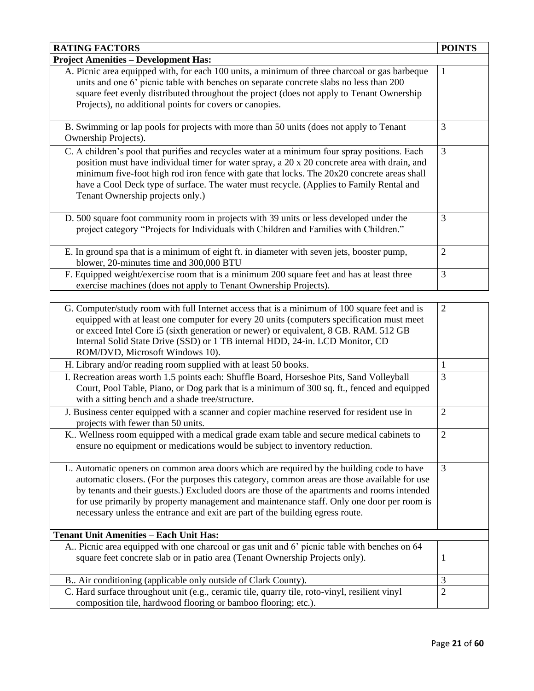| <b>RATING FACTORS</b>                                                                                                                                                                                                                                                                                                                                                                                                                                                  | <b>POINTS</b>  |
|------------------------------------------------------------------------------------------------------------------------------------------------------------------------------------------------------------------------------------------------------------------------------------------------------------------------------------------------------------------------------------------------------------------------------------------------------------------------|----------------|
| <b>Project Amenities - Development Has:</b>                                                                                                                                                                                                                                                                                                                                                                                                                            |                |
| A. Picnic area equipped with, for each 100 units, a minimum of three charcoal or gas barbeque<br>units and one 6' picnic table with benches on separate concrete slabs no less than 200<br>square feet evenly distributed throughout the project (does not apply to Tenant Ownership<br>Projects), no additional points for covers or canopies.                                                                                                                        | 1              |
| B. Swimming or lap pools for projects with more than 50 units (does not apply to Tenant<br>Ownership Projects).                                                                                                                                                                                                                                                                                                                                                        | 3              |
| C. A children's pool that purifies and recycles water at a minimum four spray positions. Each<br>position must have individual timer for water spray, a $20 \times 20$ concrete area with drain, and<br>minimum five-foot high rod iron fence with gate that locks. The 20x20 concrete areas shall<br>have a Cool Deck type of surface. The water must recycle. (Applies to Family Rental and<br>Tenant Ownership projects only.)                                      | 3              |
| D. 500 square foot community room in projects with 39 units or less developed under the<br>project category "Projects for Individuals with Children and Families with Children."                                                                                                                                                                                                                                                                                       | 3              |
| E. In ground spa that is a minimum of eight ft. in diameter with seven jets, booster pump,<br>blower, 20-minutes time and 300,000 BTU                                                                                                                                                                                                                                                                                                                                  | $\overline{2}$ |
| F. Equipped weight/exercise room that is a minimum 200 square feet and has at least three<br>exercise machines (does not apply to Tenant Ownership Projects).                                                                                                                                                                                                                                                                                                          | 3              |
|                                                                                                                                                                                                                                                                                                                                                                                                                                                                        |                |
| G. Computer/study room with full Internet access that is a minimum of 100 square feet and is<br>equipped with at least one computer for every 20 units (computers specification must meet<br>or exceed Intel Core i5 (sixth generation or newer) or equivalent, 8 GB. RAM. 512 GB<br>Internal Solid State Drive (SSD) or 1 TB internal HDD, 24-in. LCD Monitor, CD<br>ROM/DVD, Microsoft Windows 10).                                                                  | $\overline{2}$ |
| H. Library and/or reading room supplied with at least 50 books.                                                                                                                                                                                                                                                                                                                                                                                                        | $\mathbf{1}$   |
| I. Recreation areas worth 1.5 points each: Shuffle Board, Horseshoe Pits, Sand Volleyball<br>Court, Pool Table, Piano, or Dog park that is a minimum of 300 sq. ft., fenced and equipped<br>with a sitting bench and a shade tree/structure.                                                                                                                                                                                                                           | 3              |
| J. Business center equipped with a scanner and copier machine reserved for resident use in<br>projects with fewer than 50 units.                                                                                                                                                                                                                                                                                                                                       | $\overline{2}$ |
| K Wellness room equipped with a medical grade exam table and secure medical cabinets to<br>ensure no equipment or medications would be subject to inventory reduction.                                                                                                                                                                                                                                                                                                 | 2              |
| L. Automatic openers on common area doors which are required by the building code to have<br>automatic closers. (For the purposes this category, common areas are those available for use<br>by tenants and their guests.) Excluded doors are those of the apartments and rooms intended<br>for use primarily by property management and maintenance staff. Only one door per room is<br>necessary unless the entrance and exit are part of the building egress route. | 3              |
| <b>Tenant Unit Amenities - Each Unit Has:</b>                                                                                                                                                                                                                                                                                                                                                                                                                          |                |
| A Picnic area equipped with one charcoal or gas unit and 6' picnic table with benches on 64<br>square feet concrete slab or in patio area (Tenant Ownership Projects only).                                                                                                                                                                                                                                                                                            | 1              |
| B Air conditioning (applicable only outside of Clark County).                                                                                                                                                                                                                                                                                                                                                                                                          | 3              |
| C. Hard surface throughout unit (e.g., ceramic tile, quarry tile, roto-vinyl, resilient vinyl<br>composition tile, hardwood flooring or bamboo flooring; etc.).                                                                                                                                                                                                                                                                                                        | $\overline{2}$ |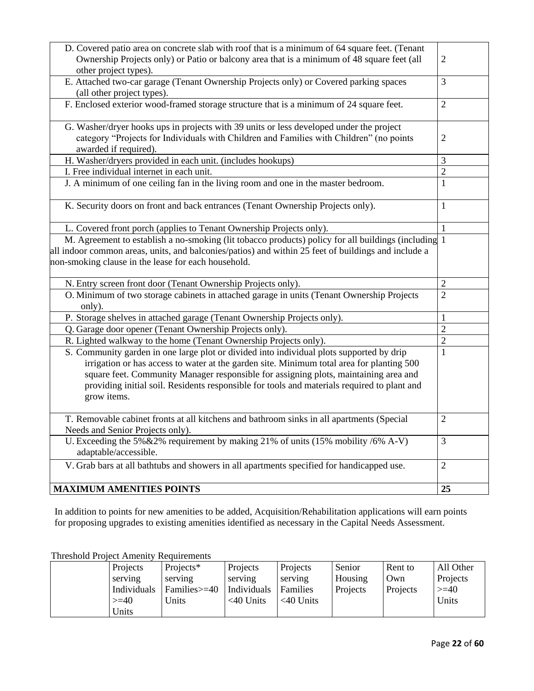| D. Covered patio area on concrete slab with roof that is a minimum of 64 square feet. (Tenant       |                |
|-----------------------------------------------------------------------------------------------------|----------------|
| Ownership Projects only) or Patio or balcony area that is a minimum of 48 square feet (all          | $\mathbf{2}$   |
| other project types).                                                                               |                |
| E. Attached two-car garage (Tenant Ownership Projects only) or Covered parking spaces               | 3              |
| (all other project types).                                                                          |                |
| F. Enclosed exterior wood-framed storage structure that is a minimum of 24 square feet.             | $\overline{2}$ |
|                                                                                                     |                |
| G. Washer/dryer hooks ups in projects with 39 units or less developed under the project             |                |
| category "Projects for Individuals with Children and Families with Children" (no points             | $\overline{c}$ |
| awarded if required).                                                                               |                |
| H. Washer/dryers provided in each unit. (includes hookups)                                          | 3              |
| I. Free individual internet in each unit.                                                           | $\overline{2}$ |
| J. A minimum of one ceiling fan in the living room and one in the master bedroom.                   | $\mathbf{1}$   |
|                                                                                                     |                |
| K. Security doors on front and back entrances (Tenant Ownership Projects only).                     | $\mathbf{1}$   |
|                                                                                                     |                |
| L. Covered front porch (applies to Tenant Ownership Projects only).                                 | $\mathbf{1}$   |
| M. Agreement to establish a no-smoking (lit tobacco products) policy for all buildings (including 1 |                |
| all indoor common areas, units, and balconies/patios) and within 25 feet of buildings and include a |                |
| non-smoking clause in the lease for each household.                                                 |                |
|                                                                                                     |                |
| N. Entry screen front door (Tenant Ownership Projects only).                                        | 2              |
| O. Minimum of two storage cabinets in attached garage in units (Tenant Ownership Projects           | $\overline{2}$ |
| only).                                                                                              |                |
| P. Storage shelves in attached garage (Tenant Ownership Projects only).                             | 1              |
| Q. Garage door opener (Tenant Ownership Projects only).                                             | $\overline{2}$ |
| R. Lighted walkway to the home (Tenant Ownership Projects only).                                    | $\overline{2}$ |
| S. Community garden in one large plot or divided into individual plots supported by drip            | $\mathbf{1}$   |
| irrigation or has access to water at the garden site. Minimum total area for planting 500           |                |
| square feet. Community Manager responsible for assigning plots, maintaining area and                |                |
| providing initial soil. Residents responsible for tools and materials required to plant and         |                |
| grow items.                                                                                         |                |
|                                                                                                     |                |
| T. Removable cabinet fronts at all kitchens and bathroom sinks in all apartments (Special           | $\overline{2}$ |
| Needs and Senior Projects only).                                                                    |                |
| U. Exceeding the 5% $&2\%$ requirement by making 21% of units (15% mobility /6% A-V)                | 3              |
| adaptable/accessible.                                                                               |                |
| V. Grab bars at all bathtubs and showers in all apartments specified for handicapped use.           | $\overline{2}$ |
|                                                                                                     |                |
|                                                                                                     |                |
| <b>MAXIMUM AMENITIES POINTS</b>                                                                     | 25             |

In addition to points for new amenities to be added, Acquisition/Rehabilitation applications will earn points for proposing upgrades to existing amenities identified as necessary in the Capital Needs Assessment.

Threshold Project Amenity Requirements

| Projects    | Projects*      | Projects     | Projects     | Senior   | Rent to  | All Other |
|-------------|----------------|--------------|--------------|----------|----------|-----------|
| serving     | serving        | serving      | serving      | Housing  | Own      | Projects  |
| Individuals | $Families>=40$ | Individuals  | Families     | Projects | Projects | $>=$ 40   |
| $>=10$      | Units          | $<$ 40 Units | $<$ 40 Units |          |          | Units     |
| Units       |                |              |              |          |          |           |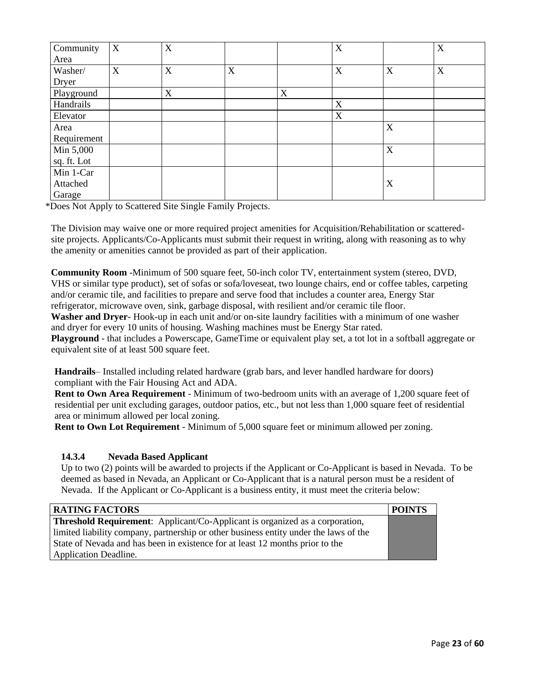| Community<br>Area | $\mathbf X$               | X |                           |   | $\mathbf X$ |   | $\mathbf X$ |
|-------------------|---------------------------|---|---------------------------|---|-------------|---|-------------|
| Washer/           | $\boldsymbol{\mathrm{X}}$ | X | $\boldsymbol{\mathrm{X}}$ |   | $\mathbf X$ | X | $\mathbf X$ |
| Dryer             |                           |   |                           |   |             |   |             |
| Playground        |                           | X |                           | X |             |   |             |
| Handrails         |                           |   |                           |   | $\mathbf X$ |   |             |
| Elevator          |                           |   |                           |   | $\mathbf X$ |   |             |
| Area              |                           |   |                           |   |             | X |             |
| Requirement       |                           |   |                           |   |             |   |             |
| Min 5,000         |                           |   |                           |   |             | X |             |
| sq. ft. Lot       |                           |   |                           |   |             |   |             |
| Min 1-Car         |                           |   |                           |   |             |   |             |
| Attached          |                           |   |                           |   |             | X |             |
| Garage            |                           |   |                           |   |             |   |             |

\*Does Not Apply to Scattered Site Single Family Projects.

The Division may waive one or more required project amenities for Acquisition/Rehabilitation or scatteredsite projects. Applicants/Co-Applicants must submit their request in writing, along with reasoning as to why the amenity or amenities cannot be provided as part of their application.

**Community Room** -Minimum of 500 square feet, 50-inch color TV, entertainment system (stereo, DVD, VHS or similar type product), set of sofas or sofa/loveseat, two lounge chairs, end or coffee tables, carpeting and/or ceramic tile, and facilities to prepare and serve food that includes a counter area, Energy Star refrigerator, microwave oven, sink, garbage disposal, with resilient and/or ceramic tile floor. **Washer and Dryer**- Hook-up in each unit and/or on-site laundry facilities with a minimum of one washer and dryer for every 10 units of housing. Washing machines must be Energy Star rated.

**Playground** - that includes a Powerscape, GameTime or equivalent play set, a tot lot in a softball aggregate or equivalent site of at least 500 square feet.

**Handrails**– Installed including related hardware (grab bars, and lever handled hardware for doors) compliant with the Fair Housing Act and ADA.

**Rent to Own Area Requirement** - Minimum of two-bedroom units with an average of 1,200 square feet of residential per unit excluding garages, outdoor patios, etc., but not less than 1,000 square feet of residential area or minimum allowed per local zoning.

**Rent to Own Lot Requirement** - Minimum of 5,000 square feet or minimum allowed per zoning.

# **14.3.4 Nevada Based Applicant**

Up to two (2) points will be awarded to projects if the Applicant or Co-Applicant is based in Nevada. To be deemed as based in Nevada, an Applicant or Co-Applicant that is a natural person must be a resident of Nevada. If the Applicant or Co-Applicant is a business entity, it must meet the criteria below:

| <b>RATING FACTORS</b>                                                                 | <b>POINTS</b> |
|---------------------------------------------------------------------------------------|---------------|
| <b>Threshold Requirement:</b> Applicant/Co-Applicant is organized as a corporation,   |               |
| limited liability company, partnership or other business entity under the laws of the |               |
| State of Nevada and has been in existence for at least 12 months prior to the         |               |
| Application Deadline.                                                                 |               |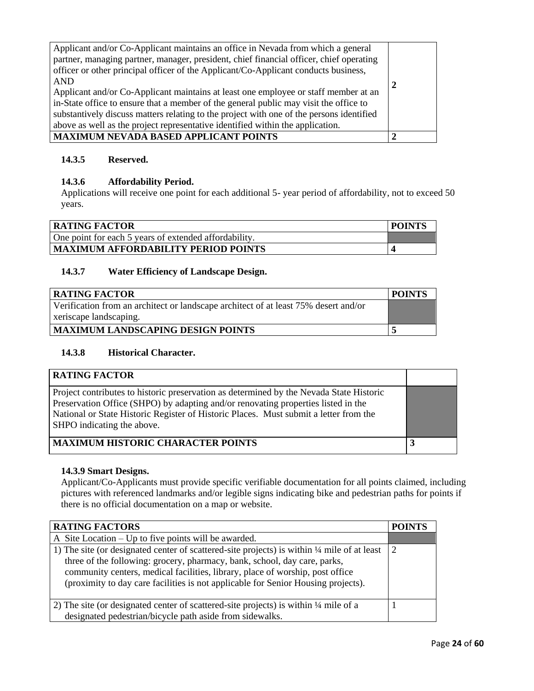| Applicant and/or Co-Applicant maintains an office in Nevada from which a general<br>partner, managing partner, manager, president, chief financial officer, chief operating<br>officer or other principal officer of the Applicant/Co-Applicant conducts business,<br><b>AND</b><br>Applicant and/or Co-Applicant maintains at least one employee or staff member at an<br>in-State office to ensure that a member of the general public may visit the office to<br>substantively discuss matters relating to the project with one of the persons identified<br>above as well as the project representative identified within the application. |  |
|------------------------------------------------------------------------------------------------------------------------------------------------------------------------------------------------------------------------------------------------------------------------------------------------------------------------------------------------------------------------------------------------------------------------------------------------------------------------------------------------------------------------------------------------------------------------------------------------------------------------------------------------|--|
| <b>MAXIMUM NEVADA BASED APPLICANT POINTS</b>                                                                                                                                                                                                                                                                                                                                                                                                                                                                                                                                                                                                   |  |

# **14.3.5 Reserved.**

## **14.3.6 Affordability Period.**

Applications will receive one point for each additional 5- year period of affordability, not to exceed 50 years.

| RATING FACTOR                                         | <b>POINTS</b> |
|-------------------------------------------------------|---------------|
| One point for each 5 years of extended affordability. |               |
| MAXIMUM AFFORDABILITY PERIOD POINTS                   |               |

## **14.3.7 Water Efficiency of Landscape Design.**

| <b>RATING FACTOR</b>                                                                | POINTS |
|-------------------------------------------------------------------------------------|--------|
| Verification from an architect or landscape architect of at least 75% desert and/or |        |
| xeriscape landscaping.                                                              |        |
| <b>MAXIMUM LANDSCAPING DESIGN POINTS</b>                                            |        |

## **14.3.8 Historical Character.**

| <b>RATING FACTOR</b>                                                                                                                                                                                                                                                                                |  |
|-----------------------------------------------------------------------------------------------------------------------------------------------------------------------------------------------------------------------------------------------------------------------------------------------------|--|
| Project contributes to historic preservation as determined by the Nevada State Historic<br>Preservation Office (SHPO) by adapting and/or renovating properties listed in the<br>National or State Historic Register of Historic Places. Must submit a letter from the<br>SHPO indicating the above. |  |
| <b>MAXIMUM HISTORIC CHARACTER POINTS</b>                                                                                                                                                                                                                                                            |  |

## **14.3.9 Smart Designs.**

Applicant/Co-Applicants must provide specific verifiable documentation for all points claimed, including pictures with referenced landmarks and/or legible signs indicating bike and pedestrian paths for points if there is no official documentation on a map or website.

| <b>RATING FACTORS</b>                                                                                                                                                                                                                                                                                                                           | <b>POINTS</b> |
|-------------------------------------------------------------------------------------------------------------------------------------------------------------------------------------------------------------------------------------------------------------------------------------------------------------------------------------------------|---------------|
| A Site Location $-$ Up to five points will be awarded.                                                                                                                                                                                                                                                                                          |               |
| 1) The site (or designated center of scattered-site projects) is within 1/4 mile of at least<br>three of the following: grocery, pharmacy, bank, school, day care, parks,<br>community centers, medical facilities, library, place of worship, post office<br>(proximity to day care facilities is not applicable for Senior Housing projects). | 2             |
| 2) The site (or designated center of scattered-site projects) is within 1/4 mile of a                                                                                                                                                                                                                                                           |               |
| designated pedestrian/bicycle path aside from sidewalks.                                                                                                                                                                                                                                                                                        |               |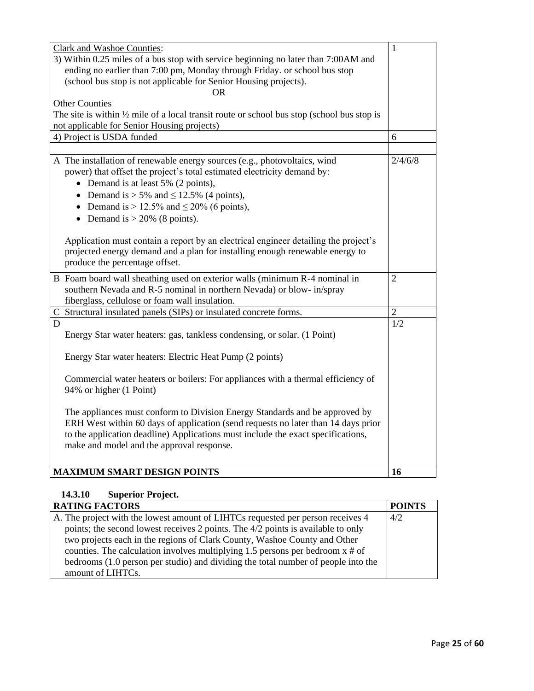| <b>Clark and Washoe Counties:</b>                                                                     | $\mathbf{1}$   |
|-------------------------------------------------------------------------------------------------------|----------------|
| 3) Within 0.25 miles of a bus stop with service beginning no later than 7:00AM and                    |                |
| ending no earlier than 7:00 pm, Monday through Friday. or school bus stop                             |                |
| (school bus stop is not applicable for Senior Housing projects).                                      |                |
| ΩR                                                                                                    |                |
| <b>Other Counties</b>                                                                                 |                |
| The site is within $\frac{1}{2}$ mile of a local transit route or school bus stop (school bus stop is |                |
| not applicable for Senior Housing projects)                                                           |                |
| 4) Project is USDA funded                                                                             | 6              |
|                                                                                                       |                |
| A The installation of renewable energy sources (e.g., photovoltaics, wind                             | 2/4/6/8        |
| power) that offset the project's total estimated electricity demand by:                               |                |
| • Demand is at least 5% (2 points),                                                                   |                |
| • Demand is $> 5\%$ and $\leq 12.5\%$ (4 points),                                                     |                |
| • Demand is $> 12.5\%$ and $\leq 20\%$ (6 points),                                                    |                |
| • Demand is $> 20\%$ (8 points).                                                                      |                |
|                                                                                                       |                |
| Application must contain a report by an electrical engineer detailing the project's                   |                |
| projected energy demand and a plan for installing enough renewable energy to                          |                |
| produce the percentage offset.                                                                        |                |
| B Foam board wall sheathing used on exterior walls (minimum R-4 nominal in                            | $\overline{2}$ |
| southern Nevada and R-5 nominal in northern Nevada) or blow- in/spray                                 |                |
| fiberglass, cellulose or foam wall insulation.                                                        |                |
| C Structural insulated panels (SIPs) or insulated concrete forms.                                     | $\overline{2}$ |
| D                                                                                                     | 1/2            |
| Energy Star water heaters: gas, tankless condensing, or solar. (1 Point)                              |                |
|                                                                                                       |                |
| Energy Star water heaters: Electric Heat Pump (2 points)                                              |                |
|                                                                                                       |                |
| Commercial water heaters or boilers: For appliances with a thermal efficiency of                      |                |
| 94% or higher (1 Point)                                                                               |                |
|                                                                                                       |                |
| The appliances must conform to Division Energy Standards and be approved by                           |                |
| ERH West within 60 days of application (send requests no later than 14 days prior                     |                |
| to the application deadline) Applications must include the exact specifications,                      |                |
| make and model and the approval response.                                                             |                |
|                                                                                                       |                |
| <b>MAXIMUM SMART DESIGN POINTS</b>                                                                    | 16             |
|                                                                                                       |                |

# **14.3.10 Superior Project.**

| <b>RATING FACTORS</b>                                                                | <b>POINTS</b> |
|--------------------------------------------------------------------------------------|---------------|
| A. The project with the lowest amount of LIHTCs requested per person receives 4      | 4/2           |
| points; the second lowest receives 2 points. The 4/2 points is available to only     |               |
| two projects each in the regions of Clark County, Washoe County and Other            |               |
| counties. The calculation involves multiplying 1.5 persons per bedroom $x \neq 0$ of |               |
| bedrooms (1.0 person per studio) and dividing the total number of people into the    |               |
| amount of LIHTCs.                                                                    |               |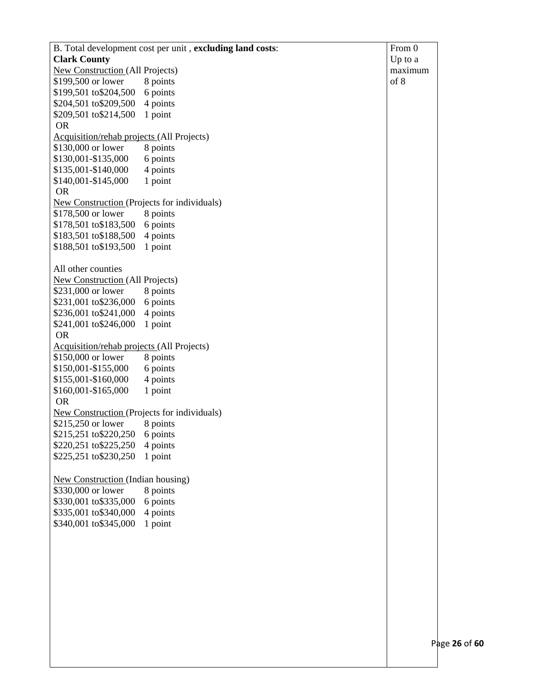|                                                    | B. Total development cost per unit, excluding land costs: | From 0    |
|----------------------------------------------------|-----------------------------------------------------------|-----------|
| <b>Clark County</b>                                |                                                           | Up to $a$ |
| New Construction (All Projects)                    |                                                           | maximum   |
| \$199,500 or lower                                 | 8 points                                                  | of 8      |
| \$199,501 to\$204,500                              | 6 points                                                  |           |
| \$204,501 to \$209,500                             | 4 points                                                  |           |
| \$209,501 to \$214,500                             | 1 point                                                   |           |
| <b>OR</b>                                          |                                                           |           |
| Acquisition/rehab projects (All Projects)          |                                                           |           |
| \$130,000 or lower                                 | 8 points                                                  |           |
| \$130,001-\$135,000                                | 6 points                                                  |           |
| \$135,001-\$140,000                                | 4 points                                                  |           |
| \$140,001-\$145,000                                | 1 point                                                   |           |
| <b>OR</b>                                          |                                                           |           |
| <b>New Construction (Projects for individuals)</b> |                                                           |           |
| \$178,500 or lower                                 | 8 points                                                  |           |
| \$178,501 to \$183,500                             | 6 points                                                  |           |
| \$183,501 to\$188,500                              | 4 points                                                  |           |
| \$188,501 to \$193,500                             | 1 point                                                   |           |
|                                                    |                                                           |           |
| All other counties                                 |                                                           |           |
| <b>New Construction (All Projects)</b>             |                                                           |           |
| \$231,000 or lower                                 | 8 points                                                  |           |
| \$231,001 to\$236,000                              | 6 points                                                  |           |
| \$236,001 to \$241,000                             | 4 points                                                  |           |
| \$241,001 to \$246,000                             | 1 point                                                   |           |
| <b>OR</b>                                          |                                                           |           |
| Acquisition/rehab projects (All Projects)          |                                                           |           |
| \$150,000 or lower                                 | 8 points                                                  |           |
| \$150,001-\$155,000                                | 6 points                                                  |           |
| \$155,001-\$160,000                                | 4 points                                                  |           |
| \$160,001-\$165,000                                | 1 point                                                   |           |
| <b>OR</b>                                          |                                                           |           |
| New Construction (Projects for individuals)        |                                                           |           |
| \$215,250 or lower                                 | 8 points                                                  |           |
| \$215,251 to \$220,250 6 points                    |                                                           |           |
| \$220,251 to \$225,250                             | 4 points                                                  |           |
| \$225,251 to \$230,250                             | 1 point                                                   |           |
|                                                    |                                                           |           |
| <b>New Construction (Indian housing)</b>           |                                                           |           |
| \$330,000 or lower                                 | 8 points                                                  |           |
| \$330,001 to \$335,000                             | 6 points                                                  |           |
| \$335,001 to \$340,000                             | 4 points                                                  |           |
| \$340,001 to \$345,000                             | 1 point                                                   |           |
|                                                    |                                                           |           |
|                                                    |                                                           |           |
|                                                    |                                                           |           |
|                                                    |                                                           |           |
|                                                    |                                                           |           |
|                                                    |                                                           |           |
|                                                    |                                                           |           |
|                                                    |                                                           |           |
|                                                    |                                                           |           |
|                                                    |                                                           |           |
|                                                    |                                                           | P         |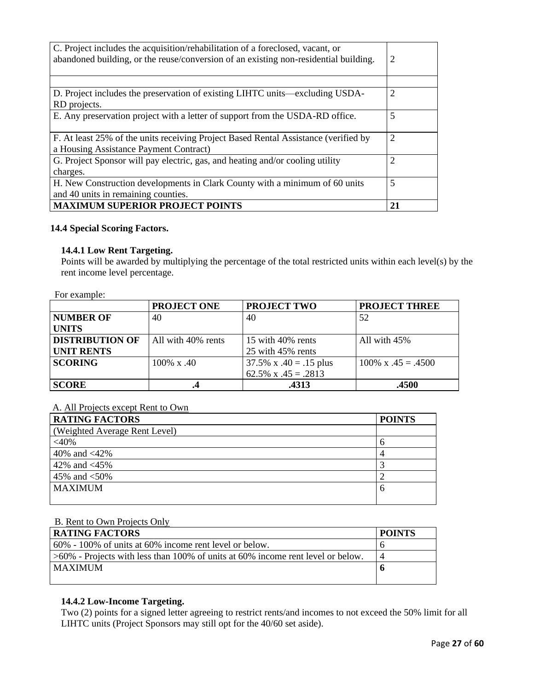| C. Project includes the acquisition/rehabilitation of a foreclosed, vacant, or<br>abandoned building, or the reuse/conversion of an existing non-residential building. |                |
|------------------------------------------------------------------------------------------------------------------------------------------------------------------------|----------------|
|                                                                                                                                                                        |                |
| D. Project includes the preservation of existing LIHTC units—excluding USDA-                                                                                           | $\overline{2}$ |
| RD projects.                                                                                                                                                           |                |
| E. Any preservation project with a letter of support from the USDA-RD office.                                                                                          | 5              |
|                                                                                                                                                                        |                |
| F. At least 25% of the units receiving Project Based Rental Assistance (verified by                                                                                    | 2              |
| a Housing Assistance Payment Contract)                                                                                                                                 |                |
| G. Project Sponsor will pay electric, gas, and heating and/or cooling utility                                                                                          | $\overline{2}$ |
| charges.                                                                                                                                                               |                |
| H. New Construction developments in Clark County with a minimum of 60 units                                                                                            | 5              |
| and 40 units in remaining counties.                                                                                                                                    |                |
| <b>MAXIMUM SUPERIOR PROJECT POINTS</b>                                                                                                                                 | 21             |

## **14.4 Special Scoring Factors.**

#### **14.4.1 Low Rent Targeting.**

Points will be awarded by multiplying the percentage of the total restricted units within each level(s) by the rent income level percentage.

For example:

|                        | <b>PROJECT ONE</b> | <b>PROJECT TWO</b>       | <b>PROJECT THREE</b>       |
|------------------------|--------------------|--------------------------|----------------------------|
| <b>NUMBER OF</b>       | 40                 | 40                       | 52                         |
| <b>UNITS</b>           |                    |                          |                            |
| <b>DISTRIBUTION OF</b> | All with 40% rents | 15 with 40% rents        | All with 45%               |
| <b>UNIT RENTS</b>      |                    | 25 with 45% rents        |                            |
| <b>SCORING</b>         | $100\% \times .40$ | 37.5% x $.40 = .15$ plus | $100\% \times .45 = .4500$ |
|                        |                    | 62.5% x $.45 = .2813$    |                            |
| <b>SCORE</b>           |                    | .4313                    | .4500                      |

## A. All Projects except Rent to Own

| <b>RATING FACTORS</b>         | <b>POINTS</b> |
|-------------------------------|---------------|
| (Weighted Average Rent Level) |               |
| $<$ 40%                       | n             |
| 40% and $\langle 42\%$        |               |
| 42% and $\langle 45\%$        |               |
| 45% and $<$ 50%               |               |
| <b>MAXIMUM</b>                | O             |
|                               |               |

## B. Rent to Own Projects Only

| <b>RATING FACTORS</b>                                                              | <b>POINTS</b> |
|------------------------------------------------------------------------------------|---------------|
| $60\%$ - 100% of units at 60% income rent level or below.                          |               |
| $>60\%$ - Projects with less than 100% of units at 60% income rent level or below. |               |
| <b>MAXIMUM</b>                                                                     |               |
|                                                                                    |               |

## **14.4.2 Low-Income Targeting.**

Two (2) points for a signed letter agreeing to restrict rents/and incomes to not exceed the 50% limit for all LIHTC units (Project Sponsors may still opt for the 40/60 set aside).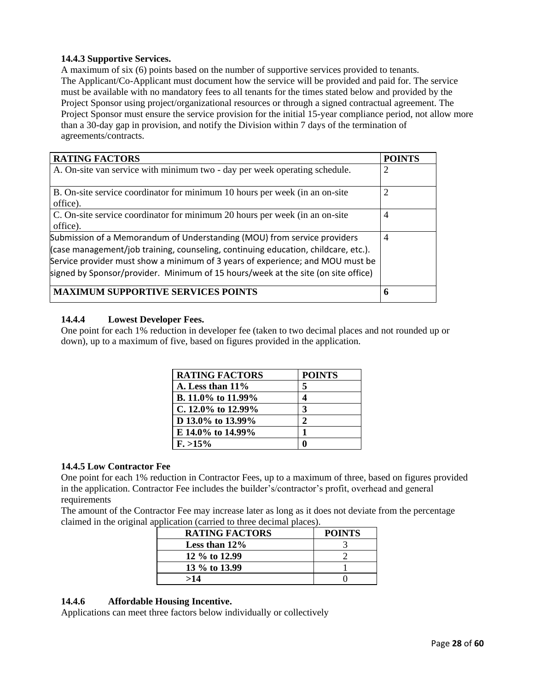## **14.4.3 Supportive Services.**

A maximum of six (6) points based on the number of supportive services provided to tenants. The Applicant/Co-Applicant must document how the service will be provided and paid for. The service must be available with no mandatory fees to all tenants for the times stated below and provided by the Project Sponsor using project/organizational resources or through a signed contractual agreement. The Project Sponsor must ensure the service provision for the initial 15-year compliance period, not allow more than a 30-day gap in provision, and notify the Division within 7 days of the termination of agreements/contracts.

| <b>RATING FACTORS</b>                                                                                                                                                                                                                                                                                                                 | <b>POINTS</b>  |
|---------------------------------------------------------------------------------------------------------------------------------------------------------------------------------------------------------------------------------------------------------------------------------------------------------------------------------------|----------------|
| A. On-site van service with minimum two - day per week operating schedule.                                                                                                                                                                                                                                                            |                |
| B. On-site service coordinator for minimum 10 hours per week (in an on-site<br>office).                                                                                                                                                                                                                                               | 2              |
| C. On-site service coordinator for minimum 20 hours per week (in an on-site<br>office).                                                                                                                                                                                                                                               | $\overline{4}$ |
| Submission of a Memorandum of Understanding (MOU) from service providers<br>(case management/job training, counseling, continuing education, childcare, etc.).<br>Service provider must show a minimum of 3 years of experience; and MOU must be<br>signed by Sponsor/provider. Minimum of 15 hours/week at the site (on site office) | $\overline{4}$ |
| <b>MAXIMUM SUPPORTIVE SERVICES POINTS</b>                                                                                                                                                                                                                                                                                             | h              |

## **14.4.4 Lowest Developer Fees.**

One point for each 1% reduction in developer fee (taken to two decimal places and not rounded up or down), up to a maximum of five, based on figures provided in the application.

| <b>RATING FACTORS</b> | <b>POINTS</b> |
|-----------------------|---------------|
| A. Less than $11\%$   | 5             |
| B. 11.0% to 11.99%    |               |
| C. 12.0% to 12.99%    | 3             |
| D 13.0% to 13.99%     | 2             |
| E 14.0% to 14.99%     |               |
| $F. > 15\%$           |               |

## **14.4.5 Low Contractor Fee**

One point for each 1% reduction in Contractor Fees, up to a maximum of three, based on figures provided in the application. Contractor Fee includes the builder's/contractor's profit, overhead and general requirements

The amount of the Contractor Fee may increase later as long as it does not deviate from the percentage claimed in the original application (carried to three decimal places).

| <b>RATING FACTORS</b> | <b>POINTS</b> |
|-----------------------|---------------|
| Less than $12\%$      |               |
| 12 % to 12.99         |               |
| 13 % to 13.99         |               |
| >14                   |               |

# **14.4.6 Affordable Housing Incentive.**

Applications can meet three factors below individually or collectively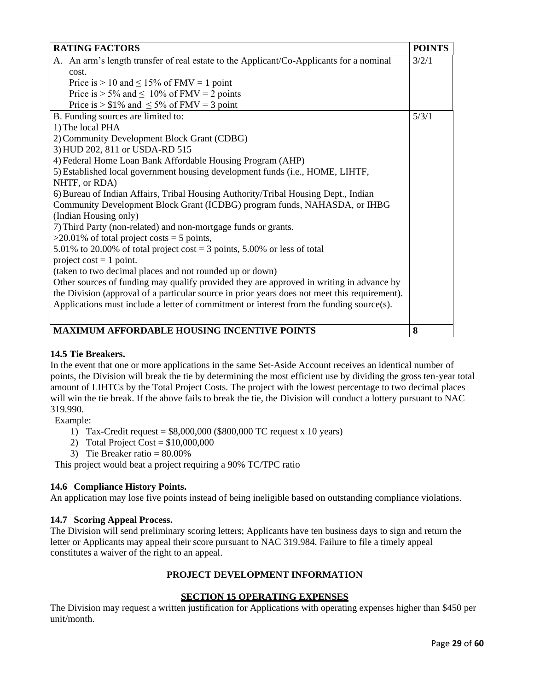| <b>RATING FACTORS</b>                                                                         | <b>POINTS</b> |
|-----------------------------------------------------------------------------------------------|---------------|
| A. An arm's length transfer of real estate to the Applicant/Co-Applicants for a nominal       | 3/2/1         |
| cost.                                                                                         |               |
| Price is $> 10$ and $\leq 15\%$ of FMV = 1 point                                              |               |
| Price is $> 5\%$ and $\leq 10\%$ of FMV = 2 points                                            |               |
| Price is $> $1\%$ and $\leq 5\%$ of FMV = 3 point                                             |               |
| B. Funding sources are limited to:                                                            | 5/3/1         |
| 1) The local PHA                                                                              |               |
| 2) Community Development Block Grant (CDBG)                                                   |               |
| 3) HUD 202, 811 or USDA-RD 515                                                                |               |
| 4) Federal Home Loan Bank Affordable Housing Program (AHP)                                    |               |
| 5) Established local government housing development funds (i.e., HOME, LIHTF,                 |               |
| NHTF, or RDA)                                                                                 |               |
| 6) Bureau of Indian Affairs, Tribal Housing Authority/Tribal Housing Dept., Indian            |               |
| Community Development Block Grant (ICDBG) program funds, NAHASDA, or IHBG                     |               |
| (Indian Housing only)                                                                         |               |
| 7) Third Party (non-related) and non-mortgage funds or grants.                                |               |
| $>20.01\%$ of total project costs = 5 points,                                                 |               |
| 5.01% to 20.00% of total project cost = 3 points, 5.00% or less of total                      |               |
| project cost $= 1$ point.                                                                     |               |
| (taken to two decimal places and not rounded up or down)                                      |               |
| Other sources of funding may qualify provided they are approved in writing in advance by      |               |
| the Division (approval of a particular source in prior years does not meet this requirement). |               |
| Applications must include a letter of commitment or interest from the funding source(s).      |               |
|                                                                                               |               |
| <b>MAXIMUM AFFORDABLE HOUSING INCENTIVE POINTS</b>                                            | 8             |

# **14.5 Tie Breakers.**

In the event that one or more applications in the same Set-Aside Account receives an identical number of points, the Division will break the tie by determining the most efficient use by dividing the gross ten-year total amount of LIHTCs by the Total Project Costs. The project with the lowest percentage to two decimal places will win the tie break. If the above fails to break the tie, the Division will conduct a lottery pursuant to NAC 319.990.

Example:

- 1) Tax-Credit request = \$8,000,000 (\$800,000 TC request x 10 years)
- 2) Total Project Cost =  $$10,000,000$
- 3) Tie Breaker ratio = 80.00%

This project would beat a project requiring a 90% TC/TPC ratio

# **14.6 Compliance History Points.**

An application may lose five points instead of being ineligible based on outstanding compliance violations.

## **14.7 Scoring Appeal Process.**

The Division will send preliminary scoring letters; Applicants have ten business days to sign and return the letter or Applicants may appeal their score pursuant to NAC 319.984. Failure to file a timely appeal constitutes a waiver of the right to an appeal.

## **PROJECT DEVELOPMENT INFORMATION**

## **SECTION 15 OPERATING EXPENSES**

The Division may request a written justification for Applications with operating expenses higher than \$450 per unit/month.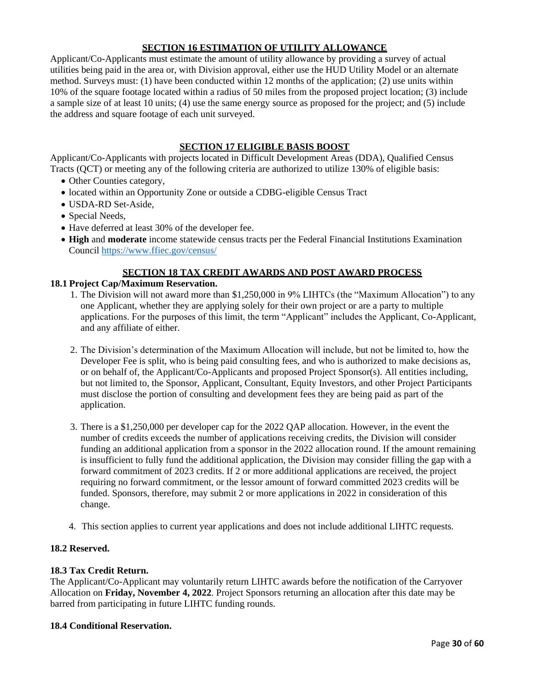# **SECTION 16 ESTIMATION OF UTILITY ALLOWANCE**

Applicant/Co-Applicants must estimate the amount of utility allowance by providing a survey of actual utilities being paid in the area or, with Division approval, either use the HUD Utility Model or an alternate method. Surveys must: (1) have been conducted within 12 months of the application; (2) use units within 10% of the square footage located within a radius of 50 miles from the proposed project location; (3) include a sample size of at least 10 units; (4) use the same energy source as proposed for the project; and (5) include the address and square footage of each unit surveyed.

# **SECTION 17 ELIGIBLE BASIS BOOST**

Applicant/Co-Applicants with projects located in Difficult Development Areas (DDA), Qualified Census Tracts (QCT) or meeting any of the following criteria are authorized to utilize 130% of eligible basis:

- Other Counties category,
- located within an Opportunity Zone or outside a CDBG-eligible Census Tract
- USDA-RD Set-Aside,
- Special Needs,
- Have deferred at least 30% of the developer fee.
- **High** and **moderate** income statewide census tracts per the Federal Financial Institutions Examination Council<https://www.ffiec.gov/census/>

## **SECTION 18 TAX CREDIT AWARDS AND POST AWARD PROCESS**

## **18.1 Project Cap/Maximum Reservation.**

- 1. The Division will not award more than \$1,250,000 in 9% LIHTCs (the "Maximum Allocation") to any one Applicant, whether they are applying solely for their own project or are a party to multiple applications. For the purposes of this limit, the term "Applicant" includes the Applicant, Co-Applicant, and any affiliate of either.
- 2. The Division's determination of the Maximum Allocation will include, but not be limited to, how the Developer Fee is split, who is being paid consulting fees, and who is authorized to make decisions as, or on behalf of, the Applicant/Co-Applicants and proposed Project Sponsor(s). All entities including, but not limited to, the Sponsor, Applicant, Consultant, Equity Investors, and other Project Participants must disclose the portion of consulting and development fees they are being paid as part of the application.
- 3. There is a \$1,250,000 per developer cap for the 2022 QAP allocation. However, in the event the number of credits exceeds the number of applications receiving credits, the Division will consider funding an additional application from a sponsor in the 2022 allocation round. If the amount remaining is insufficient to fully fund the additional application, the Division may consider filling the gap with a forward commitment of 2023 credits. If 2 or more additional applications are received, the project requiring no forward commitment, or the lessor amount of forward committed 2023 credits will be funded. Sponsors, therefore, may submit 2 or more applications in 2022 in consideration of this change.
- 4. This section applies to current year applications and does not include additional LIHTC requests.

#### **18.2 Reserved.**

## **18.3 Tax Credit Return.**

The Applicant/Co-Applicant may voluntarily return LIHTC awards before the notification of the Carryover Allocation on **Friday, November 4, 2022**. Project Sponsors returning an allocation after this date may be barred from participating in future LIHTC funding rounds.

#### **18.4 Conditional Reservation.**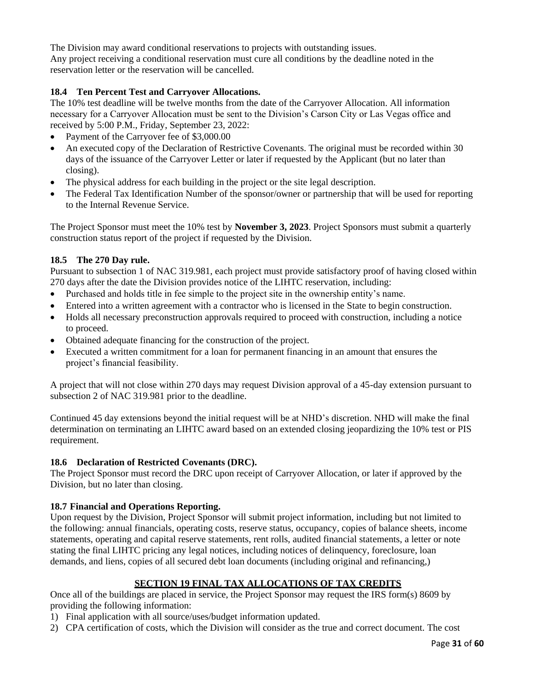The Division may award conditional reservations to projects with outstanding issues. Any project receiving a conditional reservation must cure all conditions by the deadline noted in the reservation letter or the reservation will be cancelled.

## **18.4 Ten Percent Test and Carryover Allocations.**

The 10% test deadline will be twelve months from the date of the Carryover Allocation. All information necessary for a Carryover Allocation must be sent to the Division's Carson City or Las Vegas office and received by 5:00 P.M., Friday, September 23, 2022:

- Payment of the Carryover fee of \$3,000.00
- An executed copy of the Declaration of Restrictive Covenants. The original must be recorded within 30 days of the issuance of the Carryover Letter or later if requested by the Applicant (but no later than closing).
- The physical address for each building in the project or the site legal description.
- The Federal Tax Identification Number of the sponsor/owner or partnership that will be used for reporting to the Internal Revenue Service.

The Project Sponsor must meet the 10% test by **November 3, 2023**. Project Sponsors must submit a quarterly construction status report of the project if requested by the Division.

## **18.5 The 270 Day rule.**

Pursuant to subsection 1 of NAC 319.981, each project must provide satisfactory proof of having closed within 270 days after the date the Division provides notice of the LIHTC reservation, including:

- Purchased and holds title in fee simple to the project site in the ownership entity's name.
- Entered into a written agreement with a contractor who is licensed in the State to begin construction.
- Holds all necessary preconstruction approvals required to proceed with construction, including a notice to proceed.
- Obtained adequate financing for the construction of the project.
- Executed a written commitment for a loan for permanent financing in an amount that ensures the project's financial feasibility.

A project that will not close within 270 days may request Division approval of a 45-day extension pursuant to subsection 2 of NAC 319.981 prior to the deadline.

Continued 45 day extensions beyond the initial request will be at NHD's discretion. NHD will make the final determination on terminating an LIHTC award based on an extended closing jeopardizing the 10% test or PIS requirement.

## **18.6 Declaration of Restricted Covenants (DRC).**

The Project Sponsor must record the DRC upon receipt of Carryover Allocation, or later if approved by the Division, but no later than closing.

## **18.7 Financial and Operations Reporting.**

Upon request by the Division, Project Sponsor will submit project information, including but not limited to the following: annual financials, operating costs, reserve status, occupancy, copies of balance sheets, income statements, operating and capital reserve statements, rent rolls, audited financial statements, a letter or note stating the final LIHTC pricing any legal notices, including notices of delinquency, foreclosure, loan demands, and liens, copies of all secured debt loan documents (including original and refinancing,)

# **SECTION 19 FINAL TAX ALLOCATIONS OF TAX CREDITS**

Once all of the buildings are placed in service, the Project Sponsor may request the IRS form(s) 8609 by providing the following information:

- 1) Final application with all source/uses/budget information updated.
- 2) CPA certification of costs, which the Division will consider as the true and correct document. The cost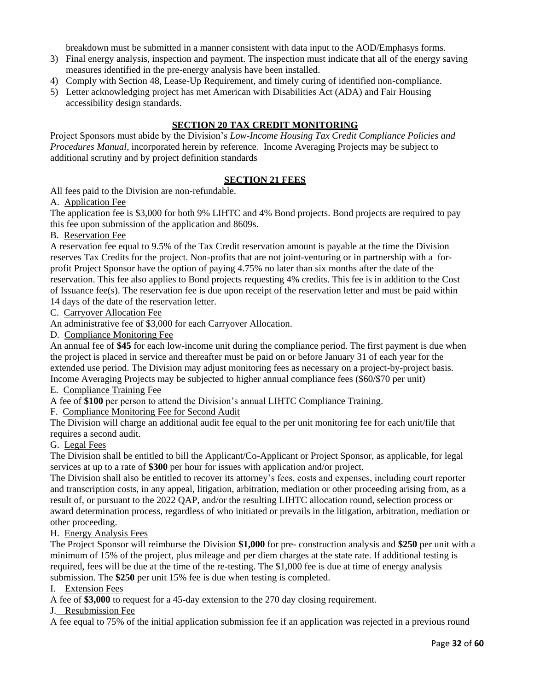breakdown must be submitted in a manner consistent with data input to the AOD/Emphasys forms.

- 3) Final energy analysis, inspection and payment. The inspection must indicate that all of the energy saving measures identified in the pre-energy analysis have been installed.
- 4) Comply with Section 48, Lease-Up Requirement, and timely curing of identified non-compliance.
- 5) Letter acknowledging project has met American with Disabilities Act (ADA) and Fair Housing accessibility design standards.

## **SECTION 20 TAX CREDIT MONITORING**

Project Sponsors must abide by the Division's *Low-Income Housing Tax Credit Compliance Policies and Procedures Manual*, incorporated herein by reference. Income Averaging Projects may be subject to additional scrutiny and by project definition standards

## **SECTION 21 FEES**

All fees paid to the Division are non-refundable.

#### A. Application Fee

The application fee is \$3,000 for both 9% LIHTC and 4% Bond projects. Bond projects are required to pay this fee upon submission of the application and 8609s.

B. Reservation Fee

A reservation fee equal to 9.5% of the Tax Credit reservation amount is payable at the time the Division reserves Tax Credits for the project. Non-profits that are not joint-venturing or in partnership with a forprofit Project Sponsor have the option of paying 4.75% no later than six months after the date of the reservation. This fee also applies to Bond projects requesting 4% credits. This fee is in addition to the Cost of Issuance fee(s). The reservation fee is due upon receipt of the reservation letter and must be paid within 14 days of the date of the reservation letter.

C. Carryover Allocation Fee

An administrative fee of \$3,000 for each Carryover Allocation.

D. Compliance Monitoring Fee

An annual fee of **\$45** for each low-income unit during the compliance period. The first payment is due when the project is placed in service and thereafter must be paid on or before January 31 of each year for the extended use period. The Division may adjust monitoring fees as necessary on a project-by-project basis. Income Averaging Projects may be subjected to higher annual compliance fees (\$60/\$70 per unit)

## E. Compliance Training Fee

A fee of **\$100** per person to attend the Division's annual LIHTC Compliance Training.

F. Compliance Monitoring Fee for Second Audit

The Division will charge an additional audit fee equal to the per unit monitoring fee for each unit/file that requires a second audit.

## G. Legal Fees

The Division shall be entitled to bill the Applicant/Co-Applicant or Project Sponsor, as applicable, for legal services at up to a rate of **\$300** per hour for issues with application and/or project.

The Division shall also be entitled to recover its attorney's fees, costs and expenses, including court reporter and transcription costs, in any appeal, litigation, arbitration, mediation or other proceeding arising from, as a result of, or pursuant to the 2022 QAP, and/or the resulting LIHTC allocation round, selection process or award determination process, regardless of who initiated or prevails in the litigation, arbitration, mediation or other proceeding.

## H. Energy Analysis Fees

The Project Sponsor will reimburse the Division **\$1,000** for pre- construction analysis and **\$250** per unit with a minimum of 15% of the project, plus mileage and per diem charges at the state rate. If additional testing is required, fees will be due at the time of the re-testing. The \$1,000 fee is due at time of energy analysis submission. The **\$250** per unit 15% fee is due when testing is completed.

I. Extension Fees

A fee of **\$3,000** to request for a 45-day extension to the 270 day closing requirement.

## J. Resubmission Fee

A fee equal to 75% of the initial application submission fee if an application was rejected in a previous round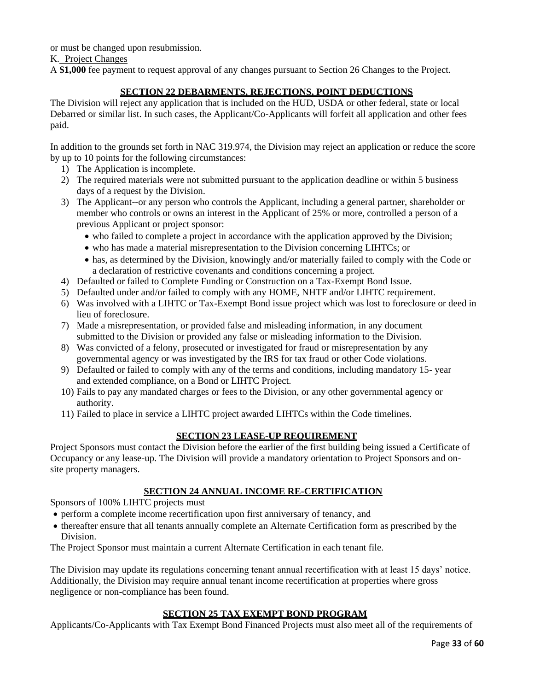or must be changed upon resubmission.

K. Project Changes

A **\$1,000** fee payment to request approval of any changes pursuant to Section 26 Changes to the Project.

# **SECTION 22 DEBARMENTS, REJECTIONS, POINT DEDUCTIONS**

The Division will reject any application that is included on the HUD, USDA or other federal, state or local Debarred or similar list. In such cases, the Applicant/Co-Applicants will forfeit all application and other fees paid.

In addition to the grounds set forth in NAC 319.974, the Division may reject an application or reduce the score by up to 10 points for the following circumstances:

- 1) The Application is incomplete.
- 2) The required materials were not submitted pursuant to the application deadline or within 5 business days of a request by the Division.
- 3) The Applicant--or any person who controls the Applicant, including a general partner, shareholder or member who controls or owns an interest in the Applicant of 25% or more, controlled a person of a previous Applicant or project sponsor:
	- who failed to complete a project in accordance with the application approved by the Division;
	- who has made a material misrepresentation to the Division concerning LIHTCs; or
	- has, as determined by the Division, knowingly and/or materially failed to comply with the Code or a declaration of restrictive covenants and conditions concerning a project.
- 4) Defaulted or failed to Complete Funding or Construction on a Tax-Exempt Bond Issue.
- 5) Defaulted under and/or failed to comply with any HOME, NHTF and/or LIHTC requirement.
- 6) Was involved with a LIHTC or Tax-Exempt Bond issue project which was lost to foreclosure or deed in lieu of foreclosure.
- 7) Made a misrepresentation, or provided false and misleading information, in any document submitted to the Division or provided any false or misleading information to the Division.
- 8) Was convicted of a felony, prosecuted or investigated for fraud or misrepresentation by any governmental agency or was investigated by the IRS for tax fraud or other Code violations.
- 9) Defaulted or failed to comply with any of the terms and conditions, including mandatory 15- year and extended compliance, on a Bond or LIHTC Project.
- 10) Fails to pay any mandated charges or fees to the Division, or any other governmental agency or authority.
- 11) Failed to place in service a LIHTC project awarded LIHTCs within the Code timelines.

# **SECTION 23 LEASE-UP REQUIREMENT**

Project Sponsors must contact the Division before the earlier of the first building being issued a Certificate of Occupancy or any lease-up. The Division will provide a mandatory orientation to Project Sponsors and onsite property managers.

# **SECTION 24 ANNUAL INCOME RE-CERTIFICATION**

Sponsors of 100% LIHTC projects must

- perform a complete income recertification upon first anniversary of tenancy, and
- thereafter ensure that all tenants annually complete an Alternate Certification form as prescribed by the Division.

The Project Sponsor must maintain a current Alternate Certification in each tenant file.

The Division may update its regulations concerning tenant annual recertification with at least 15 days' notice. Additionally, the Division may require annual tenant income recertification at properties where gross negligence or non-compliance has been found.

# **SECTION 25 TAX EXEMPT BOND PROGRAM**

Applicants/Co-Applicants with Tax Exempt Bond Financed Projects must also meet all of the requirements of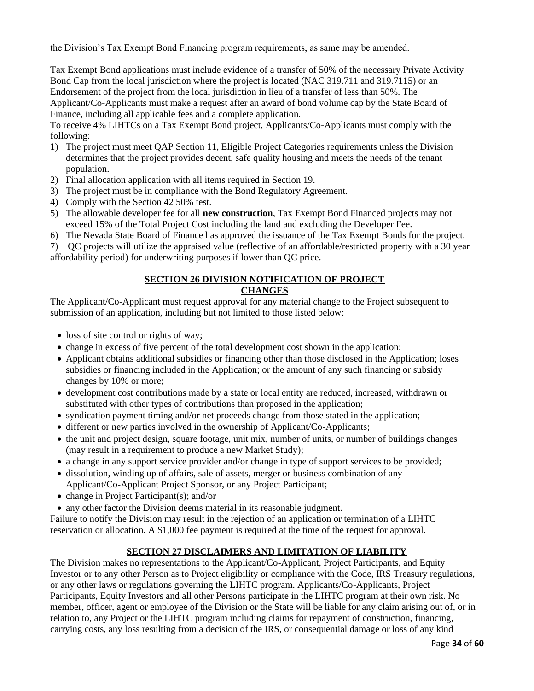the Division's Tax Exempt Bond Financing program requirements, as same may be amended.

Tax Exempt Bond applications must include evidence of a transfer of 50% of the necessary Private Activity Bond Cap from the local jurisdiction where the project is located (NAC 319.711 and 319.7115) or an Endorsement of the project from the local jurisdiction in lieu of a transfer of less than 50%. The Applicant/Co-Applicants must make a request after an award of bond volume cap by the State Board of Finance, including all applicable fees and a complete application.

To receive 4% LIHTCs on a Tax Exempt Bond project, Applicants/Co-Applicants must comply with the following:

- 1) The project must meet QAP Section 11, Eligible Project Categories requirements unless the Division determines that the project provides decent, safe quality housing and meets the needs of the tenant population.
- 2) Final allocation application with all items required in Section 19.
- 3) The project must be in compliance with the Bond Regulatory Agreement.
- 4) Comply with the Section 42 50% test.
- 5) The allowable developer fee for all **new construction**, Tax Exempt Bond Financed projects may not exceed 15% of the Total Project Cost including the land and excluding the Developer Fee.
- 6) The Nevada State Board of Finance has approved the issuance of the Tax Exempt Bonds for the project.

7) QC projects will utilize the appraised value (reflective of an affordable/restricted property with a 30 year affordability period) for underwriting purposes if lower than QC price.

#### **SECTION 26 DIVISION NOTIFICATION OF PROJECT CHANGES**

The Applicant/Co-Applicant must request approval for any material change to the Project subsequent to submission of an application, including but not limited to those listed below:

- loss of site control or rights of way;
- change in excess of five percent of the total development cost shown in the application;
- Applicant obtains additional subsidies or financing other than those disclosed in the Application; loses subsidies or financing included in the Application; or the amount of any such financing or subsidy changes by 10% or more;
- development cost contributions made by a state or local entity are reduced, increased, withdrawn or substituted with other types of contributions than proposed in the application;
- syndication payment timing and/or net proceeds change from those stated in the application;
- different or new parties involved in the ownership of Applicant/Co-Applicants;
- the unit and project design, square footage, unit mix, number of units, or number of buildings changes (may result in a requirement to produce a new Market Study);
- a change in any support service provider and/or change in type of support services to be provided;
- dissolution, winding up of affairs, sale of assets, merger or business combination of any Applicant/Co-Applicant Project Sponsor, or any Project Participant;
- change in Project Participant(s); and/or
- any other factor the Division deems material in its reasonable judgment.

Failure to notify the Division may result in the rejection of an application or termination of a LIHTC reservation or allocation. A \$1,000 fee payment is required at the time of the request for approval.

# **SECTION 27 DISCLAIMERS AND LIMITATION OF LIABILITY**

The Division makes no representations to the Applicant/Co-Applicant, Project Participants, and Equity Investor or to any other Person as to Project eligibility or compliance with the Code, IRS Treasury regulations, or any other laws or regulations governing the LIHTC program. Applicants/Co-Applicants, Project Participants, Equity Investors and all other Persons participate in the LIHTC program at their own risk. No member, officer, agent or employee of the Division or the State will be liable for any claim arising out of, or in relation to, any Project or the LIHTC program including claims for repayment of construction, financing, carrying costs, any loss resulting from a decision of the IRS, or consequential damage or loss of any kind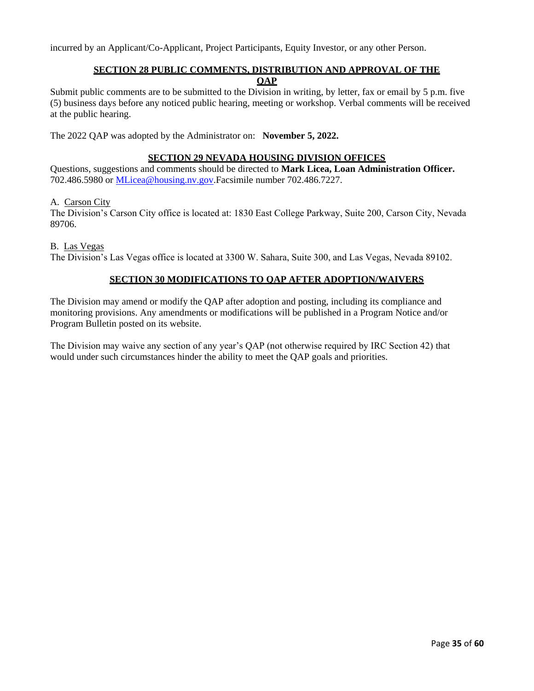incurred by an Applicant/Co-Applicant, Project Participants, Equity Investor, or any other Person.

## **SECTION 28 PUBLIC COMMENTS, DISTRIBUTION AND APPROVAL OF THE QAP**

Submit public comments are to be submitted to the Division in writing, by letter, fax or email by 5 p.m. five (5) business days before any noticed public hearing, meeting or workshop. Verbal comments will be received at the public hearing.

The 2022 QAP was adopted by the Administrator on: **November 5, 2022.**

## **SECTION 29 NEVADA HOUSING DIVISION OFFICES**

Questions, suggestions and comments should be directed to **Mark Licea, Loan Administration Officer.** 702.486.5980 or [MLicea@housing.nv.gov.Facsimile](mailto:MLicea@housing.nv.gov.Facsimile) number 702.486.7227.

#### A. Carson City

The Division's Carson City office is located at: 1830 East College Parkway, Suite 200, Carson City, Nevada 89706.

B. Las Vegas

The Division's Las Vegas office is located at 3300 W. Sahara, Suite 300, and Las Vegas, Nevada 89102.

## **SECTION 30 MODIFICATIONS TO QAP AFTER ADOPTION/WAIVERS**

The Division may amend or modify the QAP after adoption and posting, including its compliance and monitoring provisions. Any amendments or modifications will be published in a Program Notice and/or Program Bulletin posted on its website.

The Division may waive any section of any year's QAP (not otherwise required by IRC Section 42) that would under such circumstances hinder the ability to meet the QAP goals and priorities.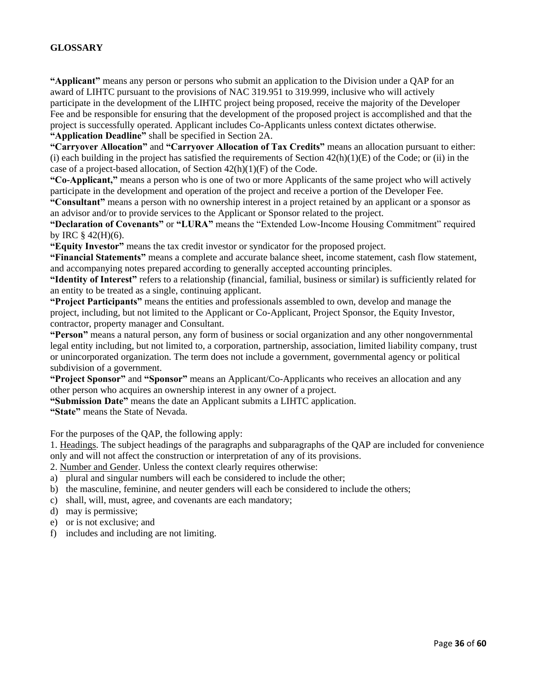## **GLOSSARY**

**"Applicant"** means any person or persons who submit an application to the Division under a QAP for an award of LIHTC pursuant to the provisions of NAC 319.951 to 319.999, inclusive who will actively participate in the development of the LIHTC project being proposed, receive the majority of the Developer Fee and be responsible for ensuring that the development of the proposed project is accomplished and that the project is successfully operated. Applicant includes Co-Applicants unless context dictates otherwise. **"Application Deadline"** shall be specified in Section 2A.

**"Carryover Allocation"** and **"Carryover Allocation of Tax Credits"** means an allocation pursuant to either: (i) each building in the project has satisfied the requirements of Section  $42(h)(1)(E)$  of the Code; or (ii) in the case of a project-based allocation, of Section 42(h)(1)(F) of the Code.

**"Co-Applicant,"** means a person who is one of two or more Applicants of the same project who will actively participate in the development and operation of the project and receive a portion of the Developer Fee.

**"Consultant"** means a person with no ownership interest in a project retained by an applicant or a sponsor as an advisor and/or to provide services to the Applicant or Sponsor related to the project.

**"Declaration of Covenants"** or **"LURA"** means the "Extended Low-Income Housing Commitment" required by IRC § 42(H)(6).

**"Equity Investor"** means the tax credit investor or syndicator for the proposed project.

**"Financial Statements"** means a complete and accurate balance sheet, income statement, cash flow statement, and accompanying notes prepared according to generally accepted accounting principles.

**"Identity of Interest"** refers to a relationship (financial, familial, business or similar) is sufficiently related for an entity to be treated as a single, continuing applicant.

**"Project Participants"** means the entities and professionals assembled to own, develop and manage the project, including, but not limited to the Applicant or Co-Applicant, Project Sponsor, the Equity Investor, contractor, property manager and Consultant.

**"Person"** means a natural person, any form of business or social organization and any other nongovernmental legal entity including, but not limited to, a corporation, partnership, association, limited liability company, trust or unincorporated organization. The term does not include a government, governmental agency or political subdivision of a government.

**"Project Sponsor"** and **"Sponsor"** means an Applicant/Co-Applicants who receives an allocation and any other person who acquires an ownership interest in any owner of a project.

**"Submission Date"** means the date an Applicant submits a LIHTC application.

**"State"** means the State of Nevada.

For the purposes of the QAP, the following apply:

1. Headings. The subject headings of the paragraphs and subparagraphs of the QAP are included for convenience only and will not affect the construction or interpretation of any of its provisions.

2. Number and Gender. Unless the context clearly requires otherwise:

- a) plural and singular numbers will each be considered to include the other;
- b) the masculine, feminine, and neuter genders will each be considered to include the others;
- c) shall, will, must, agree, and covenants are each mandatory;
- d) may is permissive;
- e) or is not exclusive; and
- f) includes and including are not limiting.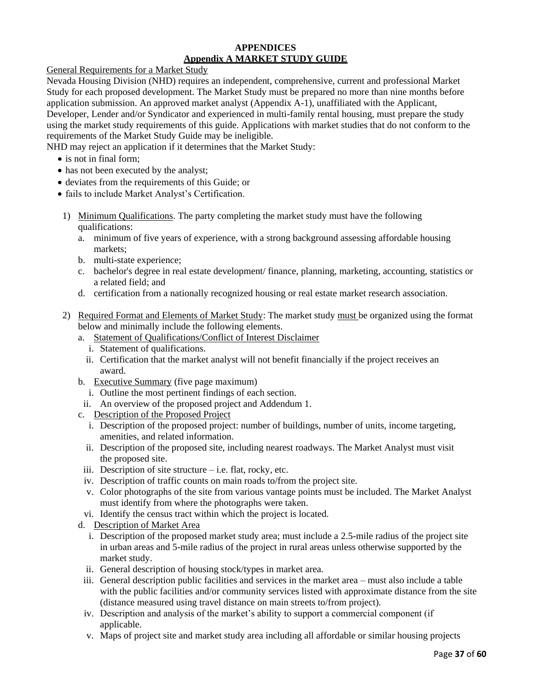#### **APPENDICES Appendix A MARKET STUDY GUIDE**

General Requirements for a Market Study

Nevada Housing Division (NHD) requires an independent, comprehensive, current and professional Market Study for each proposed development. The Market Study must be prepared no more than nine months before application submission. An approved market analyst (Appendix A-1), unaffiliated with the Applicant, Developer, Lender and/or Syndicator and experienced in multi-family rental housing, must prepare the study using the market study requirements of this guide. Applications with market studies that do not conform to the requirements of the Market Study Guide may be ineligible.

NHD may reject an application if it determines that the Market Study:

- is not in final form;
- has not been executed by the analyst;
- deviates from the requirements of this Guide; or
- fails to include Market Analyst's Certification.
- 1) Minimum Qualifications. The party completing the market study must have the following qualifications:
	- a. minimum of five years of experience, with a strong background assessing affordable housing markets;
	- b. multi-state experience;
	- c. bachelor's degree in real estate development/ finance, planning, marketing, accounting, statistics or a related field; and
	- d. certification from a nationally recognized housing or real estate market research association.
- 2) Required Format and Elements of Market Study: The market study must be organized using the format below and minimally include the following elements.
	- a. Statement of Qualifications/Conflict of Interest Disclaimer
		- i. Statement of qualifications.
		- ii. Certification that the market analyst will not benefit financially if the project receives an award.
	- b. Executive Summary (five page maximum)
		- i. Outline the most pertinent findings of each section.
	- ii. An overview of the proposed project and Addendum 1.
	- c. Description of the Proposed Project
		- i. Description of the proposed project: number of buildings, number of units, income targeting, amenities, and related information.
		- ii. Description of the proposed site, including nearest roadways. The Market Analyst must visit the proposed site.
	- iii. Description of site structure  $-$  i.e. flat, rocky, etc.
	- iv. Description of traffic counts on main roads to/from the project site.
	- v. Color photographs of the site from various vantage points must be included. The Market Analyst must identify from where the photographs were taken.
	- vi. Identify the census tract within which the project is located.
	- d. Description of Market Area
		- i. Description of the proposed market study area; must include a 2.5-mile radius of the project site in urban areas and 5-mile radius of the project in rural areas unless otherwise supported by the market study.
		- ii. General description of housing stock/types in market area.
	- iii. General description public facilities and services in the market area must also include a table with the public facilities and/or community services listed with approximate distance from the site (distance measured using travel distance on main streets to/from project).
	- iv. Description and analysis of the market's ability to support a commercial component (if applicable.
	- v. Maps of project site and market study area including all affordable or similar housing projects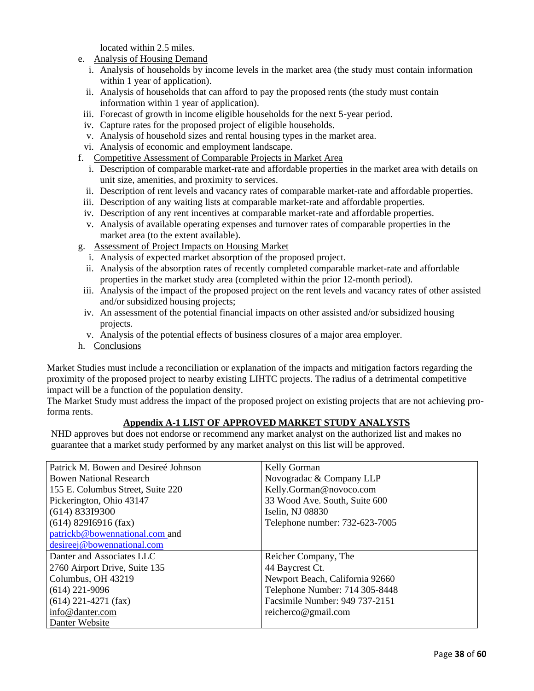located within 2.5 miles.

- e. Analysis of Housing Demand
	- i. Analysis of households by income levels in the market area (the study must contain information within 1 year of application).
	- ii. Analysis of households that can afford to pay the proposed rents (the study must contain information within 1 year of application).
- iii. Forecast of growth in income eligible households for the next 5-year period.
- iv. Capture rates for the proposed project of eligible households.
- v. Analysis of household sizes and rental housing types in the market area.
- vi. Analysis of economic and employment landscape.
- f. Competitive Assessment of Comparable Projects in Market Area
	- i. Description of comparable market-rate and affordable properties in the market area with details on unit size, amenities, and proximity to services.
	- ii. Description of rent levels and vacancy rates of comparable market-rate and affordable properties.
- iii. Description of any waiting lists at comparable market-rate and affordable properties.
- iv. Description of any rent incentives at comparable market-rate and affordable properties.
- v. Analysis of available operating expenses and turnover rates of comparable properties in the market area (to the extent available).
- g. Assessment of Project Impacts on Housing Market
	- i. Analysis of expected market absorption of the proposed project.
	- ii. Analysis of the absorption rates of recently completed comparable market-rate and affordable properties in the market study area (completed within the prior 12-month period).
- iii. Analysis of the impact of the proposed project on the rent levels and vacancy rates of other assisted and/or subsidized housing projects;
- iv. An assessment of the potential financial impacts on other assisted and/or subsidized housing projects.
- v. Analysis of the potential effects of business closures of a major area employer.
- h. Conclusions

Market Studies must include a reconciliation or explanation of the impacts and mitigation factors regarding the proximity of the proposed project to nearby existing LIHTC projects. The radius of a detrimental competitive impact will be a function of the population density.

The Market Study must address the impact of the proposed project on existing projects that are not achieving proforma rents.

## **Appendix A-1 LIST OF APPROVED MARKET STUDY ANALYSTS**

NHD approves but does not endorse or recommend any market analyst on the authorized list and makes no guarantee that a market study performed by any market analyst on this list will be approved.

| Patrick M. Bowen and Desireé Johnson | <b>Kelly Gorman</b>             |
|--------------------------------------|---------------------------------|
| <b>Bowen National Research</b>       | Novogradac & Company LLP        |
| 155 E. Columbus Street, Suite 220    | Kelly.Gorman@novoco.com         |
| Pickerington, Ohio 43147             | 33 Wood Ave. South, Suite 600   |
| (614) 833I9300                       | Iselin, NJ 08830                |
| $(614)$ 829I6916 (fax)               | Telephone number: 732-623-7005  |
| patrickb@bowennational.com and       |                                 |
| desireej@bowennational.com           |                                 |
| Danter and Associates LLC            | Reicher Company, The            |
| 2760 Airport Drive, Suite 135        | 44 Baycrest Ct.                 |
| Columbus, OH 43219                   | Newport Beach, California 92660 |
| $(614)$ 221-9096                     | Telephone Number: 714 305-8448  |
| $(614)$ 221-4271 (fax)               | Facsimile Number: 949 737-2151  |
| info@danter.com                      | reicherco@gmail.com             |
| Danter Website                       |                                 |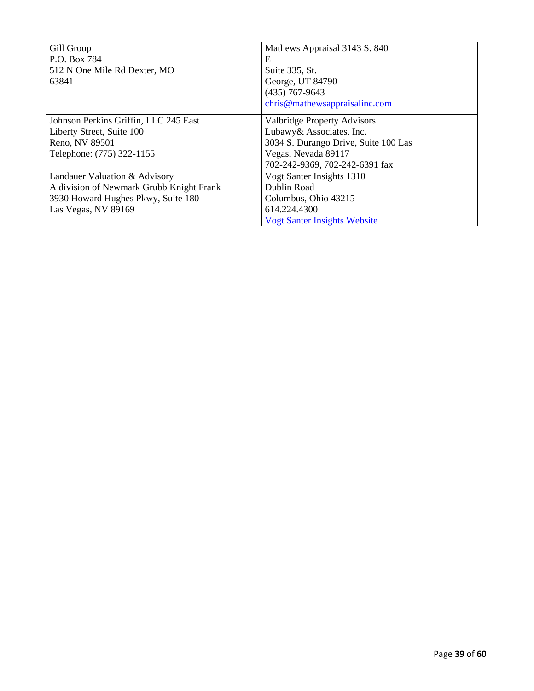| Gill Group                               | Mathews Appraisal 3143 S. 840        |
|------------------------------------------|--------------------------------------|
| P.O. Box 784                             | Е                                    |
| 512 N One Mile Rd Dexter, MO             | Suite 335, St.                       |
| 63841                                    | George, UT 84790                     |
|                                          | $(435)$ 767-9643                     |
|                                          | chris@mathewsappraisalinc.com        |
| Johnson Perkins Griffin, LLC 245 East    | <b>Valbridge Property Advisors</b>   |
| Liberty Street, Suite 100                | Lubawy& Associates, Inc.             |
| Reno, NV 89501                           | 3034 S. Durango Drive, Suite 100 Las |
| Telephone: (775) 322-1155                | Vegas, Nevada 89117                  |
|                                          | 702-242-9369, 702-242-6391 fax       |
| Landauer Valuation & Advisory            | Vogt Santer Insights 1310            |
| A division of Newmark Grubb Knight Frank | Dublin Road                          |
| 3930 Howard Hughes Pkwy, Suite 180       | Columbus, Ohio 43215                 |
| Las Vegas, NV 89169                      | 614.224.4300                         |
|                                          | <b>Vogt Santer Insights Website</b>  |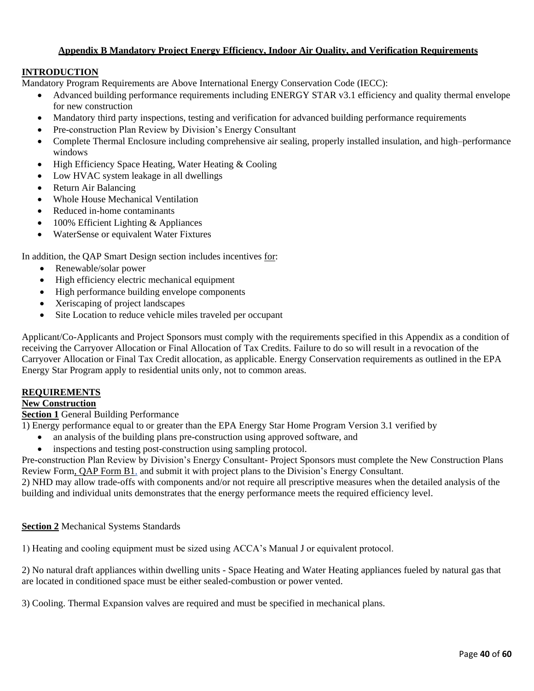## **Appendix B Mandatory Project Energy Efficiency, Indoor Air Quality, and Verification Requirements**

## **INTRODUCTION**

Mandatory Program Requirements are Above International Energy Conservation Code (IECC):

- Advanced building performance requirements including ENERGY STAR v3.1 efficiency and quality thermal envelope for new construction
- Mandatory third party inspections, testing and verification for advanced building performance requirements
- Pre-construction Plan Review by Division's Energy Consultant
- Complete Thermal Enclosure including comprehensive air sealing, properly installed insulation, and high–performance windows
- High Efficiency Space Heating, Water Heating & Cooling
- Low HVAC system leakage in all dwellings
- Return Air Balancing
- Whole House Mechanical Ventilation
- Reduced in-home contaminants
- 100% Efficient Lighting & Appliances
- WaterSense or equivalent Water Fixtures

In addition, the QAP Smart Design section includes incentives for:

- Renewable/solar power
- High efficiency electric mechanical equipment
- High performance building envelope components
- Xeriscaping of project landscapes
- Site Location to reduce vehicle miles traveled per occupant

Applicant/Co-Applicants and Project Sponsors must comply with the requirements specified in this Appendix as a condition of receiving the Carryover Allocation or Final Allocation of Tax Credits. Failure to do so will result in a revocation of the Carryover Allocation or Final Tax Credit allocation, as applicable. Energy Conservation requirements as outlined in the EPA Energy Star Program apply to residential units only, not to common areas.

# **REQUIREMENTS**

# **New Construction**

# **Section 1** General Building Performance

1) Energy performance equal to or greater than the EPA Energy Star Home Program Version 3.1 verified by

- an analysis of the building plans pre-construction using approved software, and
- inspections and testing post-construction using sampling protocol.

Pre-construction Plan Review by Division's Energy Consultant- Project Sponsors must complete the New Construction Plans Review Form, QAP Form B1, and submit it with project plans to the Division's Energy Consultant.

2) NHD may allow trade-offs with components and/or not require all prescriptive measures when the detailed analysis of the building and individual units demonstrates that the energy performance meets the required efficiency level.

## **Section 2** Mechanical Systems Standards

1) Heating and cooling equipment must be sized using ACCA's Manual J or equivalent protocol.

2) No natural draft appliances within dwelling units - Space Heating and Water Heating appliances fueled by natural gas that are located in conditioned space must be either sealed-combustion or power vented.

3) Cooling. Thermal Expansion valves are required and must be specified in mechanical plans.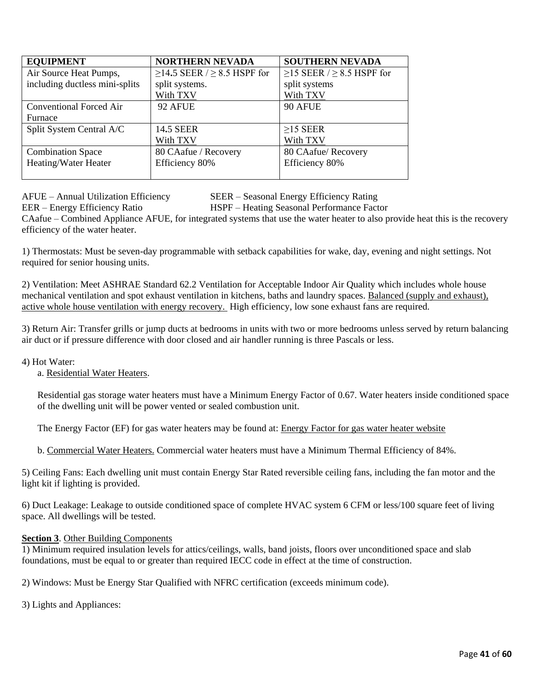| <b>EQUIPMENT</b>               | <b>NORTHERN NEVADA</b>                 | <b>SOUTHERN NEVADA</b>               |  |
|--------------------------------|----------------------------------------|--------------------------------------|--|
| Air Source Heat Pumps,         | $\geq$ 14.5 SEER / $\geq$ 8.5 HSPF for | $\geq$ 15 SEER / $\geq$ 8.5 HSPF for |  |
| including ductless mini-splits | split systems.                         | split systems                        |  |
|                                | With TXV                               | With TXV                             |  |
| <b>Conventional Forced Air</b> | 92 AFUE                                | 90 AFUE                              |  |
| Furnace                        |                                        |                                      |  |
| Split System Central A/C       | <b>14.5 SEER</b>                       | $\geq$ 15 SEER                       |  |
|                                | With TXV                               | With TXV                             |  |
| <b>Combination Space</b>       | 80 CAafue / Recovery                   | 80 CAafue/ Recovery                  |  |
| Heating/Water Heater           | Efficiency 80%                         | Efficiency 80%                       |  |
|                                |                                        |                                      |  |

AFUE – Annual Utilization Efficiency SEER – Seasonal Energy Efficiency Rating

EER – Energy Efficiency Ratio HSPF – Heating Seasonal Performance Factor

CAafue – Combined Appliance AFUE, for integrated systems that use the water heater to also provide heat this is the recovery efficiency of the water heater.

1) Thermostats: Must be seven-day programmable with setback capabilities for wake, day, evening and night settings. Not required for senior housing units.

2) Ventilation: Meet ASHRAE Standard 62.2 Ventilation for Acceptable Indoor Air Quality which includes whole house mechanical ventilation and spot exhaust ventilation in kitchens, baths and laundry spaces. Balanced (supply and exhaust), active whole house ventilation with energy recovery. High efficiency, low sone exhaust fans are required.

3) Return Air: Transfer grills or jump ducts at bedrooms in units with two or more bedrooms unless served by return balancing air duct or if pressure difference with door closed and air handler running is three Pascals or less.

4) Hot Water:

a. Residential Water Heaters.

Residential gas storage water heaters must have a Minimum Energy Factor of 0.67. Water heaters inside conditioned space of the dwelling unit will be power vented or sealed combustion unit.

The Energy Factor (EF) for gas water heaters may be found at: [Energy Factor for gas water heater website](https://www.ahridirectory.org/ahridirectory/pages/home.aspx)

b. Commercial Water Heaters. Commercial water heaters must have a Minimum Thermal Efficiency of 84%.

5) Ceiling Fans: Each dwelling unit must contain Energy Star Rated reversible ceiling fans, including the fan motor and the light kit if lighting is provided.

6) Duct Leakage: Leakage to outside conditioned space of complete HVAC system 6 CFM or less/100 square feet of living space. All dwellings will be tested.

## **Section 3. Other Building Components**

1) Minimum required insulation levels for attics/ceilings, walls, band joists, floors over unconditioned space and slab foundations, must be equal to or greater than required IECC code in effect at the time of construction.

2) Windows: Must be Energy Star Qualified with NFRC certification (exceeds minimum code).

3) Lights and Appliances: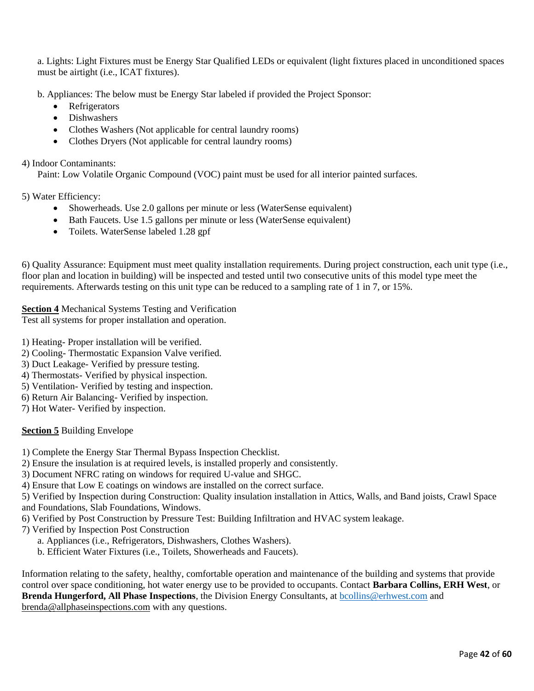a. Lights: Light Fixtures must be Energy Star Qualified LEDs or equivalent (light fixtures placed in unconditioned spaces must be airtight (i.e., ICAT fixtures).

b. Appliances: The below must be Energy Star labeled if provided the Project Sponsor:

- Refrigerators
- Dishwashers
- Clothes Washers (Not applicable for central laundry rooms)
- Clothes Dryers (Not applicable for central laundry rooms)

4) Indoor Contaminants:

Paint: Low Volatile Organic Compound (VOC) paint must be used for all interior painted surfaces.

5) Water Efficiency:

- Showerheads. Use 2.0 gallons per minute or less (WaterSense equivalent)
- Bath Faucets. Use 1.5 gallons per minute or less (WaterSense equivalent)
- Toilets. WaterSense labeled 1.28 gpf

6) Quality Assurance: Equipment must meet quality installation requirements. During project construction, each unit type (i.e., floor plan and location in building) will be inspected and tested until two consecutive units of this model type meet the requirements. Afterwards testing on this unit type can be reduced to a sampling rate of 1 in 7, or 15%.

## **Section 4** Mechanical Systems Testing and Verification

Test all systems for proper installation and operation.

- 1) Heating- Proper installation will be verified.
- 2) Cooling- Thermostatic Expansion Valve verified.
- 3) Duct Leakage- Verified by pressure testing.
- 4) Thermostats- Verified by physical inspection.
- 5) Ventilation- Verified by testing and inspection.
- 6) Return Air Balancing- Verified by inspection.
- 7) Hot Water- Verified by inspection.

## **Section 5** Building Envelope

- 1) Complete the Energy Star Thermal Bypass Inspection Checklist.
- 2) Ensure the insulation is at required levels, is installed properly and consistently.
- 3) Document NFRC rating on windows for required U-value and SHGC.
- 4) Ensure that Low E coatings on windows are installed on the correct surface.

5) Verified by Inspection during Construction: Quality insulation installation in Attics, Walls, and Band joists, Crawl Space and Foundations, Slab Foundations, Windows.

- 6) Verified by Post Construction by Pressure Test: Building Infiltration and HVAC system leakage.
- 7) Verified by Inspection Post Construction
	- a. Appliances (i.e., Refrigerators, Dishwashers, Clothes Washers).
	- b. Efficient Water Fixtures (i.e., Toilets, Showerheads and Faucets).

Information relating to the safety, healthy, comfortable operation and maintenance of the building and systems that provide control over space conditioning, hot water energy use to be provided to occupants. Contact **Barbara Collins, ERH West**, or **Brenda Hungerford, All Phase Inspections**, the Division Energy Consultants, at [bcollins@erhwest.com](mailto:bcollins@erhwest.com) and brenda@allphaseinspections.com with any questions.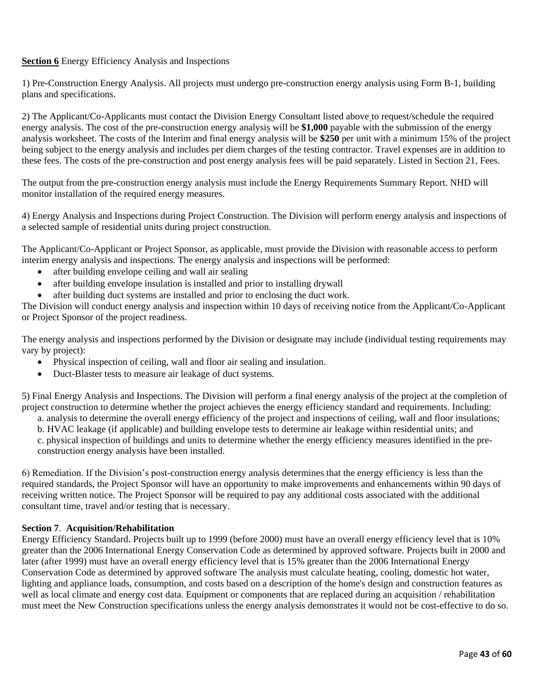## **Section 6** Energy Efficiency Analysis and Inspections

1) Pre-Construction Energy Analysis. All projects must undergo pre-construction energy analysis using Form B-1, building plans and specifications.

2) The Applicant/Co-Applicants must contact the Division Energy Consultant listed above to request/schedule the required energy analysis. The cost of the pre-construction energy analysis will be **\$1,000** payable with the submission of the energy analysis worksheet. The costs of the Interim and final energy analysis will be **\$250** per unit with a minimum 15% of the project being subject to the energy analysis and includes per diem charges of the testing contractor. Travel expenses are in addition to these fees. The costs of the pre-construction and post energy analysis fees will be paid separately. Listed in Section 21, Fees.

The output from the pre-construction energy analysis must include the Energy Requirements Summary Report. NHD will monitor installation of the required energy measures.

4) Energy Analysis and Inspections during Project Construction. The Division will perform energy analysis and inspections of a selected sample of residential units during project construction.

The Applicant/Co-Applicant or Project Sponsor, as applicable, must provide the Division with reasonable access to perform interim energy analysis and inspections. The energy analysis and inspections will be performed:

- after building envelope ceiling and wall air sealing
- after building envelope insulation is installed and prior to installing drywall
- after building duct systems are installed and prior to enclosing the duct work.

The Division will conduct energy analysis and inspection within 10 days of receiving notice from the Applicant/Co-Applicant or Project Sponsor of the project readiness.

The energy analysis and inspections performed by the Division or designate may include (individual testing requirements may vary by project):

- Physical inspection of ceiling, wall and floor air sealing and insulation.
- Duct-Blaster tests to measure air leakage of duct systems.

5) Final Energy Analysis and Inspections. The Division will perform a final energy analysis of the project at the completion of project construction to determine whether the project achieves the energy efficiency standard and requirements. Including:

a. analysis to determine the overall energy efficiency of the project and inspections of ceiling, wall and floor insulations;

b. HVAC leakage (if applicable) and building envelope tests to determine air leakage within residential units; and c. physical inspection of buildings and units to determine whether the energy efficiency measures identified in the pre-

construction energy analysis have been installed.

6) Remediation. If the Division's post-construction energy analysis determines that the energy efficiency is less than the required standards, the Project Sponsor will have an opportunity to make improvements and enhancements within 90 days of receiving written notice. The Project Sponsor will be required to pay any additional costs associated with the additional consultant time, travel and/or testing that is necessary.

## **Section 7**. **Acquisition/Rehabilitation**

Energy Efficiency Standard. Projects built up to 1999 (before 2000) must have an overall energy efficiency level that is 10% greater than the 2006 International Energy Conservation Code as determined by approved software. Projects built in 2000 and later (after 1999) must have an overall energy efficiency level that is 15% greater than the 2006 International Energy Conservation Code as determined by approved software The analysis must calculate heating, cooling, domestic hot water, lighting and appliance loads, consumption, and costs based on a description of the home's design and construction features as well as local climate and energy cost data. Equipment or components that are replaced during an acquisition / rehabilitation must meet the New Construction specifications unless the energy analysis demonstrates it would not be cost-effective to do so.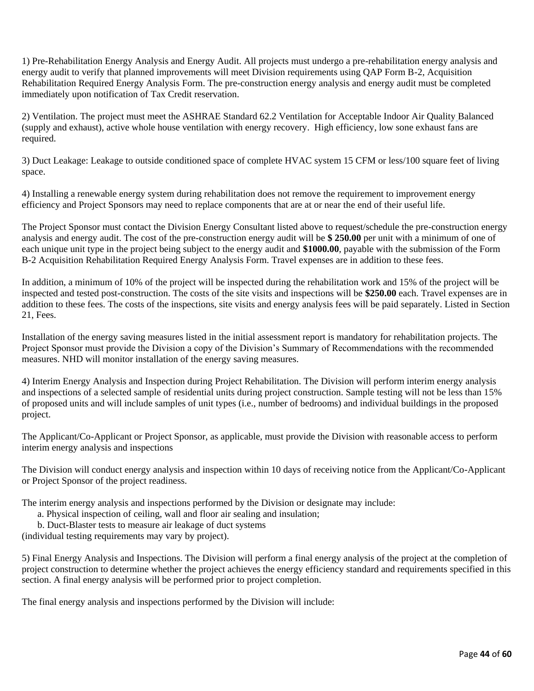1) Pre-Rehabilitation Energy Analysis and Energy Audit. All projects must undergo a pre-rehabilitation energy analysis and energy audit to verify that planned improvements will meet Division requirements using QAP Form B-2, Acquisition Rehabilitation Required Energy Analysis Form. The pre-construction energy analysis and energy audit must be completed immediately upon notification of Tax Credit reservation.

2) Ventilation. The project must meet the ASHRAE Standard 62.2 Ventilation for Acceptable Indoor Air Quality Balanced (supply and exhaust), active whole house ventilation with energy recovery. High efficiency, low sone exhaust fans are required.

3) Duct Leakage: Leakage to outside conditioned space of complete HVAC system 15 CFM or less/100 square feet of living space.

4) Installing a renewable energy system during rehabilitation does not remove the requirement to improvement energy efficiency and Project Sponsors may need to replace components that are at or near the end of their useful life.

The Project Sponsor must contact the Division Energy Consultant listed above to request/schedule the pre-construction energy analysis and energy audit. The cost of the pre-construction energy audit will be **\$ 250.00** per unit with a minimum of one of each unique unit type in the project being subject to the energy audit and **\$1000.00**, payable with the submission of the Form B-2 Acquisition Rehabilitation Required Energy Analysis Form. Travel expenses are in addition to these fees.

In addition, a minimum of 10% of the project will be inspected during the rehabilitation work and 15% of the project will be inspected and tested post-construction. The costs of the site visits and inspections will be **\$250.00** each. Travel expenses are in addition to these fees. The costs of the inspections, site visits and energy analysis fees will be paid separately. Listed in Section 21, Fees.

Installation of the energy saving measures listed in the initial assessment report is mandatory for rehabilitation projects. The Project Sponsor must provide the Division a copy of the Division's Summary of Recommendations with the recommended measures. NHD will monitor installation of the energy saving measures.

4) Interim Energy Analysis and Inspection during Project Rehabilitation. The Division will perform interim energy analysis and inspections of a selected sample of residential units during project construction. Sample testing will not be less than 15% of proposed units and will include samples of unit types (i.e., number of bedrooms) and individual buildings in the proposed project.

The Applicant/Co-Applicant or Project Sponsor, as applicable, must provide the Division with reasonable access to perform interim energy analysis and inspections

The Division will conduct energy analysis and inspection within 10 days of receiving notice from the Applicant/Co-Applicant or Project Sponsor of the project readiness.

The interim energy analysis and inspections performed by the Division or designate may include:

- a. Physical inspection of ceiling, wall and floor air sealing and insulation;
- b. Duct-Blaster tests to measure air leakage of duct systems

(individual testing requirements may vary by project).

5) Final Energy Analysis and Inspections. The Division will perform a final energy analysis of the project at the completion of project construction to determine whether the project achieves the energy efficiency standard and requirements specified in this section. A final energy analysis will be performed prior to project completion.

The final energy analysis and inspections performed by the Division will include: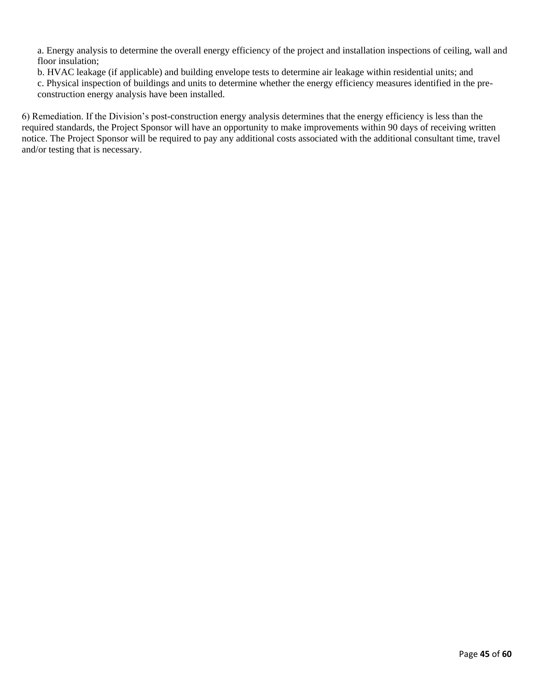a. Energy analysis to determine the overall energy efficiency of the project and installation inspections of ceiling, wall and floor insulation;

b. HVAC leakage (if applicable) and building envelope tests to determine air leakage within residential units; and

c. Physical inspection of buildings and units to determine whether the energy efficiency measures identified in the preconstruction energy analysis have been installed.

6) Remediation. If the Division's post-construction energy analysis determines that the energy efficiency is less than the required standards, the Project Sponsor will have an opportunity to make improvements within 90 days of receiving written notice. The Project Sponsor will be required to pay any additional costs associated with the additional consultant time, travel and/or testing that is necessary.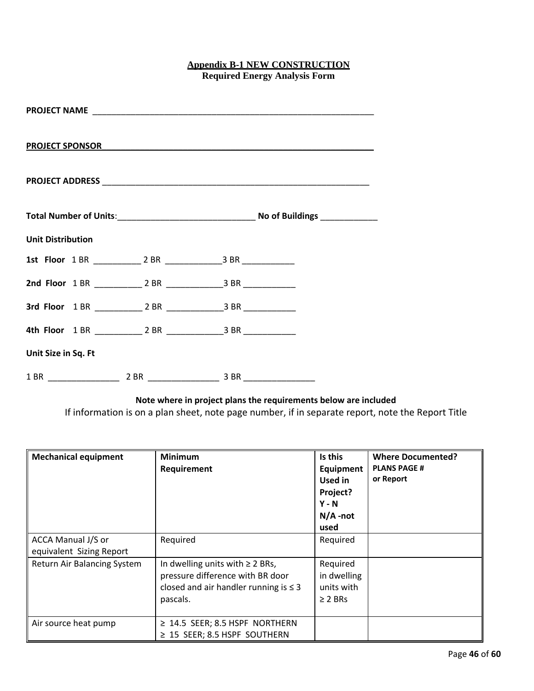## **Appendix B-1 NEW CONSTRUCTION Required Energy Analysis Form**

| <b>Unit Distribution</b> |  |
|--------------------------|--|
|                          |  |
|                          |  |
|                          |  |
|                          |  |
| Unit Size in Sq. Ft      |  |
|                          |  |

**Note where in project plans the requirements below are included**

If information is on a plan sheet, note page number, if in separate report, note the Report Title

| <b>Mechanical equipment</b>                    | <b>Minimum</b><br>Requirement                                                                                                      | Is this<br>Equipment<br>Used in<br>Project?<br>$Y - N$<br>$N/A$ -not<br>used | <b>Where Documented?</b><br><b>PLANS PAGE #</b><br>or Report |
|------------------------------------------------|------------------------------------------------------------------------------------------------------------------------------------|------------------------------------------------------------------------------|--------------------------------------------------------------|
| ACCA Manual J/S or<br>equivalent Sizing Report | Required                                                                                                                           | Required                                                                     |                                                              |
| Return Air Balancing System                    | In dwelling units with $\geq 2$ BRs,<br>pressure difference with BR door<br>closed and air handler running is $\leq$ 3<br>pascals. | Required<br>in dwelling<br>units with<br>$\geq$ 2 BRs                        |                                                              |
| Air source heat pump                           | $\geq$ 14.5 SEER; 8.5 HSPF NORTHERN<br>$\geq$ 15 SEER; 8.5 HSPF SOUTHERN                                                           |                                                                              |                                                              |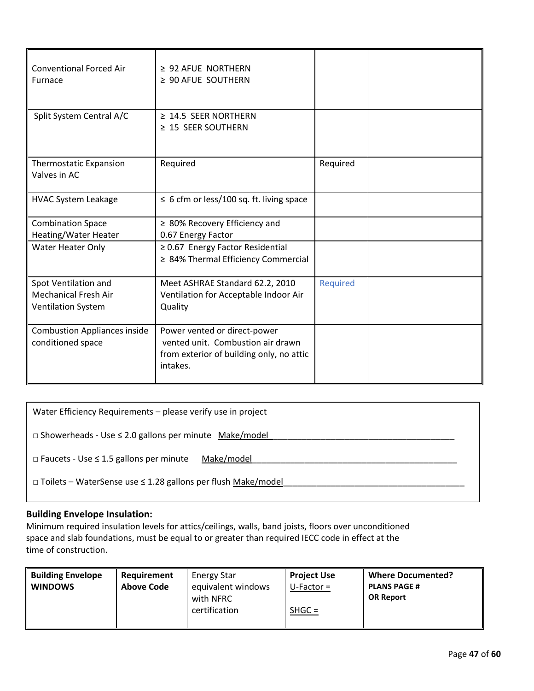| <b>Conventional Forced Air</b>      | $\geq$ 92 AFUE NORTHERN                       |                 |  |
|-------------------------------------|-----------------------------------------------|-----------------|--|
| Furnace                             | $\geq$ 90 AFUE SOUTHERN                       |                 |  |
|                                     |                                               |                 |  |
|                                     |                                               |                 |  |
| Split System Central A/C            | $\geq$ 14.5 SEER NORTHERN                     |                 |  |
|                                     | $\geq$ 15 SEER SOUTHERN                       |                 |  |
|                                     |                                               |                 |  |
|                                     |                                               |                 |  |
| <b>Thermostatic Expansion</b>       | Required                                      | Required        |  |
| Valves in AC                        |                                               |                 |  |
|                                     |                                               |                 |  |
| <b>HVAC System Leakage</b>          | $\leq$ 6 cfm or less/100 sq. ft. living space |                 |  |
|                                     |                                               |                 |  |
| <b>Combination Space</b>            | $\geq$ 80% Recovery Efficiency and            |                 |  |
| Heating/Water Heater                | 0.67 Energy Factor                            |                 |  |
| <b>Water Heater Only</b>            | $\geq$ 0.67 Energy Factor Residential         |                 |  |
|                                     | ≥ 84% Thermal Efficiency Commercial           |                 |  |
|                                     |                                               |                 |  |
| Spot Ventilation and                | Meet ASHRAE Standard 62.2, 2010               | <b>Required</b> |  |
| <b>Mechanical Fresh Air</b>         | Ventilation for Acceptable Indoor Air         |                 |  |
| <b>Ventilation System</b>           | Quality                                       |                 |  |
| <b>Combustion Appliances inside</b> | Power vented or direct-power                  |                 |  |
| conditioned space                   | vented unit. Combustion air drawn             |                 |  |
|                                     | from exterior of building only, no attic      |                 |  |
|                                     | intakes.                                      |                 |  |
|                                     |                                               |                 |  |
|                                     |                                               |                 |  |

| Water Efficiency Requirements - please verify use in project             |  |
|--------------------------------------------------------------------------|--|
| $\Box$ Showerheads - Use $\leq$ 2.0 gallons per minute Make/model        |  |
| Make/model<br>$\Box$ Faucets - Use $\leq$ 1.5 gallons per minute         |  |
| $\Box$ Toilets – WaterSense use $\leq$ 1.28 gallons per flush Make/model |  |

# **Building Envelope Insulation:**

Minimum required insulation levels for attics/ceilings, walls, band joists, floors over unconditioned by the project use space and slab foundations, must be equal to or greater than required IECC code in effect at the **Nancial** *Rural* time of construction. **Where Documented?**

| <b>Building Envelope</b><br>   WINDOWS | Requirement<br><b>Above Code</b> | <b>Energy Star</b><br>equivalent windows<br>with NFRC<br>certification | <b>Project Use</b><br>$U$ -Factor =<br>$SHGC =$ | <b>Where Documented?</b><br><b>PLANS PAGE #</b><br><b>OR Report</b> |
|----------------------------------------|----------------------------------|------------------------------------------------------------------------|-------------------------------------------------|---------------------------------------------------------------------|
|                                        |                                  |                                                                        |                                                 |                                                                     |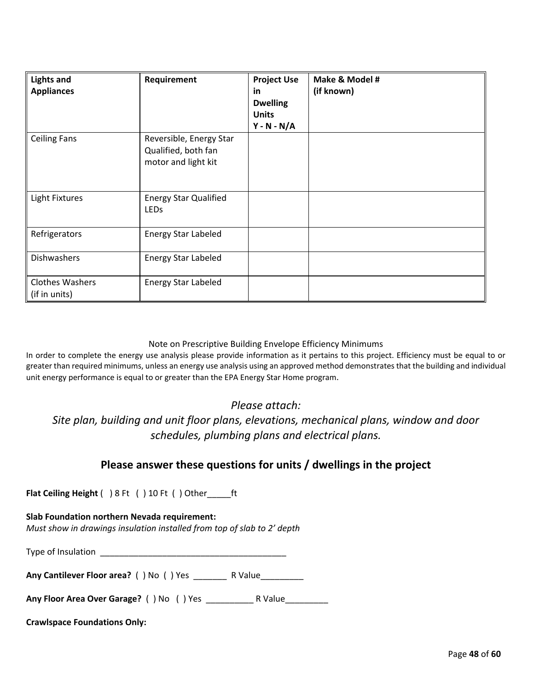| <b>Lights and</b><br><b>Appliances</b>  | Requirement                                                           | <b>Project Use</b><br>in<br><b>Dwelling</b><br><b>Units</b><br>$Y - N - N/A$ | Make & Model #<br>(if known) |
|-----------------------------------------|-----------------------------------------------------------------------|------------------------------------------------------------------------------|------------------------------|
| <b>Ceiling Fans</b>                     | Reversible, Energy Star<br>Qualified, both fan<br>motor and light kit |                                                                              |                              |
| <b>Light Fixtures</b>                   | <b>Energy Star Qualified</b><br><b>LEDs</b>                           |                                                                              |                              |
| Refrigerators                           | <b>Energy Star Labeled</b>                                            |                                                                              |                              |
| <b>Dishwashers</b>                      | <b>Energy Star Labeled</b>                                            |                                                                              |                              |
| <b>Clothes Washers</b><br>(if in units) | <b>Energy Star Labeled</b>                                            |                                                                              |                              |

#### Note on Prescriptive Building Envelope Efficiency Minimums

In order to complete the energy use analysis please provide information as it pertains to this project. Efficiency must be equal to or greater than required minimums, unless an energy use analysis using an approved method demonstrates that the building and individual unit energy performance is equal to or greater than the EPA Energy Star Home program.

# *Please attach:*

*Site plan, building and unit floor plans, elevations, mechanical plans, window and door schedules, plumbing plans and electrical plans.*

# **Please answer these questions for units / dwellings in the project**

**Flat Ceiling Height** ( ) 8 Ft ( ) 10 Ft ( ) Other\_\_\_\_\_ft

## **Slab Foundation northern Nevada requirement:**

*Must show in drawings insulation installed from top of slab to 2' depth*

Type of Insulation \_\_\_\_\_\_\_\_\_\_\_\_\_\_\_\_\_\_\_\_\_\_\_\_\_\_\_\_\_\_\_\_\_\_\_\_\_\_\_

**Any Cantilever Floor area?** ( ) No ( ) Yes \_\_\_\_\_\_\_ R Value\_\_\_\_\_\_\_\_\_

**Any Floor Area Over Garage?** ( ) No ( ) Yes \_\_\_\_\_\_\_\_\_\_ R Value\_\_\_\_\_\_\_\_\_

## **Crawlspace Foundations Only:**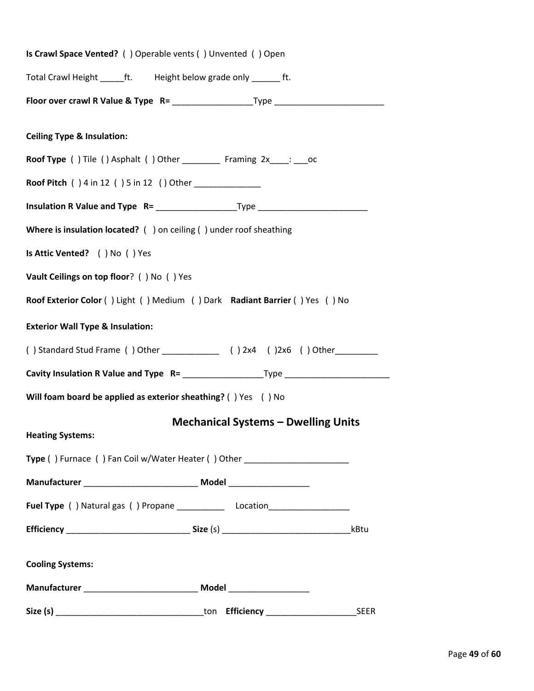| Is Crawl Space Vented? () Operable vents () Unvented () Open                     |
|----------------------------------------------------------------------------------|
| Total Crawl Height _______ ft. Height below grade only __________ ft.            |
|                                                                                  |
|                                                                                  |
| <b>Ceiling Type &amp; Insulation:</b>                                            |
| Roof Type () Tile () Asphalt () Other _________ Framing 2x____: ___ oc           |
| <b>Roof Pitch</b> () 4 in 12 () 5 in 12 () Other ______________                  |
|                                                                                  |
| Where is insulation located? () on ceiling () under roof sheathing               |
| Is Attic Vented? ( ) No ( ) Yes                                                  |
| Vault Ceilings on top floor? () No () Yes                                        |
| Roof Exterior Color () Light () Medium () Dark Radiant Barrier () Yes () No      |
| <b>Exterior Wall Type &amp; Insulation:</b>                                      |
|                                                                                  |
|                                                                                  |
| Will foam board be applied as exterior sheathing? () Yes () No                   |
| <b>Mechanical Systems - Dwelling Units</b>                                       |
| <b>Heating Systems:</b>                                                          |
| Type () Furnace () Fan Coil w/Water Heater () Other ____________________________ |
|                                                                                  |
|                                                                                  |
| kBtu                                                                             |
|                                                                                  |
| <b>Cooling Systems:</b>                                                          |
|                                                                                  |
| <b>SEER</b>                                                                      |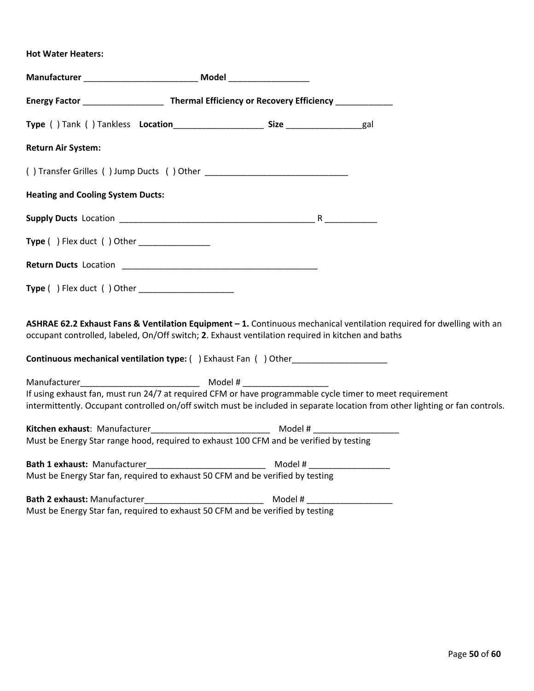## **Hot Water Heaters:**

| Energy Factor _______________________ Thermal Efficiency or Recovery Efficiency ____________                                                                                                                                             |  |  |
|------------------------------------------------------------------------------------------------------------------------------------------------------------------------------------------------------------------------------------------|--|--|
|                                                                                                                                                                                                                                          |  |  |
| <b>Return Air System:</b>                                                                                                                                                                                                                |  |  |
|                                                                                                                                                                                                                                          |  |  |
| <b>Heating and Cooling System Ducts:</b>                                                                                                                                                                                                 |  |  |
|                                                                                                                                                                                                                                          |  |  |
| <b>Type ( )</b> Flex duct ( ) Other _________________                                                                                                                                                                                    |  |  |
|                                                                                                                                                                                                                                          |  |  |
| <b>Type () Flex duct () Other</b> _____________________                                                                                                                                                                                  |  |  |
| ASHRAE 62.2 Exhaust Fans & Ventilation Equipment - 1. Continuous mechanical ventilation required for dwelling with an<br>occupant controlled, labeled, On/Off switch; 2. Exhaust ventilation required in kitchen and baths               |  |  |
| <b>Continuous mechanical ventilation type:</b> () Exhaust Fan () Other                                                                                                                                                                   |  |  |
|                                                                                                                                                                                                                                          |  |  |
| If using exhaust fan, must run 24/7 at required CFM or have programmable cycle timer to meet requirement<br>intermittently. Occupant controlled on/off switch must be included in separate location from other lighting or fan controls. |  |  |
|                                                                                                                                                                                                                                          |  |  |
| Must be Energy Star range hood, required to exhaust 100 CFM and be verified by testing                                                                                                                                                   |  |  |
|                                                                                                                                                                                                                                          |  |  |
| Must be Energy Star fan, required to exhaust 50 CFM and be verified by testing                                                                                                                                                           |  |  |
|                                                                                                                                                                                                                                          |  |  |
| Must be Energy Star fan, required to exhaust 50 CFM and be verified by testing                                                                                                                                                           |  |  |

Page **50** of **60**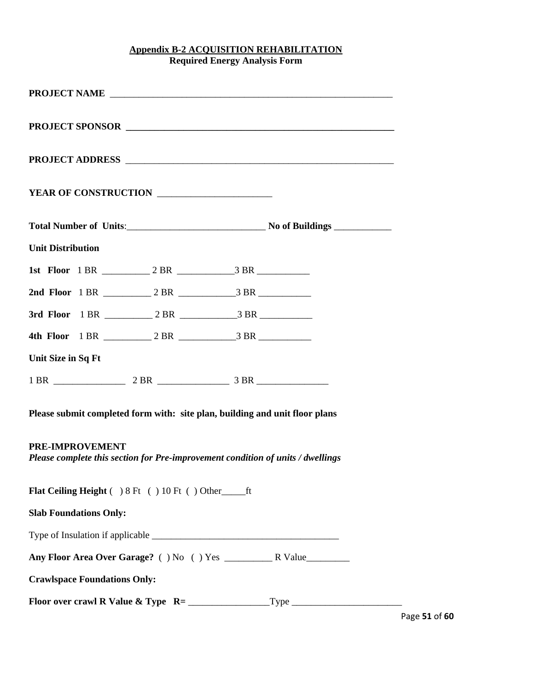## **Appendix B-2 ACQUISITION REHABILITATION Required Energy Analysis Form**

|                                     | YEAR OF CONSTRUCTION                             |                                                                                 |
|-------------------------------------|--------------------------------------------------|---------------------------------------------------------------------------------|
|                                     |                                                  |                                                                                 |
| <b>Unit Distribution</b>            |                                                  |                                                                                 |
|                                     |                                                  |                                                                                 |
|                                     |                                                  |                                                                                 |
|                                     |                                                  |                                                                                 |
|                                     |                                                  |                                                                                 |
| Unit Size in Sq Ft                  |                                                  |                                                                                 |
|                                     |                                                  |                                                                                 |
|                                     |                                                  | Please submit completed form with: site plan, building and unit floor plans     |
| PRE-IMPROVEMENT                     |                                                  | Please complete this section for Pre-improvement condition of units / dwellings |
|                                     | Flat Ceiling Height () 8 Ft () 10 Ft () Other ft |                                                                                 |
| <b>Slab Foundations Only:</b>       |                                                  |                                                                                 |
|                                     |                                                  |                                                                                 |
|                                     |                                                  |                                                                                 |
| <b>Crawlspace Foundations Only:</b> |                                                  |                                                                                 |
|                                     |                                                  |                                                                                 |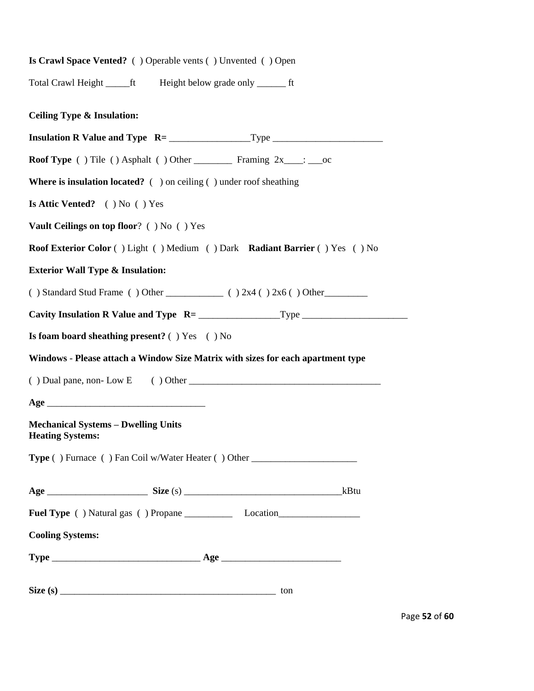| Is Crawl Space Vented? () Operable vents () Unvented () Open                              |     |      |
|-------------------------------------------------------------------------------------------|-----|------|
| Total Crawl Height ______ft Height below grade only ________ ft                           |     |      |
| <b>Ceiling Type &amp; Insulation:</b>                                                     |     |      |
|                                                                                           |     |      |
| <b>Roof Type</b> () Tile () Asphalt () Other ____________ Framing $2x$ ____: ____oc       |     |      |
| <b>Where is insulation located?</b> $( )$ on ceiling $( )$ under roof sheathing           |     |      |
| Is Attic Vented? () No () Yes                                                             |     |      |
| <b>Vault Ceilings on top floor?</b> () No () Yes                                          |     |      |
| <b>Roof Exterior Color</b> () Light () Medium () Dark <b>Radiant Barrier</b> () Yes () No |     |      |
| <b>Exterior Wall Type &amp; Insulation:</b>                                               |     |      |
|                                                                                           |     |      |
|                                                                                           |     |      |
| Is foam board sheathing present? () Yes () No                                             |     |      |
| Windows - Please attach a Window Size Matrix with sizes for each apartment type           |     |      |
|                                                                                           |     |      |
|                                                                                           |     |      |
| <b>Mechanical Systems - Dwelling Units</b><br><b>Heating Systems:</b>                     |     |      |
| Type () Furnace () Fan Coil w/Water Heater () Other _____________________________         |     |      |
|                                                                                           |     | kBtu |
|                                                                                           |     |      |
| <b>Cooling Systems:</b>                                                                   |     |      |
|                                                                                           |     |      |
|                                                                                           | ton |      |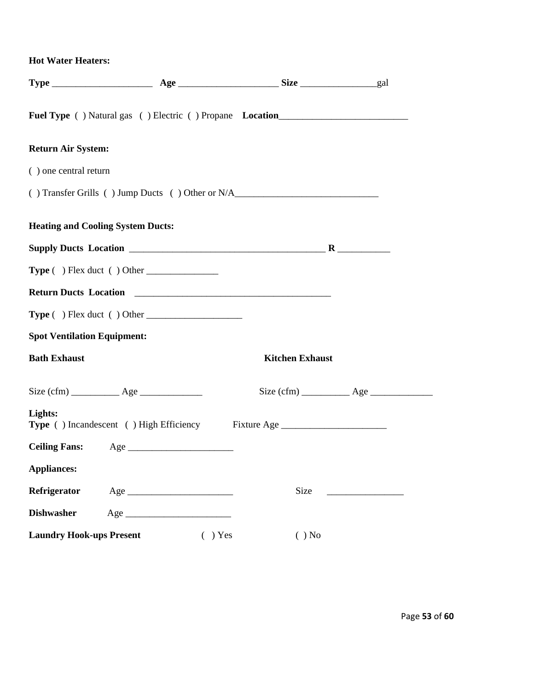**Hot Water Heaters:** 

|                                          |                                                  | <b>Fuel Type</b> () Natural gas () Electric () Propane <b>Location</b>                                                                                                                                                                                                                                                                                                                                                                                                   |                                                        |
|------------------------------------------|--------------------------------------------------|--------------------------------------------------------------------------------------------------------------------------------------------------------------------------------------------------------------------------------------------------------------------------------------------------------------------------------------------------------------------------------------------------------------------------------------------------------------------------|--------------------------------------------------------|
| <b>Return Air System:</b>                |                                                  |                                                                                                                                                                                                                                                                                                                                                                                                                                                                          |                                                        |
| () one central return                    |                                                  |                                                                                                                                                                                                                                                                                                                                                                                                                                                                          |                                                        |
|                                          |                                                  | () Transfer Grills () Jump Ducts () Other or N/A________________________________                                                                                                                                                                                                                                                                                                                                                                                         |                                                        |
| <b>Heating and Cooling System Ducts:</b> |                                                  |                                                                                                                                                                                                                                                                                                                                                                                                                                                                          |                                                        |
|                                          |                                                  |                                                                                                                                                                                                                                                                                                                                                                                                                                                                          |                                                        |
|                                          | <b>Type</b> ( ) Flex duct ( ) Other              |                                                                                                                                                                                                                                                                                                                                                                                                                                                                          |                                                        |
|                                          |                                                  | Return Ducts Location <b>Manual Community Contract Contract Contract Contract Contract Contract Contract Contract Contract Contract Contract Contract Contract Contract Contract Contract Contract Contract Contract Contract Co</b>                                                                                                                                                                                                                                     |                                                        |
|                                          | $Type ( ) Flex duct ( ) Other _______$           |                                                                                                                                                                                                                                                                                                                                                                                                                                                                          |                                                        |
| <b>Spot Ventilation Equipment:</b>       |                                                  |                                                                                                                                                                                                                                                                                                                                                                                                                                                                          |                                                        |
| <b>Bath Exhaust</b>                      |                                                  | <b>Kitchen Exhaust</b>                                                                                                                                                                                                                                                                                                                                                                                                                                                   |                                                        |
|                                          | Size $(cfm)$ $\qquad \qquad$ Age $\qquad \qquad$ | Size $(cfm)$ $\overline{\phantom{a}}$ $\overline{\phantom{a}}$ $\overline{\phantom{a}}$ $\overline{\phantom{a}}$ $\overline{\phantom{a}}$ $\overline{\phantom{a}}$ $\overline{\phantom{a}}$ $\overline{\phantom{a}}$ $\overline{\phantom{a}}$ $\overline{\phantom{a}}$ $\overline{\phantom{a}}$ $\overline{\phantom{a}}$ $\overline{\phantom{a}}$ $\overline{\phantom{a}}$ $\overline{\phantom{a}}$ $\overline{\phantom{a}}$ $\overline{\phantom{a}}$ $\overline{\phant$ |                                                        |
| Lights:                                  |                                                  | Type () Incandescent () High Efficiency Fixture Age ____________________________                                                                                                                                                                                                                                                                                                                                                                                         |                                                        |
|                                          |                                                  |                                                                                                                                                                                                                                                                                                                                                                                                                                                                          |                                                        |
| <b>Appliances:</b>                       |                                                  |                                                                                                                                                                                                                                                                                                                                                                                                                                                                          |                                                        |
| Refrigerator                             |                                                  | <b>Size</b>                                                                                                                                                                                                                                                                                                                                                                                                                                                              | <u> 1989 - Johann John Harry Barnett, fransk konge</u> |
| <b>Dishwasher</b>                        |                                                  |                                                                                                                                                                                                                                                                                                                                                                                                                                                                          |                                                        |
| <b>Laundry Hook-ups Present</b>          |                                                  | $( )$ No<br>$( )$ Yes                                                                                                                                                                                                                                                                                                                                                                                                                                                    |                                                        |

Page **53** of **60**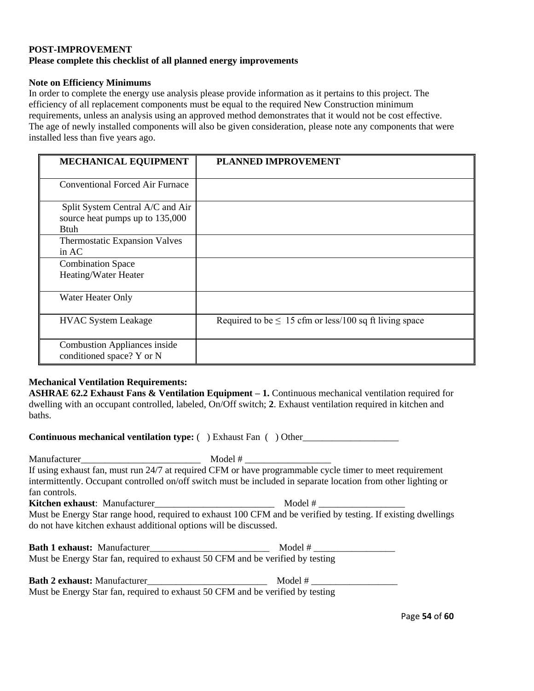## **POST-IMPROVEMENT Please complete this checklist of all planned energy improvements**

#### **Note on Efficiency Minimums**

In order to complete the energy use analysis please provide information as it pertains to this project. The efficiency of all replacement components must be equal to the required New Construction minimum requirements, unless an analysis using an approved method demonstrates that it would not be cost effective. The age of newly installed components will also be given consideration, please note any components that were installed less than five years ago.

| <b>MECHANICAL EQUIPMENT</b>                                                        | <b>PLANNED IMPROVEMENT</b>                                  |
|------------------------------------------------------------------------------------|-------------------------------------------------------------|
| <b>Conventional Forced Air Furnace</b>                                             |                                                             |
| Split System Central A/C and Air<br>source heat pumps up to 135,000<br><b>Btuh</b> |                                                             |
| Thermostatic Expansion Valves<br>in $AC$                                           |                                                             |
| <b>Combination Space</b><br>Heating/Water Heater                                   |                                                             |
| Water Heater Only                                                                  |                                                             |
| <b>HVAC System Leakage</b>                                                         | Required to be $\leq 15$ cfm or less/100 sq ft living space |
| <b>Combustion Appliances inside</b><br>conditioned space? Y or N                   |                                                             |

## **Mechanical Ventilation Requirements:**

**ASHRAE 62.2 Exhaust Fans & Ventilation Equipment – 1.** Continuous mechanical ventilation required for dwelling with an occupant controlled, labeled, On/Off switch; **2**. Exhaust ventilation required in kitchen and baths.

**Continuous mechanical ventilation type:**  $( )$  Exhaust Fan  $( )$  Other

Manufacturer\_\_\_\_\_\_\_\_\_\_\_\_\_\_\_\_\_\_\_\_\_\_\_\_\_ Model # \_\_\_\_\_\_\_\_\_\_\_\_\_\_\_\_\_\_ If using exhaust fan, must run 24/7 at required CFM or have programmable cycle timer to meet requirement intermittently. Occupant controlled on/off switch must be included in separate location from other lighting or fan controls. **Kitchen exhaust**: Manufacturer\_\_\_\_\_\_\_\_\_\_\_\_\_\_\_\_\_\_\_\_\_\_\_\_\_ Model # \_\_\_\_\_\_\_\_\_\_\_\_\_\_\_\_\_\_

Must be Energy Star range hood, required to exhaust 100 CFM and be verified by testing. If existing dwellings do not have kitchen exhaust additional options will be discussed.

| <b>Bath 1 exhaust:</b> Manufacturer                                            | Model # |
|--------------------------------------------------------------------------------|---------|
| Must be Energy Star fan, required to exhaust 50 CFM and be verified by testing |         |

| <b>Bath 2 exhaust: Manufacturer</b> | Model #                                                                        |
|-------------------------------------|--------------------------------------------------------------------------------|
|                                     | Must be Energy Star fan, required to exhaust 50 CFM and be verified by testing |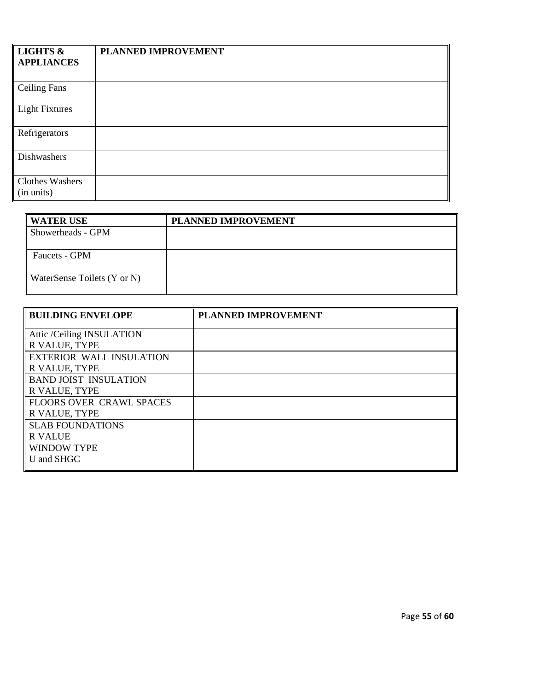| <b>LIGHTS &amp;</b>           | PLANNED IMPROVEMENT |
|-------------------------------|---------------------|
| <b>APPLIANCES</b>             |                     |
|                               |                     |
| <b>Ceiling Fans</b>           |                     |
| <b>Light Fixtures</b>         |                     |
| Refrigerators                 |                     |
| Dishwashers                   |                     |
| Clothes Washers<br>(in units) |                     |

| <b>WATER USE</b>            | PLANNED IMPROVEMENT |
|-----------------------------|---------------------|
| Showerheads - GPM           |                     |
|                             |                     |
| <b>Faucets - GPM</b>        |                     |
| WaterSense Toilets (Y or N) |                     |

| <b>BUILDING ENVELOPE</b>        | <b>PLANNED IMPROVEMENT</b> |
|---------------------------------|----------------------------|
| Attic /Ceiling INSULATION       |                            |
| R VALUE, TYPE                   |                            |
| <b>EXTERIOR WALL INSULATION</b> |                            |
| R VALUE, TYPE                   |                            |
| <b>BAND JOIST INSULATION</b>    |                            |
| R VALUE, TYPE                   |                            |
| <b>FLOORS OVER CRAWL SPACES</b> |                            |
| R VALUE, TYPE                   |                            |
| <b>SLAB FOUNDATIONS</b>         |                            |
| <b>R VALUE</b>                  |                            |
| <b>WINDOW TYPE</b>              |                            |
| U and SHGC                      |                            |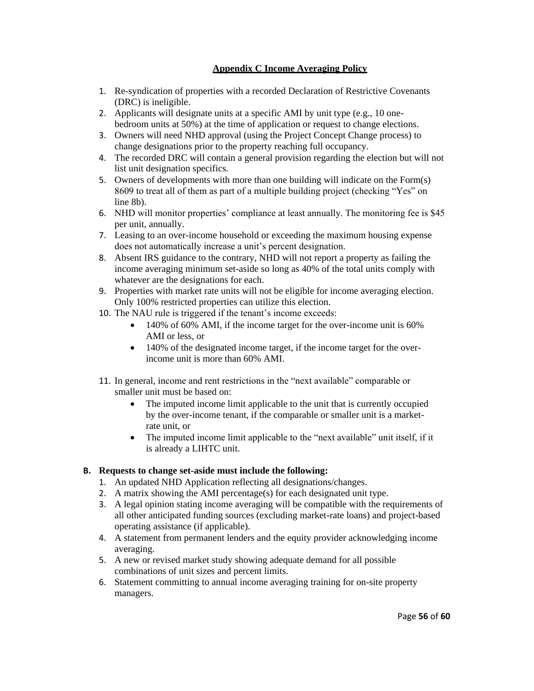## **Appendix C Income Averaging Policy**

- 1. Re-syndication of properties with a recorded Declaration of Restrictive Covenants (DRC) is ineligible.
- 2. Applicants will designate units at a specific AMI by unit type (e.g., 10 onebedroom units at 50%) at the time of application or request to change elections.
- 3. Owners will need NHD approval (using the Project Concept Change process) to change designations prior to the property reaching full occupancy.
- 4. The recorded DRC will contain a general provision regarding the election but will not list unit designation specifics.
- 5. Owners of developments with more than one building will indicate on the Form(s) 8609 to treat all of them as part of a multiple building project (checking "Yes" on line 8b).
- 6. NHD will monitor properties' compliance at least annually. The monitoring fee is \$45 per unit, annually.
- 7. Leasing to an over-income household or exceeding the maximum housing expense does not automatically increase a unit's percent designation.
- 8. Absent IRS guidance to the contrary, NHD will not report a property as failing the income averaging minimum set-aside so long as 40% of the total units comply with whatever are the designations for each.
- 9. Properties with market rate units will not be eligible for income averaging election. Only 100% restricted properties can utilize this election.
- 10. The NAU rule is triggered if the tenant's income exceeds:
	- 140% of 60% AMI, if the income target for the over-income unit is 60% AMI or less, or
	- 140% of the designated income target, if the income target for the overincome unit is more than 60% AMI.
- 11. In general, income and rent restrictions in the "next available" comparable or smaller unit must be based on:
	- The imputed income limit applicable to the unit that is currently occupied by the over-income tenant, if the comparable or smaller unit is a marketrate unit, or
	- The imputed income limit applicable to the "next available" unit itself, if it is already a LIHTC unit.

# **B. Requests to change set-aside must include the following:**

- 1. An updated NHD Application reflecting all designations/changes.
- 2. A matrix showing the AMI percentage(s) for each designated unit type.
- 3. A legal opinion stating income averaging will be compatible with the requirements of all other anticipated funding sources (excluding market-rate loans) and project-based operating assistance (if applicable).
- 4. A statement from permanent lenders and the equity provider acknowledging income averaging.
- 5. A new or revised market study showing adequate demand for all possible combinations of unit sizes and percent limits.
- 6. Statement committing to annual income averaging training for on-site property managers.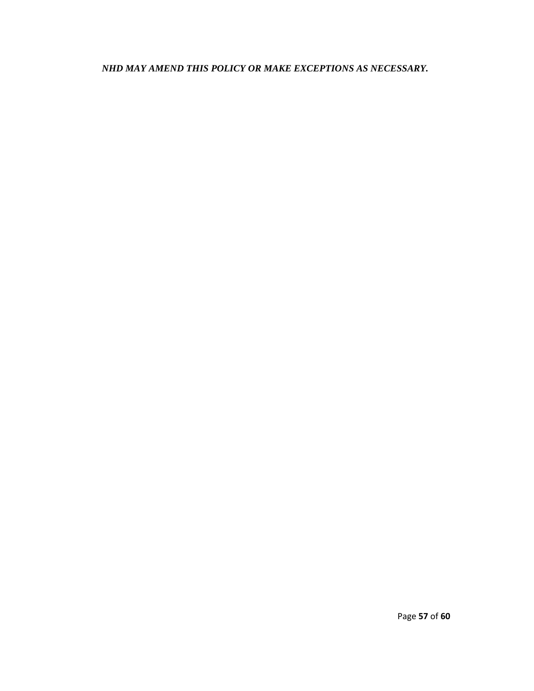*NHD MAY AMEND THIS POLICY OR MAKE EXCEPTIONS AS NECESSARY.*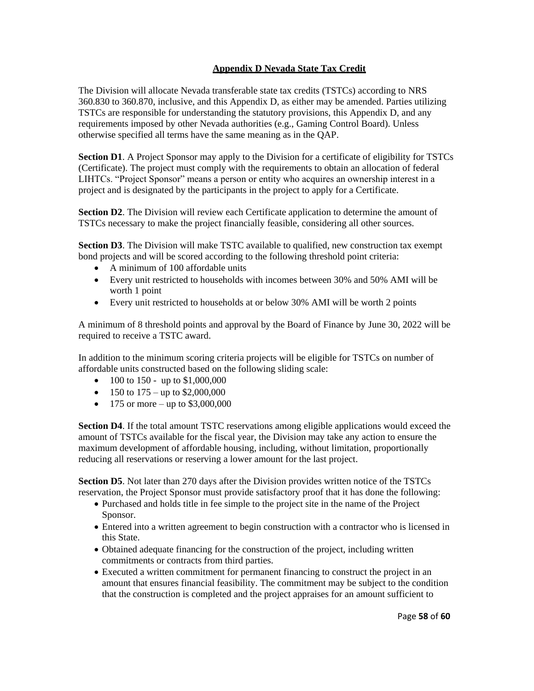## **Appendix D Nevada State Tax Credit**

The Division will allocate Nevada transferable state tax credits (TSTCs) according to NRS 360.830 to 360.870, inclusive, and this Appendix D, as either may be amended. Parties utilizing TSTCs are responsible for understanding the statutory provisions, this Appendix D, and any requirements imposed by other Nevada authorities (e.g., Gaming Control Board). Unless otherwise specified all terms have the same meaning as in the QAP.

**Section D1**. A Project Sponsor may apply to the Division for a certificate of eligibility for TSTCs (Certificate). The project must comply with the requirements to obtain an allocation of federal LIHTCs. "Project Sponsor" means a person or entity who acquires an ownership interest in a project and is designated by the participants in the project to apply for a Certificate.

**Section D2**. The Division will review each Certificate application to determine the amount of TSTCs necessary to make the project financially feasible, considering all other sources.

**Section D3**. The Division will make TSTC available to qualified, new construction tax exempt bond projects and will be scored according to the following threshold point criteria:

- A minimum of 100 affordable units
- Every unit restricted to households with incomes between 30% and 50% AMI will be worth 1 point
- Every unit restricted to households at or below 30% AMI will be worth 2 points

A minimum of 8 threshold points and approval by the Board of Finance by June 30, 2022 will be required to receive a TSTC award.

In addition to the minimum scoring criteria projects will be eligible for TSTCs on number of affordable units constructed based on the following sliding scale:

- 100 to 150 up to  $$1,000,000$
- 150 to  $175 \text{up to } $2,000,000$
- 175 or more up to \$3,000,000

**Section D4**. If the total amount TSTC reservations among eligible applications would exceed the amount of TSTCs available for the fiscal year, the Division may take any action to ensure the maximum development of affordable housing, including, without limitation, proportionally reducing all reservations or reserving a lower amount for the last project.

**Section D5**. Not later than 270 days after the Division provides written notice of the TSTCs reservation, the Project Sponsor must provide satisfactory proof that it has done the following:

- Purchased and holds title in fee simple to the project site in the name of the Project Sponsor.
- Entered into a written agreement to begin construction with a contractor who is licensed in this State.
- Obtained adequate financing for the construction of the project, including written commitments or contracts from third parties.
- Executed a written commitment for permanent financing to construct the project in an amount that ensures financial feasibility. The commitment may be subject to the condition that the construction is completed and the project appraises for an amount sufficient to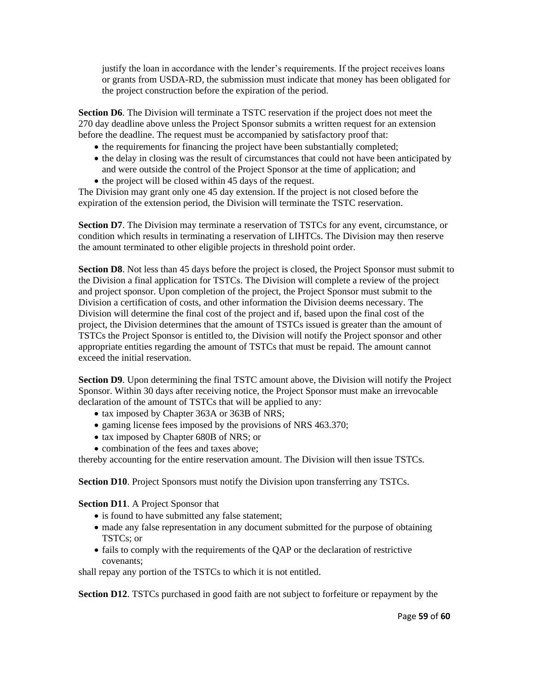justify the loan in accordance with the lender's requirements. If the project receives loans or grants from USDA-RD, the submission must indicate that money has been obligated for the project construction before the expiration of the period.

**Section D6**. The Division will terminate a TSTC reservation if the project does not meet the 270 day deadline above unless the Project Sponsor submits a written request for an extension before the deadline. The request must be accompanied by satisfactory proof that:

- the requirements for financing the project have been substantially completed;
- the delay in closing was the result of circumstances that could not have been anticipated by and were outside the control of the Project Sponsor at the time of application; and
- the project will be closed within 45 days of the request.

The Division may grant only one 45 day extension. If the project is not closed before the expiration of the extension period, the Division will terminate the TSTC reservation.

**Section D7**. The Division may terminate a reservation of TSTCs for any event, circumstance, or condition which results in terminating a reservation of LIHTCs. The Division may then reserve the amount terminated to other eligible projects in threshold point order.

**Section D8**. Not less than 45 days before the project is closed, the Project Sponsor must submit to the Division a final application for TSTCs. The Division will complete a review of the project and project sponsor. Upon completion of the project, the Project Sponsor must submit to the Division a certification of costs, and other information the Division deems necessary. The Division will determine the final cost of the project and if, based upon the final cost of the project, the Division determines that the amount of TSTCs issued is greater than the amount of TSTCs the Project Sponsor is entitled to, the Division will notify the Project sponsor and other appropriate entities regarding the amount of TSTCs that must be repaid. The amount cannot exceed the initial reservation.

**Section D9.** Upon determining the final TSTC amount above, the Division will notify the Project Sponsor. Within 30 days after receiving notice, the Project Sponsor must make an irrevocable declaration of the amount of TSTCs that will be applied to any:

- tax imposed by Chapter 363A or 363B of NRS;
- gaming license fees imposed by the provisions of NRS 463.370;
- tax imposed by Chapter 680B of NRS; or
- combination of the fees and taxes above;

thereby accounting for the entire reservation amount. The Division will then issue TSTCs.

**Section D10**. Project Sponsors must notify the Division upon transferring any TSTCs.

**Section D11**. A Project Sponsor that

- is found to have submitted any false statement;
- made any false representation in any document submitted for the purpose of obtaining TSTCs; or
- fails to comply with the requirements of the QAP or the declaration of restrictive covenants;

shall repay any portion of the TSTCs to which it is not entitled.

**Section D12**. TSTCs purchased in good faith are not subject to forfeiture or repayment by the